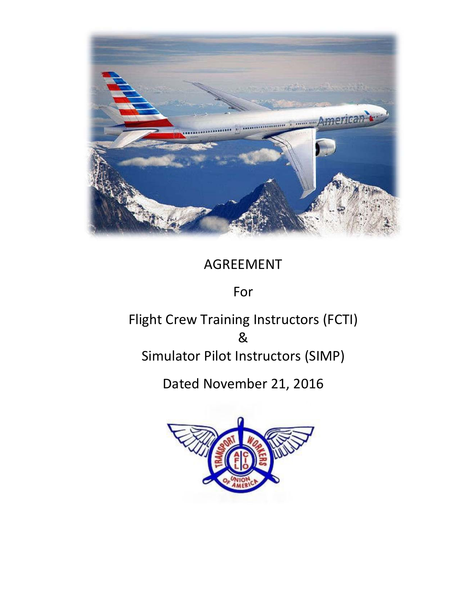

# AGREEMENT

# For

# Flight Crew Training Instructors (FCTI) & Simulator Pilot Instructors (SIMP)

Dated November 21, 2016

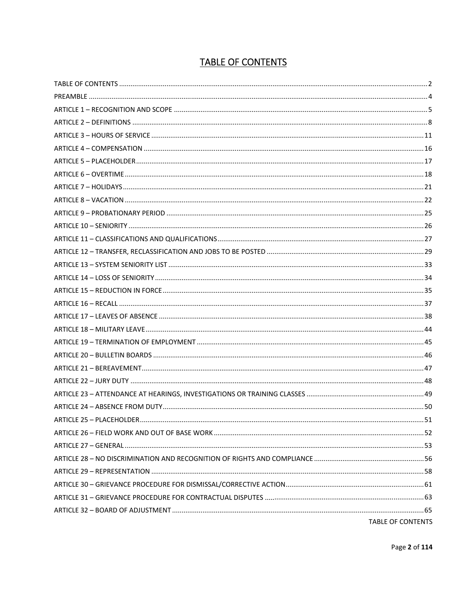# **TABLE OF CONTENTS**

| <b>TABLE OF CONTENTS</b> |
|--------------------------|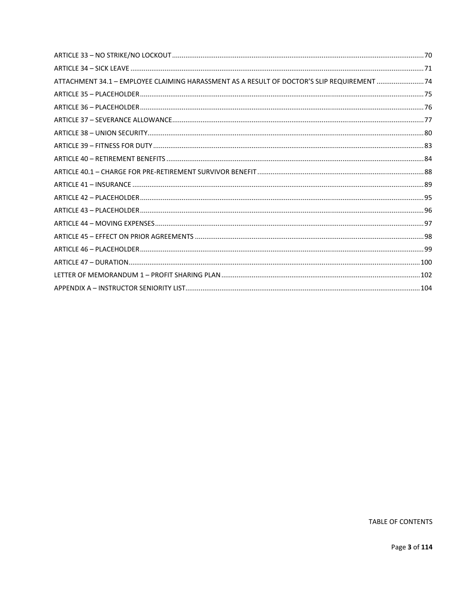| ATTACHMENT 34.1 - EMPLOYEE CLAIMING HARASSMENT AS A RESULT OF DOCTOR'S SLIP REQUIREMENT 24 |  |
|--------------------------------------------------------------------------------------------|--|
|                                                                                            |  |
|                                                                                            |  |
|                                                                                            |  |
|                                                                                            |  |
|                                                                                            |  |
|                                                                                            |  |
|                                                                                            |  |
|                                                                                            |  |
|                                                                                            |  |
|                                                                                            |  |
|                                                                                            |  |
|                                                                                            |  |
|                                                                                            |  |
|                                                                                            |  |
|                                                                                            |  |
|                                                                                            |  |
|                                                                                            |  |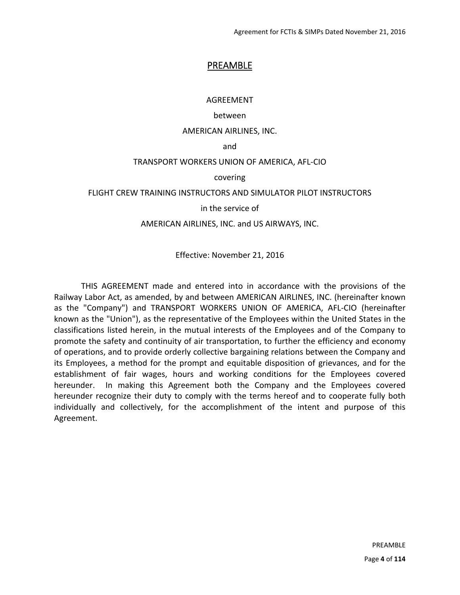## PREAMBLE

AGREEMENT

#### between

#### AMERICAN AIRLINES, INC.

and

#### TRANSPORT WORKERS UNION OF AMERICA, AFL‐CIO

covering

#### FLIGHT CREW TRAINING INSTRUCTORS AND SIMULATOR PILOT INSTRUCTORS

in the service of

#### AMERICAN AIRLINES, INC. and US AIRWAYS, INC.

Effective: November 21, 2016

 THIS AGREEMENT made and entered into in accordance with the provisions of the Railway Labor Act, as amended, by and between AMERICAN AIRLINES, INC. (hereinafter known as the "Company") and TRANSPORT WORKERS UNION OF AMERICA, AFL‐CIO (hereinafter known as the "Union"), as the representative of the Employees within the United States in the classifications listed herein, in the mutual interests of the Employees and of the Company to promote the safety and continuity of air transportation, to further the efficiency and economy of operations, and to provide orderly collective bargaining relations between the Company and its Employees, a method for the prompt and equitable disposition of grievances, and for the establishment of fair wages, hours and working conditions for the Employees covered hereunder. In making this Agreement both the Company and the Employees covered hereunder recognize their duty to comply with the terms hereof and to cooperate fully both individually and collectively, for the accomplishment of the intent and purpose of this Agreement.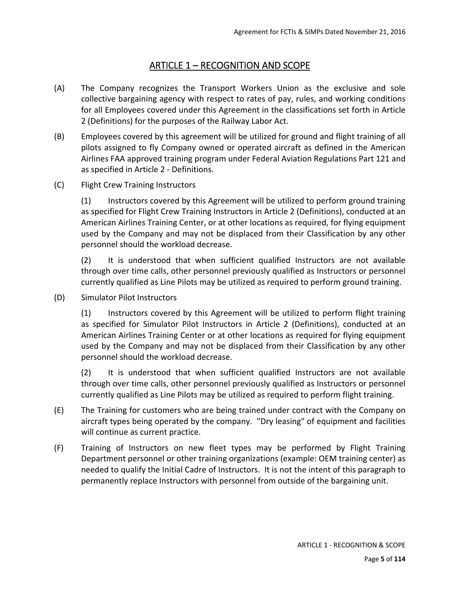# ARTICLE 1 – RECOGNITION AND SCOPE

- (A) The Company recognizes the Transport Workers Union as the exclusive and sole collective bargaining agency with respect to rates of pay, rules, and working conditions for all Employees covered under this Agreement in the classifications set forth in Article 2 (Definitions) for the purposes of the Railway Labor Act.
- (B) Employees covered by this agreement will be utilized for ground and flight training of all pilots assigned to fly Company owned or operated aircraft as defined in the American Airlines FAA approved training program under Federal Aviation Regulations Part 121 and as specified in Article 2 ‐ Definitions.
- (C) Flight Crew Training Instructors

(1) Instructors covered by this Agreement will be utilized to perform ground training as specified for Flight Crew Training Instructors in Article 2 (Definitions), conducted at an American Airlines Training Center, or at other locations as required, for flying equipment used by the Company and may not be displaced from their Classification by any other personnel should the workload decrease.

(2) It is understood that when sufficient qualified Instructors are not available through over time calls, other personnel previously qualified as Instructors or personnel currently qualified as Line Pilots may be utilized as required to perform ground training.

(D) Simulator Pilot Instructors

(1) Instructors covered by this Agreement will be utilized to perform flight training as specified for Simulator Pilot Instructors in Article 2 (Definitions), conducted at an American Airlines Training Center or at other locations as required for flying equipment used by the Company and may not be displaced from their Classification by any other personnel should the workload decrease.

(2) It is understood that when sufficient qualified Instructors are not available through over time calls, other personnel previously qualified as Instructors or personnel currently qualified as Line Pilots may be utilized as required to perform flight training.

- (E) The Training for customers who are being trained under contract with the Company on aircraft types being operated by the company. "Dry leasing" of equipment and facilities will continue as current practice.
- (F) Training of Instructors on new fleet types may be performed by Flight Training Department personnel or other training organizations (example: OEM training center) as needed to qualify the Initial Cadre of Instructors. It is not the intent of this paragraph to permanently replace Instructors with personnel from outside of the bargaining unit.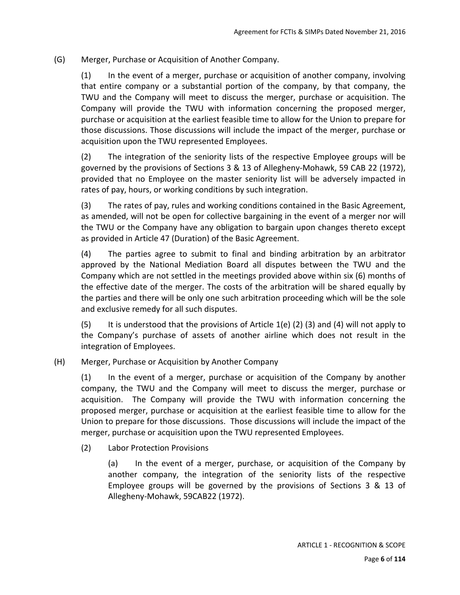(G) Merger, Purchase or Acquisition of Another Company.

(1) In the event of a merger, purchase or acquisition of another company, involving that entire company or a substantial portion of the company, by that company, the TWU and the Company will meet to discuss the merger, purchase or acquisition. The Company will provide the TWU with information concerning the proposed merger, purchase or acquisition at the earliest feasible time to allow for the Union to prepare for those discussions. Those discussions will include the impact of the merger, purchase or acquisition upon the TWU represented Employees.

(2) The integration of the seniority lists of the respective Employee groups will be governed by the provisions of Sections 3 & 13 of Allegheny‐Mohawk, 59 CAB 22 (1972), provided that no Employee on the master seniority list will be adversely impacted in rates of pay, hours, or working conditions by such integration.

(3) The rates of pay, rules and working conditions contained in the Basic Agreement, as amended, will not be open for collective bargaining in the event of a merger nor will the TWU or the Company have any obligation to bargain upon changes thereto except as provided in Article 47 (Duration) of the Basic Agreement.

(4) The parties agree to submit to final and binding arbitration by an arbitrator approved by the National Mediation Board all disputes between the TWU and the Company which are not settled in the meetings provided above within six (6) months of the effective date of the merger. The costs of the arbitration will be shared equally by the parties and there will be only one such arbitration proceeding which will be the sole and exclusive remedy for all such disputes.

(5) It is understood that the provisions of Article 1(e) (2) (3) and (4) will not apply to the Company's purchase of assets of another airline which does not result in the integration of Employees.

(H) Merger, Purchase or Acquisition by Another Company

(1) In the event of a merger, purchase or acquisition of the Company by another company, the TWU and the Company will meet to discuss the merger, purchase or acquisition. The Company will provide the TWU with information concerning the proposed merger, purchase or acquisition at the earliest feasible time to allow for the Union to prepare for those discussions. Those discussions will include the impact of the merger, purchase or acquisition upon the TWU represented Employees.

(2) Labor Protection Provisions

(a) In the event of a merger, purchase, or acquisition of the Company by another company, the integration of the seniority lists of the respective Employee groups will be governed by the provisions of Sections 3 & 13 of Allegheny‐Mohawk, 59CAB22 (1972).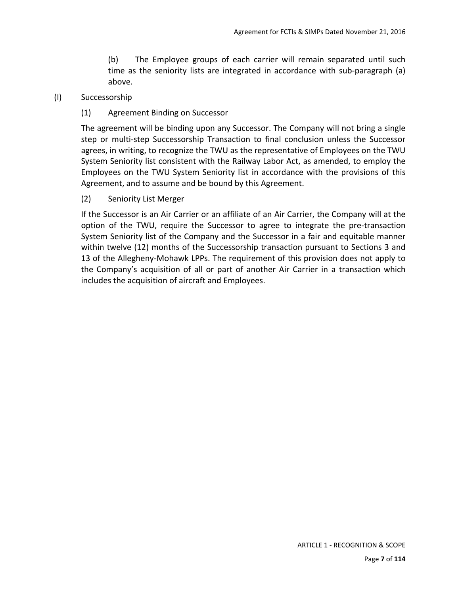(b) The Employee groups of each carrier will remain separated until such time as the seniority lists are integrated in accordance with sub-paragraph (a) above.

#### (I) Successorship

(1) Agreement Binding on Successor

The agreement will be binding upon any Successor. The Company will not bring a single step or multi-step Successorship Transaction to final conclusion unless the Successor agrees, in writing, to recognize the TWU as the representative of Employees on the TWU System Seniority list consistent with the Railway Labor Act, as amended, to employ the Employees on the TWU System Seniority list in accordance with the provisions of this Agreement, and to assume and be bound by this Agreement.

(2) Seniority List Merger

If the Successor is an Air Carrier or an affiliate of an Air Carrier, the Company will at the option of the TWU, require the Successor to agree to integrate the pre‐transaction System Seniority list of the Company and the Successor in a fair and equitable manner within twelve (12) months of the Successorship transaction pursuant to Sections 3 and 13 of the Allegheny‐Mohawk LPPs. The requirement of this provision does not apply to the Company's acquisition of all or part of another Air Carrier in a transaction which includes the acquisition of aircraft and Employees.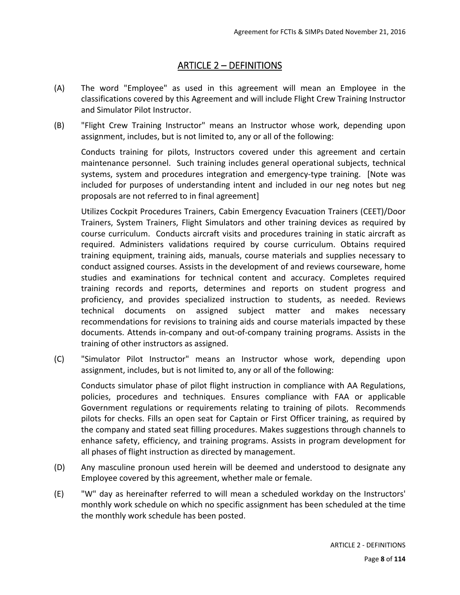## ARTICLE 2 – DEFINITIONS

- (A) The word "Employee" as used in this agreement will mean an Employee in the classifications covered by this Agreement and will include Flight Crew Training Instructor and Simulator Pilot Instructor.
- (B) "Flight Crew Training Instructor" means an Instructor whose work, depending upon assignment, includes, but is not limited to, any or all of the following:

Conducts training for pilots, Instructors covered under this agreement and certain maintenance personnel. Such training includes general operational subjects, technical systems, system and procedures integration and emergency-type training. [Note was included for purposes of understanding intent and included in our neg notes but neg proposals are not referred to in final agreement]

Utilizes Cockpit Procedures Trainers, Cabin Emergency Evacuation Trainers (CEET)/Door Trainers, System Trainers, Flight Simulators and other training devices as required by course curriculum. Conducts aircraft visits and procedures training in static aircraft as required. Administers validations required by course curriculum. Obtains required training equipment, training aids, manuals, course materials and supplies necessary to conduct assigned courses. Assists in the development of and reviews courseware, home studies and examinations for technical content and accuracy. Completes required training records and reports, determines and reports on student progress and proficiency, and provides specialized instruction to students, as needed. Reviews technical documents on assigned subject matter and makes necessary recommendations for revisions to training aids and course materials impacted by these documents. Attends in‐company and out‐of‐company training programs. Assists in the training of other instructors as assigned.

(C) "Simulator Pilot Instructor" means an Instructor whose work, depending upon assignment, includes, but is not limited to, any or all of the following:

Conducts simulator phase of pilot flight instruction in compliance with AA Regulations, policies, procedures and techniques. Ensures compliance with FAA or applicable Government regulations or requirements relating to training of pilots. Recommends pilots for checks. Fills an open seat for Captain or First Officer training, as required by the company and stated seat filling procedures. Makes suggestions through channels to enhance safety, efficiency, and training programs. Assists in program development for all phases of flight instruction as directed by management.

- (D) Any masculine pronoun used herein will be deemed and understood to designate any Employee covered by this agreement, whether male or female.
- (E) "W" day as hereinafter referred to will mean a scheduled workday on the Instructors' monthly work schedule on which no specific assignment has been scheduled at the time the monthly work schedule has been posted.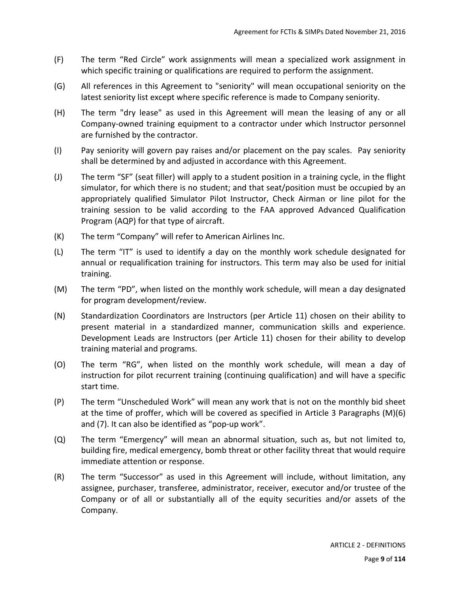- (F) The term "Red Circle" work assignments will mean a specialized work assignment in which specific training or qualifications are required to perform the assignment.
- (G) All references in this Agreement to "seniority" will mean occupational seniority on the latest seniority list except where specific reference is made to Company seniority.
- (H) The term "dry lease" as used in this Agreement will mean the leasing of any or all Company‐owned training equipment to a contractor under which Instructor personnel are furnished by the contractor.
- (I) Pay seniority will govern pay raises and/or placement on the pay scales. Pay seniority shall be determined by and adjusted in accordance with this Agreement.
- (J) The term "SF" (seat filler) will apply to a student position in a training cycle, in the flight simulator, for which there is no student; and that seat/position must be occupied by an appropriately qualified Simulator Pilot Instructor, Check Airman or line pilot for the training session to be valid according to the FAA approved Advanced Qualification Program (AQP) for that type of aircraft.
- (K) The term "Company" will refer to American Airlines Inc.
- (L) The term "IT" is used to identify a day on the monthly work schedule designated for annual or requalification training for instructors. This term may also be used for initial training.
- (M) The term "PD", when listed on the monthly work schedule, will mean a day designated for program development/review.
- (N) Standardization Coordinators are Instructors (per Article 11) chosen on their ability to present material in a standardized manner, communication skills and experience. Development Leads are Instructors (per Article 11) chosen for their ability to develop training material and programs.
- (O) The term "RG", when listed on the monthly work schedule, will mean a day of instruction for pilot recurrent training (continuing qualification) and will have a specific start time.
- (P) The term "Unscheduled Work" will mean any work that is not on the monthly bid sheet at the time of proffer, which will be covered as specified in Article 3 Paragraphs (M)(6) and (7). It can also be identified as "pop‐up work".
- (Q) The term "Emergency" will mean an abnormal situation, such as, but not limited to, building fire, medical emergency, bomb threat or other facility threat that would require immediate attention or response.
- (R) The term "Successor" as used in this Agreement will include, without limitation, any assignee, purchaser, transferee, administrator, receiver, executor and/or trustee of the Company or of all or substantially all of the equity securities and/or assets of the Company.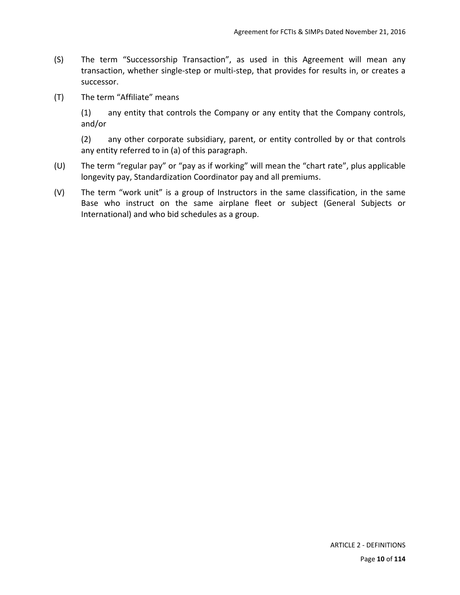- (S) The term "Successorship Transaction", as used in this Agreement will mean any transaction, whether single‐step or multi‐step, that provides for results in, or creates a successor.
- (T) The term "Affiliate" means

(1) any entity that controls the Company or any entity that the Company controls, and/or

(2) any other corporate subsidiary, parent, or entity controlled by or that controls any entity referred to in (a) of this paragraph.

- (U) The term "regular pay" or "pay as if working" will mean the "chart rate", plus applicable longevity pay, Standardization Coordinator pay and all premiums.
- $(V)$  The term "work unit" is a group of Instructors in the same classification, in the same Base who instruct on the same airplane fleet or subject (General Subjects or International) and who bid schedules as a group.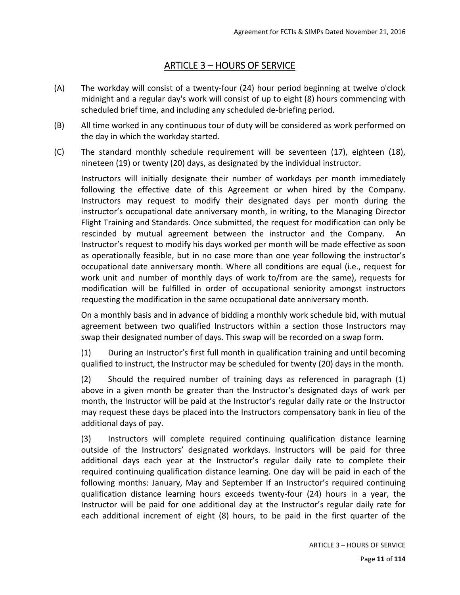# ARTICLE 3 – HOURS OF SERVICE

- (A) The workday will consist of a twenty‐four (24) hour period beginning at twelve o'clock midnight and a regular day's work will consist of up to eight (8) hours commencing with scheduled brief time, and including any scheduled de‐briefing period.
- (B) All time worked in any continuous tour of duty will be considered as work performed on the day in which the workday started.
- (C) The standard monthly schedule requirement will be seventeen (17), eighteen (18), nineteen (19) or twenty (20) days, as designated by the individual instructor.

Instructors will initially designate their number of workdays per month immediately following the effective date of this Agreement or when hired by the Company. Instructors may request to modify their designated days per month during the instructor's occupational date anniversary month, in writing, to the Managing Director Flight Training and Standards. Once submitted, the request for modification can only be rescinded by mutual agreement between the instructor and the Company. An Instructor's request to modify his days worked per month will be made effective as soon as operationally feasible, but in no case more than one year following the instructor's occupational date anniversary month. Where all conditions are equal (i.e., request for work unit and number of monthly days of work to/from are the same), requests for modification will be fulfilled in order of occupational seniority amongst instructors requesting the modification in the same occupational date anniversary month.

On a monthly basis and in advance of bidding a monthly work schedule bid, with mutual agreement between two qualified Instructors within a section those Instructors may swap their designated number of days. This swap will be recorded on a swap form.

(1) During an Instructor's first full month in qualification training and until becoming qualified to instruct, the Instructor may be scheduled for twenty (20) days in the month.

(2) Should the required number of training days as referenced in paragraph (1) above in a given month be greater than the Instructor's designated days of work per month, the Instructor will be paid at the Instructor's regular daily rate or the Instructor may request these days be placed into the Instructors compensatory bank in lieu of the additional days of pay.

(3) Instructors will complete required continuing qualification distance learning outside of the Instructors' designated workdays. Instructors will be paid for three additional days each year at the Instructor's regular daily rate to complete their required continuing qualification distance learning. One day will be paid in each of the following months: January, May and September If an Instructor's required continuing qualification distance learning hours exceeds twenty-four (24) hours in a year, the Instructor will be paid for one additional day at the Instructor's regular daily rate for each additional increment of eight (8) hours, to be paid in the first quarter of the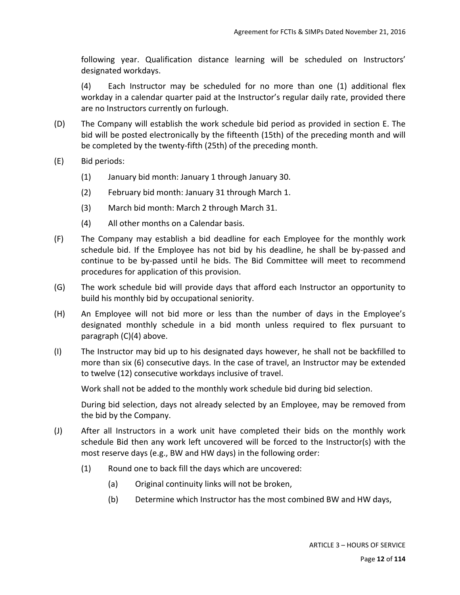following year. Qualification distance learning will be scheduled on Instructors' designated workdays.

(4) Each Instructor may be scheduled for no more than one (1) additional flex workday in a calendar quarter paid at the Instructor's regular daily rate, provided there are no Instructors currently on furlough.

- (D) The Company will establish the work schedule bid period as provided in section E. The bid will be posted electronically by the fifteenth (15th) of the preceding month and will be completed by the twenty‐fifth (25th) of the preceding month.
- (E) Bid periods:
	- (1) January bid month: January 1 through January 30.
	- (2) February bid month: January 31 through March 1.
	- (3) March bid month: March 2 through March 31.
	- (4) All other months on a Calendar basis.
- (F) The Company may establish a bid deadline for each Employee for the monthly work schedule bid. If the Employee has not bid by his deadline, he shall be by-passed and continue to be by-passed until he bids. The Bid Committee will meet to recommend procedures for application of this provision.
- (G) The work schedule bid will provide days that afford each Instructor an opportunity to build his monthly bid by occupational seniority.
- (H) An Employee will not bid more or less than the number of days in the Employee's designated monthly schedule in a bid month unless required to flex pursuant to paragraph (C)(4) above.
- (I) The Instructor may bid up to his designated days however, he shall not be backfilled to more than six (6) consecutive days. In the case of travel, an Instructor may be extended to twelve (12) consecutive workdays inclusive of travel.

Work shall not be added to the monthly work schedule bid during bid selection.

During bid selection, days not already selected by an Employee, may be removed from the bid by the Company.

- (J) After all Instructors in a work unit have completed their bids on the monthly work schedule Bid then any work left uncovered will be forced to the Instructor(s) with the most reserve days (e.g., BW and HW days) in the following order:
	- (1) Round one to back fill the days which are uncovered:
		- (a) Original continuity links will not be broken,
		- (b) Determine which Instructor has the most combined BW and HW days,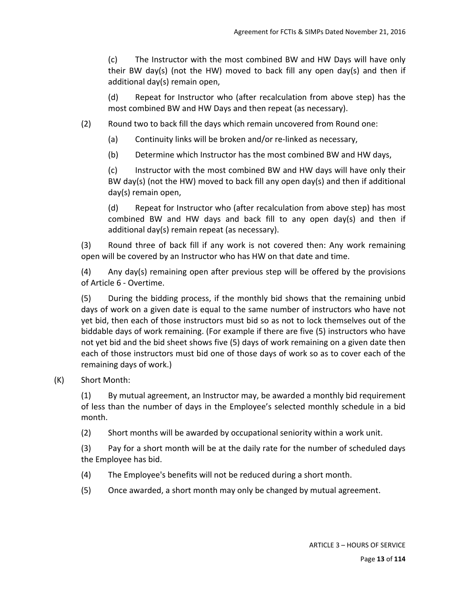(c) The Instructor with the most combined BW and HW Days will have only their BW day(s) (not the HW) moved to back fill any open day(s) and then if additional day(s) remain open,

(d) Repeat for Instructor who (after recalculation from above step) has the most combined BW and HW Days and then repeat (as necessary).

- (2) Round two to back fill the days which remain uncovered from Round one:
	- (a) Continuity links will be broken and/or re‐linked as necessary,
	- (b) Determine which Instructor has the most combined BW and HW days,

(c) Instructor with the most combined BW and HW days will have only their BW day(s) (not the HW) moved to back fill any open day(s) and then if additional day(s) remain open,

(d) Repeat for Instructor who (after recalculation from above step) has most combined BW and HW days and back fill to any open day(s) and then if additional day(s) remain repeat (as necessary).

(3) Round three of back fill if any work is not covered then: Any work remaining open will be covered by an Instructor who has HW on that date and time.

(4) Any day(s) remaining open after previous step will be offered by the provisions of Article 6 ‐ Overtime.

(5) During the bidding process, if the monthly bid shows that the remaining unbid days of work on a given date is equal to the same number of instructors who have not yet bid, then each of those instructors must bid so as not to lock themselves out of the biddable days of work remaining. (For example if there are five (5) instructors who have not yet bid and the bid sheet shows five (5) days of work remaining on a given date then each of those instructors must bid one of those days of work so as to cover each of the remaining days of work.)

#### (K) Short Month:

(1) By mutual agreement, an Instructor may, be awarded a monthly bid requirement of less than the number of days in the Employee's selected monthly schedule in a bid month.

(2) Short months will be awarded by occupational seniority within a work unit.

(3) Pay for a short month will be at the daily rate for the number of scheduled days the Employee has bid.

- (4) The Employee's benefits will not be reduced during a short month.
- (5) Once awarded, a short month may only be changed by mutual agreement.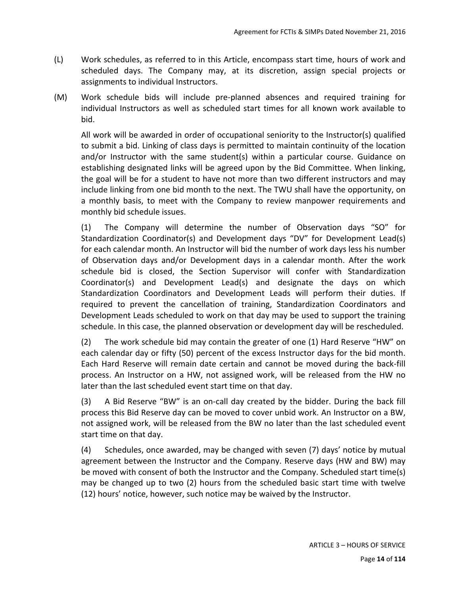- (L) Work schedules, as referred to in this Article, encompass start time, hours of work and scheduled days. The Company may, at its discretion, assign special projects or assignments to individual Instructors.
- (M) Work schedule bids will include pre‐planned absences and required training for individual Instructors as well as scheduled start times for all known work available to bid.

All work will be awarded in order of occupational seniority to the Instructor(s) qualified to submit a bid. Linking of class days is permitted to maintain continuity of the location and/or Instructor with the same student(s) within a particular course. Guidance on establishing designated links will be agreed upon by the Bid Committee. When linking, the goal will be for a student to have not more than two different instructors and may include linking from one bid month to the next. The TWU shall have the opportunity, on a monthly basis, to meet with the Company to review manpower requirements and monthly bid schedule issues.

(1) The Company will determine the number of Observation days "SO" for Standardization Coordinator(s) and Development days "DV" for Development Lead(s) for each calendar month. An Instructor will bid the number of work days less his number of Observation days and/or Development days in a calendar month. After the work schedule bid is closed, the Section Supervisor will confer with Standardization Coordinator(s) and Development Lead(s) and designate the days on which Standardization Coordinators and Development Leads will perform their duties. If required to prevent the cancellation of training, Standardization Coordinators and Development Leads scheduled to work on that day may be used to support the training schedule. In this case, the planned observation or development day will be rescheduled.

(2) The work schedule bid may contain the greater of one (1) Hard Reserve "HW" on each calendar day or fifty (50) percent of the excess Instructor days for the bid month. Each Hard Reserve will remain date certain and cannot be moved during the back‐fill process. An Instructor on a HW, not assigned work, will be released from the HW no later than the last scheduled event start time on that day.

(3) A Bid Reserve "BW" is an on‐call day created by the bidder. During the back fill process this Bid Reserve day can be moved to cover unbid work. An Instructor on a BW, not assigned work, will be released from the BW no later than the last scheduled event start time on that day.

(4) Schedules, once awarded, may be changed with seven (7) days' notice by mutual agreement between the Instructor and the Company. Reserve days (HW and BW) may be moved with consent of both the Instructor and the Company. Scheduled start time(s) may be changed up to two (2) hours from the scheduled basic start time with twelve (12) hours' notice, however, such notice may be waived by the Instructor.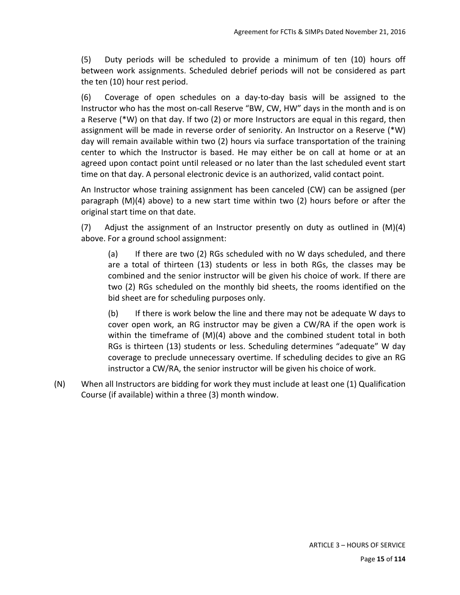(5) Duty periods will be scheduled to provide a minimum of ten (10) hours off between work assignments. Scheduled debrief periods will not be considered as part the ten (10) hour rest period.

(6) Coverage of open schedules on a day‐to‐day basis will be assigned to the Instructor who has the most on‐call Reserve "BW, CW, HW" days in the month and is on a Reserve (\*W) on that day. If two (2) or more Instructors are equal in this regard, then assignment will be made in reverse order of seniority. An Instructor on a Reserve (\*W) day will remain available within two (2) hours via surface transportation of the training center to which the Instructor is based. He may either be on call at home or at an agreed upon contact point until released or no later than the last scheduled event start time on that day. A personal electronic device is an authorized, valid contact point.

An Instructor whose training assignment has been canceled (CW) can be assigned (per paragraph (M)(4) above) to a new start time within two (2) hours before or after the original start time on that date.

(7) Adjust the assignment of an Instructor presently on duty as outlined in  $(M)(4)$ above. For a ground school assignment:

(a) If there are two (2) RGs scheduled with no W days scheduled, and there are a total of thirteen (13) students or less in both RGs, the classes may be combined and the senior instructor will be given his choice of work. If there are two (2) RGs scheduled on the monthly bid sheets, the rooms identified on the bid sheet are for scheduling purposes only.

(b) If there is work below the line and there may not be adequate W days to cover open work, an RG instructor may be given a CW/RA if the open work is within the timeframe of  $(M)(4)$  above and the combined student total in both RGs is thirteen (13) students or less. Scheduling determines "adequate" W day coverage to preclude unnecessary overtime. If scheduling decides to give an RG instructor a CW/RA, the senior instructor will be given his choice of work.

(N) When all Instructors are bidding for work they must include at least one (1) Qualification Course (if available) within a three (3) month window.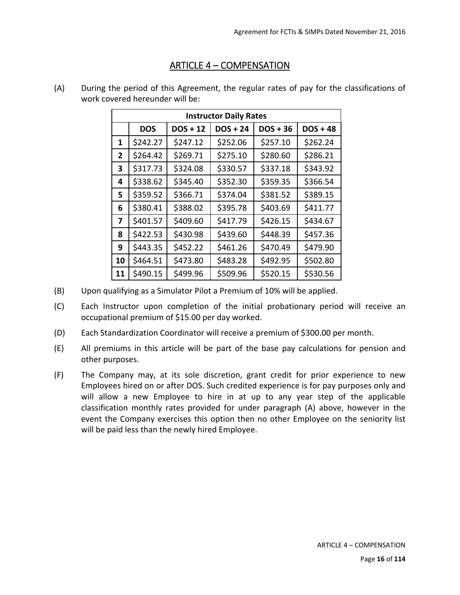## ARTICLE 4 – COMPENSATION

| <b>Instructor Daily Rates</b> |            |            |            |            |            |
|-------------------------------|------------|------------|------------|------------|------------|
|                               | <b>DOS</b> | $DOS + 12$ | $DOS + 24$ | $DOS + 36$ | $DOS + 48$ |
| 1                             | \$242.27   | \$247.12   | \$252.06   | \$257.10   | \$262.24   |
| $\mathbf{2}$                  | \$264.42   | \$269.71   | \$275.10   | \$280.60   | \$286.21   |
| 3                             | \$317.73   | \$324.08   | \$330.57   | \$337.18   | \$343.92   |
| 4                             | \$338.62   | \$345.40   | \$352.30   | \$359.35   | \$366.54   |
| 5                             | \$359.52   | \$366.71   | \$374.04   | \$381.52   | \$389.15   |
| 6                             | \$380.41   | \$388.02   | \$395.78   | \$403.69   | \$411.77   |
| 7                             | \$401.57   | \$409.60   | \$417.79   | \$426.15   | \$434.67   |
| 8                             | \$422.53   | \$430.98   | \$439.60   | \$448.39   | \$457.36   |
| 9                             | \$443.35   | \$452.22   | \$461.26   | \$470.49   | \$479.90   |
| 10                            | \$464.51   | \$473.80   | \$483.28   | \$492.95   | \$502.80   |
| 11                            | \$490.15   | \$499.96   | \$509.96   | \$520.15   | \$530.56   |

(A) During the period of this Agreement, the regular rates of pay for the classifications of work covered hereunder will be:

- (B) Upon qualifying as a Simulator Pilot a Premium of 10% will be applied.
- (C) Each Instructor upon completion of the initial probationary period will receive an occupational premium of \$15.00 per day worked.
- (D) Each Standardization Coordinator will receive a premium of \$300.00 per month.
- (E) All premiums in this article will be part of the base pay calculations for pension and other purposes.
- (F) The Company may, at its sole discretion, grant credit for prior experience to new Employees hired on or after DOS. Such credited experience is for pay purposes only and will allow a new Employee to hire in at up to any year step of the applicable classification monthly rates provided for under paragraph (A) above, however in the event the Company exercises this option then no other Employee on the seniority list will be paid less than the newly hired Employee.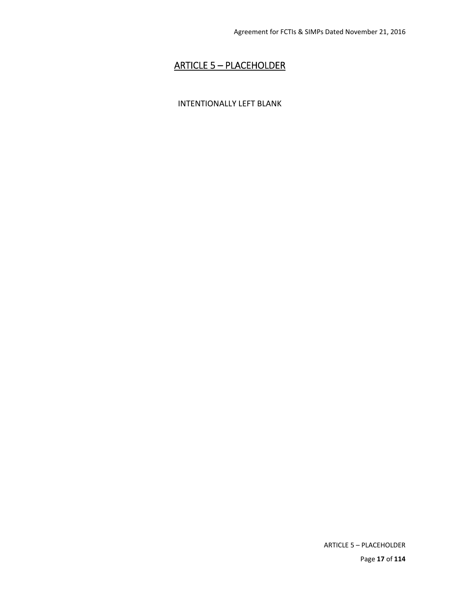# ARTICLE 5 – PLACEHOLDER

### INTENTIONALLY LEFT BLANK

ARTICLE 5 – PLACEHOLDER Page **17** of **114**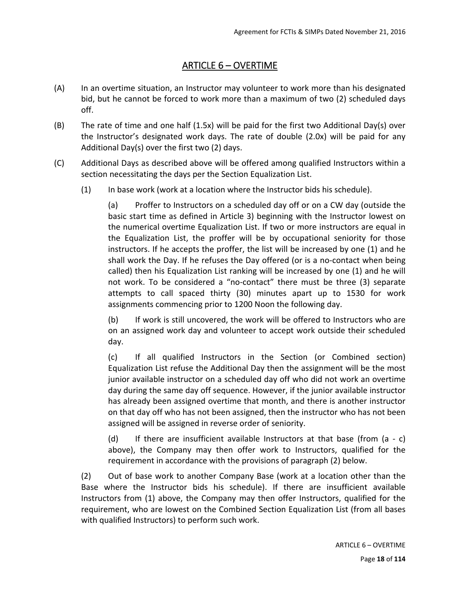# ARTICLE 6 – OVERTIME

- (A) In an overtime situation, an Instructor may volunteer to work more than his designated bid, but he cannot be forced to work more than a maximum of two (2) scheduled days off.
- (B) The rate of time and one half (1.5x) will be paid for the first two Additional Day(s) over the Instructor's designated work days. The rate of double (2.0x) will be paid for any Additional Day(s) over the first two (2) days.
- (C) Additional Days as described above will be offered among qualified Instructors within a section necessitating the days per the Section Equalization List.
	- (1) In base work (work at a location where the Instructor bids his schedule).

(a) Proffer to Instructors on a scheduled day off or on a CW day (outside the basic start time as defined in Article 3) beginning with the Instructor lowest on the numerical overtime Equalization List. If two or more instructors are equal in the Equalization List, the proffer will be by occupational seniority for those instructors. If he accepts the proffer, the list will be increased by one (1) and he shall work the Day. If he refuses the Day offered (or is a no‐contact when being called) then his Equalization List ranking will be increased by one (1) and he will not work. To be considered a "no-contact" there must be three (3) separate attempts to call spaced thirty (30) minutes apart up to 1530 for work assignments commencing prior to 1200 Noon the following day.

(b) If work is still uncovered, the work will be offered to Instructors who are on an assigned work day and volunteer to accept work outside their scheduled day.

(c) If all qualified Instructors in the Section (or Combined section) Equalization List refuse the Additional Day then the assignment will be the most junior available instructor on a scheduled day off who did not work an overtime day during the same day off sequence. However, if the junior available instructor has already been assigned overtime that month, and there is another instructor on that day off who has not been assigned, then the instructor who has not been assigned will be assigned in reverse order of seniority.

(d) If there are insufficient available Instructors at that base (from  $(a - c)$ above), the Company may then offer work to Instructors, qualified for the requirement in accordance with the provisions of paragraph (2) below.

(2) Out of base work to another Company Base (work at a location other than the Base where the Instructor bids his schedule). If there are insufficient available Instructors from (1) above, the Company may then offer Instructors, qualified for the requirement, who are lowest on the Combined Section Equalization List (from all bases with qualified Instructors) to perform such work.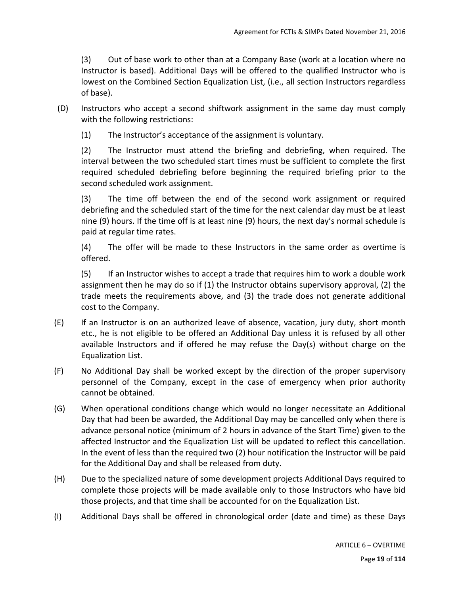(3) Out of base work to other than at a Company Base (work at a location where no Instructor is based). Additional Days will be offered to the qualified Instructor who is lowest on the Combined Section Equalization List, (i.e., all section Instructors regardless of base).

- (D) Instructors who accept a second shiftwork assignment in the same day must comply with the following restrictions:
	- (1) The Instructor's acceptance of the assignment is voluntary.

(2) The Instructor must attend the briefing and debriefing, when required. The interval between the two scheduled start times must be sufficient to complete the first required scheduled debriefing before beginning the required briefing prior to the second scheduled work assignment.

(3) The time off between the end of the second work assignment or required debriefing and the scheduled start of the time for the next calendar day must be at least nine (9) hours. If the time off is at least nine (9) hours, the next day's normal schedule is paid at regular time rates.

(4) The offer will be made to these Instructors in the same order as overtime is offered.

(5) If an Instructor wishes to accept a trade that requires him to work a double work assignment then he may do so if (1) the Instructor obtains supervisory approval, (2) the trade meets the requirements above, and (3) the trade does not generate additional cost to the Company.

- (E) If an Instructor is on an authorized leave of absence, vacation, jury duty, short month etc., he is not eligible to be offered an Additional Day unless it is refused by all other available Instructors and if offered he may refuse the Day(s) without charge on the Equalization List.
- (F) No Additional Day shall be worked except by the direction of the proper supervisory personnel of the Company, except in the case of emergency when prior authority cannot be obtained.
- (G) When operational conditions change which would no longer necessitate an Additional Day that had been be awarded, the Additional Day may be cancelled only when there is advance personal notice (minimum of 2 hours in advance of the Start Time) given to the affected Instructor and the Equalization List will be updated to reflect this cancellation. In the event of less than the required two (2) hour notification the Instructor will be paid for the Additional Day and shall be released from duty.
- (H) Due to the specialized nature of some development projects Additional Days required to complete those projects will be made available only to those Instructors who have bid those projects, and that time shall be accounted for on the Equalization List.
- (I) Additional Days shall be offered in chronological order (date and time) as these Days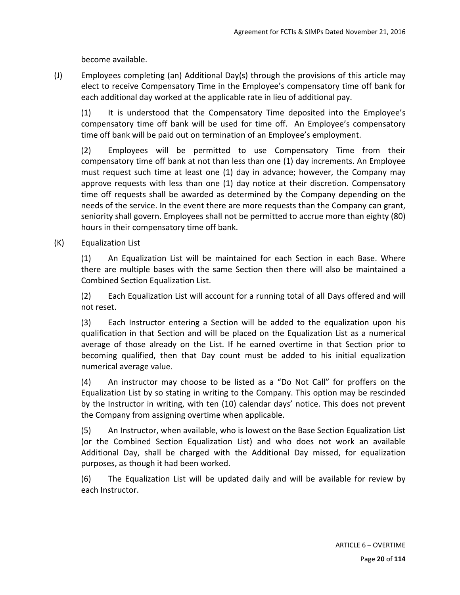become available.

(J) Employees completing (an) Additional Day(s) through the provisions of this article may elect to receive Compensatory Time in the Employee's compensatory time off bank for each additional day worked at the applicable rate in lieu of additional pay.

(1) It is understood that the Compensatory Time deposited into the Employee's compensatory time off bank will be used for time off. An Employee's compensatory time off bank will be paid out on termination of an Employee's employment.

(2) Employees will be permitted to use Compensatory Time from their compensatory time off bank at not than less than one (1) day increments. An Employee must request such time at least one (1) day in advance; however, the Company may approve requests with less than one (1) day notice at their discretion. Compensatory time off requests shall be awarded as determined by the Company depending on the needs of the service. In the event there are more requests than the Company can grant, seniority shall govern. Employees shall not be permitted to accrue more than eighty (80) hours in their compensatory time off bank.

(K) Equalization List

(1) An Equalization List will be maintained for each Section in each Base. Where there are multiple bases with the same Section then there will also be maintained a Combined Section Equalization List.

(2) Each Equalization List will account for a running total of all Days offered and will not reset.

(3) Each Instructor entering a Section will be added to the equalization upon his qualification in that Section and will be placed on the Equalization List as a numerical average of those already on the List. If he earned overtime in that Section prior to becoming qualified, then that Day count must be added to his initial equalization numerical average value.

(4) An instructor may choose to be listed as a "Do Not Call" for proffers on the Equalization List by so stating in writing to the Company. This option may be rescinded by the Instructor in writing, with ten (10) calendar days' notice. This does not prevent the Company from assigning overtime when applicable.

(5) An Instructor, when available, who is lowest on the Base Section Equalization List (or the Combined Section Equalization List) and who does not work an available Additional Day, shall be charged with the Additional Day missed, for equalization purposes, as though it had been worked.

(6) The Equalization List will be updated daily and will be available for review by each Instructor.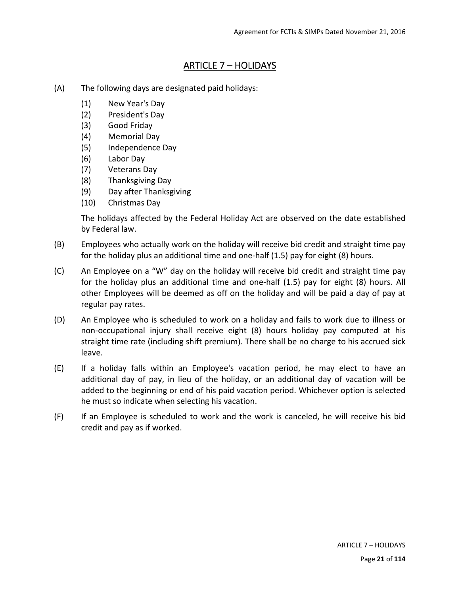## ARTICLE 7 – HOLIDAYS

- (A) The following days are designated paid holidays:
	- (1) New Year's Day
	- (2) President's Day
	- (3) Good Friday
	- (4) Memorial Day
	- (5) Independence Day
	- (6) Labor Day
	- (7) Veterans Day
	- (8) Thanksgiving Day
	- (9) Day after Thanksgiving
	- (10) Christmas Day

The holidays affected by the Federal Holiday Act are observed on the date established by Federal law.

- (B) Employees who actually work on the holiday will receive bid credit and straight time pay for the holiday plus an additional time and one-half (1.5) pay for eight (8) hours.
- (C) An Employee on a "W" day on the holiday will receive bid credit and straight time pay for the holiday plus an additional time and one-half (1.5) pay for eight (8) hours. All other Employees will be deemed as off on the holiday and will be paid a day of pay at regular pay rates.
- (D) An Employee who is scheduled to work on a holiday and fails to work due to illness or non‐occupational injury shall receive eight (8) hours holiday pay computed at his straight time rate (including shift premium). There shall be no charge to his accrued sick leave.
- (E) If a holiday falls within an Employee's vacation period, he may elect to have an additional day of pay, in lieu of the holiday, or an additional day of vacation will be added to the beginning or end of his paid vacation period. Whichever option is selected he must so indicate when selecting his vacation.
- (F) If an Employee is scheduled to work and the work is canceled, he will receive his bid credit and pay as if worked.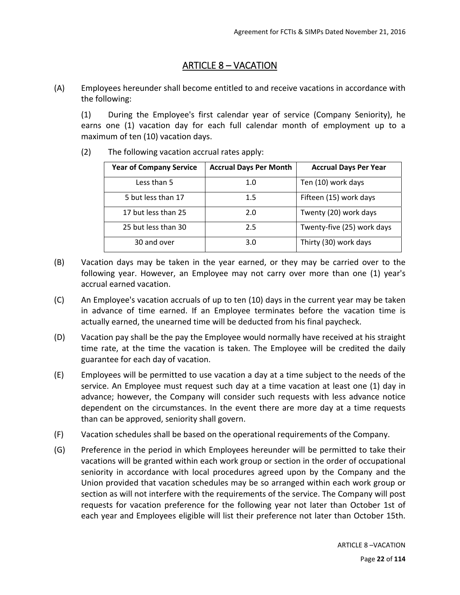# ARTICLE 8 – VACATION

(A) Employees hereunder shall become entitled to and receive vacations in accordance with the following:

(1) During the Employee's first calendar year of service (Company Seniority), he earns one (1) vacation day for each full calendar month of employment up to a maximum of ten (10) vacation days.

(2) The following vacation accrual rates apply:

| <b>Year of Company Service</b> | <b>Accrual Days Per Month</b> | <b>Accrual Days Per Year</b> |
|--------------------------------|-------------------------------|------------------------------|
| Less than 5                    | 1.0                           | Ten (10) work days           |
| 5 but less than 17             | $1.5\,$                       | Fifteen (15) work days       |
| 17 but less than 25            | 2.0                           | Twenty (20) work days        |
| 25 but less than 30            | 2.5                           | Twenty-five (25) work days   |
| 30 and over                    | 3.0                           | Thirty (30) work days        |

- (B) Vacation days may be taken in the year earned, or they may be carried over to the following year. However, an Employee may not carry over more than one (1) year's accrual earned vacation.
- (C) An Employee's vacation accruals of up to ten (10) days in the current year may be taken in advance of time earned. If an Employee terminates before the vacation time is actually earned, the unearned time will be deducted from his final paycheck.
- (D) Vacation pay shall be the pay the Employee would normally have received at his straight time rate, at the time the vacation is taken. The Employee will be credited the daily guarantee for each day of vacation.
- (E) Employees will be permitted to use vacation a day at a time subject to the needs of the service. An Employee must request such day at a time vacation at least one (1) day in advance; however, the Company will consider such requests with less advance notice dependent on the circumstances. In the event there are more day at a time requests than can be approved, seniority shall govern.
- (F) Vacation schedules shall be based on the operational requirements of the Company.
- (G) Preference in the period in which Employees hereunder will be permitted to take their vacations will be granted within each work group or section in the order of occupational seniority in accordance with local procedures agreed upon by the Company and the Union provided that vacation schedules may be so arranged within each work group or section as will not interfere with the requirements of the service. The Company will post requests for vacation preference for the following year not later than October 1st of each year and Employees eligible will list their preference not later than October 15th.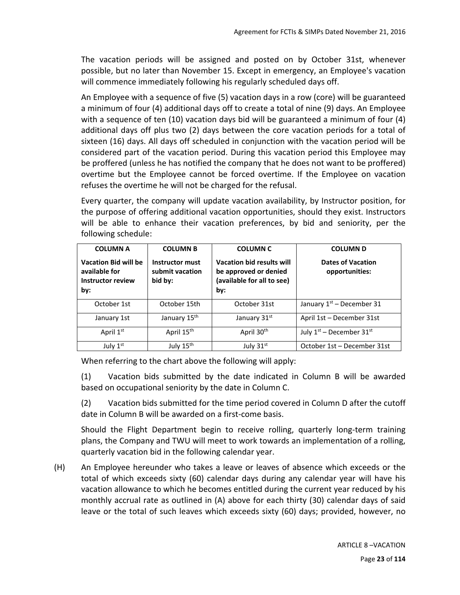The vacation periods will be assigned and posted on by October 31st, whenever possible, but no later than November 15. Except in emergency, an Employee's vacation will commence immediately following his regularly scheduled days off.

An Employee with a sequence of five (5) vacation days in a row (core) will be guaranteed a minimum of four (4) additional days off to create a total of nine (9) days. An Employee with a sequence of ten (10) vacation days bid will be guaranteed a minimum of four (4) additional days off plus two (2) days between the core vacation periods for a total of sixteen (16) days. All days off scheduled in conjunction with the vacation period will be considered part of the vacation period. During this vacation period this Employee may be proffered (unless he has notified the company that he does not want to be proffered) overtime but the Employee cannot be forced overtime. If the Employee on vacation refuses the overtime he will not be charged for the refusal.

Every quarter, the company will update vacation availability, by Instructor position, for the purpose of offering additional vacation opportunities, should they exist. Instructors will be able to enhance their vacation preferences, by bid and seniority, per the following schedule:

| <b>COLUMN A</b>                                                          | <b>COLUMN B</b>                               | <b>COLUMN C</b>                                                                         | <b>COLUMN D</b>                            |
|--------------------------------------------------------------------------|-----------------------------------------------|-----------------------------------------------------------------------------------------|--------------------------------------------|
| <b>Vacation Bid will be</b><br>available for<br>Instructor review<br>by: | Instructor must<br>submit vacation<br>bid by: | Vacation bid results will<br>be approved or denied<br>(available for all to see)<br>by: | <b>Dates of Vacation</b><br>opportunities: |
| October 1st                                                              | October 15th                                  | October 31st                                                                            | January $1st$ – December 31                |
| January 1st                                                              | January 15 <sup>th</sup>                      | January 31st                                                                            | April 1st - December 31st                  |
| April 1 <sup>st</sup>                                                    | April 15 <sup>th</sup>                        | April 30 <sup>th</sup>                                                                  | July $1^{st}$ – December $31^{st}$         |
| July $1st$                                                               | July 15 <sup>th</sup>                         | July 31 <sup>st</sup>                                                                   | October 1st – December 31st                |

When referring to the chart above the following will apply:

(1) Vacation bids submitted by the date indicated in Column B will be awarded based on occupational seniority by the date in Column C.

(2) Vacation bids submitted for the time period covered in Column D after the cutoff date in Column B will be awarded on a first‐come basis.

Should the Flight Department begin to receive rolling, quarterly long-term training plans, the Company and TWU will meet to work towards an implementation of a rolling, quarterly vacation bid in the following calendar year.

(H) An Employee hereunder who takes a leave or leaves of absence which exceeds or the total of which exceeds sixty (60) calendar days during any calendar year will have his vacation allowance to which he becomes entitled during the current year reduced by his monthly accrual rate as outlined in (A) above for each thirty (30) calendar days of said leave or the total of such leaves which exceeds sixty (60) days; provided, however, no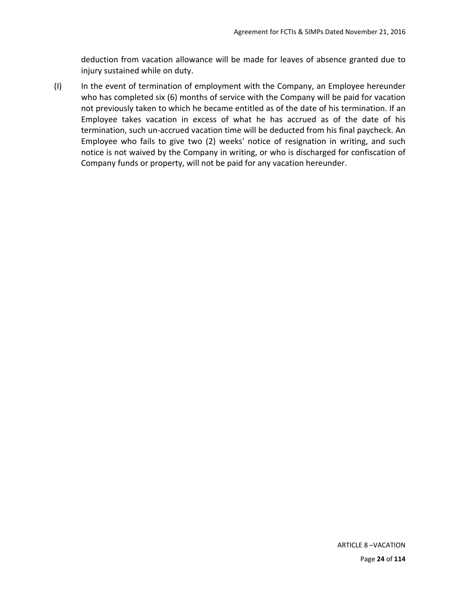deduction from vacation allowance will be made for leaves of absence granted due to injury sustained while on duty.

(I) In the event of termination of employment with the Company, an Employee hereunder who has completed six (6) months of service with the Company will be paid for vacation not previously taken to which he became entitled as of the date of his termination. If an Employee takes vacation in excess of what he has accrued as of the date of his termination, such un‐accrued vacation time will be deducted from his final paycheck. An Employee who fails to give two (2) weeks' notice of resignation in writing, and such notice is not waived by the Company in writing, or who is discharged for confiscation of Company funds or property, will not be paid for any vacation hereunder.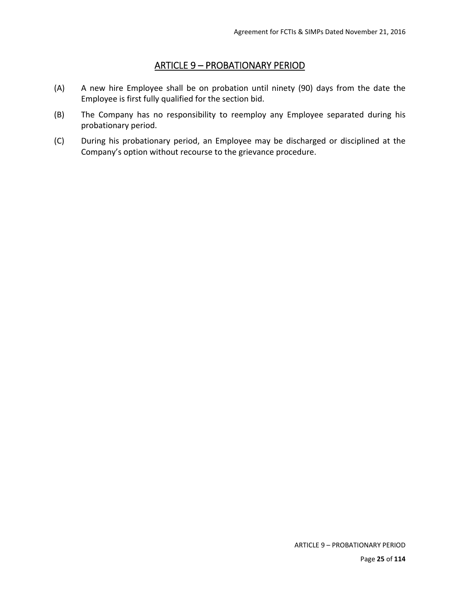## ARTICLE 9 – PROBATIONARY PERIOD

- (A) A new hire Employee shall be on probation until ninety (90) days from the date the Employee is first fully qualified for the section bid.
- (B) The Company has no responsibility to reemploy any Employee separated during his probationary period.
- (C) During his probationary period, an Employee may be discharged or disciplined at the Company's option without recourse to the grievance procedure.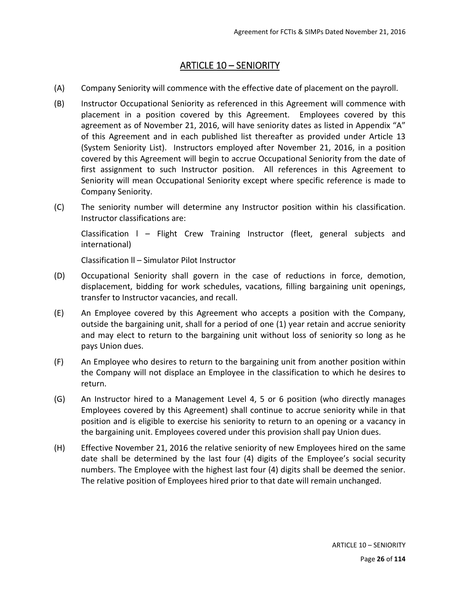## ARTICLE 10 – SENIORITY

- (A) Company Seniority will commence with the effective date of placement on the payroll.
- (B) Instructor Occupational Seniority as referenced in this Agreement will commence with placement in a position covered by this Agreement. Employees covered by this agreement as of November 21, 2016, will have seniority dates as listed in Appendix "A" of this Agreement and in each published list thereafter as provided under Article 13 (System Seniority List). Instructors employed after November 21, 2016, in a position covered by this Agreement will begin to accrue Occupational Seniority from the date of first assignment to such Instructor position. All references in this Agreement to Seniority will mean Occupational Seniority except where specific reference is made to Company Seniority.
- (C) The seniority number will determine any Instructor position within his classification. Instructor classifications are:

Classification I - Flight Crew Training Instructor (fleet, general subjects and international)

Classification ll – Simulator Pilot Instructor

- (D) Occupational Seniority shall govern in the case of reductions in force, demotion, displacement, bidding for work schedules, vacations, filling bargaining unit openings, transfer to Instructor vacancies, and recall.
- (E) An Employee covered by this Agreement who accepts a position with the Company, outside the bargaining unit, shall for a period of one (1) year retain and accrue seniority and may elect to return to the bargaining unit without loss of seniority so long as he pays Union dues.
- (F) An Employee who desires to return to the bargaining unit from another position within the Company will not displace an Employee in the classification to which he desires to return.
- (G) An Instructor hired to a Management Level 4, 5 or 6 position (who directly manages Employees covered by this Agreement) shall continue to accrue seniority while in that position and is eligible to exercise his seniority to return to an opening or a vacancy in the bargaining unit. Employees covered under this provision shall pay Union dues.
- (H) Effective November 21, 2016 the relative seniority of new Employees hired on the same date shall be determined by the last four (4) digits of the Employee's social security numbers. The Employee with the highest last four (4) digits shall be deemed the senior. The relative position of Employees hired prior to that date will remain unchanged.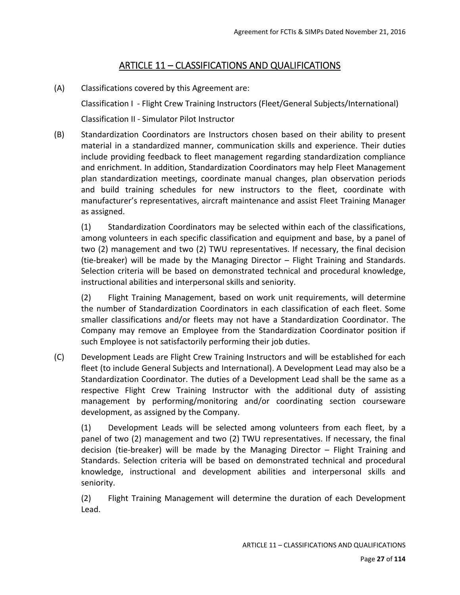# ARTICLE 11 – CLASSIFICATIONS AND QUALIFICATIONS

(A) Classifications covered by this Agreement are:

Classification I ‐ Flight Crew Training Instructors (Fleet/General Subjects/International) Classification II ‐ Simulator Pilot Instructor

(B) Standardization Coordinators are Instructors chosen based on their ability to present material in a standardized manner, communication skills and experience. Their duties include providing feedback to fleet management regarding standardization compliance and enrichment. In addition, Standardization Coordinators may help Fleet Management plan standardization meetings, coordinate manual changes, plan observation periods and build training schedules for new instructors to the fleet, coordinate with manufacturer's representatives, aircraft maintenance and assist Fleet Training Manager as assigned.

(1) Standardization Coordinators may be selected within each of the classifications, among volunteers in each specific classification and equipment and base, by a panel of two (2) management and two (2) TWU representatives. If necessary, the final decision (tie‐breaker) will be made by the Managing Director – Flight Training and Standards. Selection criteria will be based on demonstrated technical and procedural knowledge, instructional abilities and interpersonal skills and seniority.

(2) Flight Training Management, based on work unit requirements, will determine the number of Standardization Coordinators in each classification of each fleet. Some smaller classifications and/or fleets may not have a Standardization Coordinator. The Company may remove an Employee from the Standardization Coordinator position if such Employee is not satisfactorily performing their job duties.

(C) Development Leads are Flight Crew Training Instructors and will be established for each fleet (to include General Subjects and International). A Development Lead may also be a Standardization Coordinator. The duties of a Development Lead shall be the same as a respective Flight Crew Training Instructor with the additional duty of assisting management by performing/monitoring and/or coordinating section courseware development, as assigned by the Company.

(1) Development Leads will be selected among volunteers from each fleet, by a panel of two (2) management and two (2) TWU representatives. If necessary, the final decision (tie-breaker) will be made by the Managing Director – Flight Training and Standards. Selection criteria will be based on demonstrated technical and procedural knowledge, instructional and development abilities and interpersonal skills and seniority.

(2) Flight Training Management will determine the duration of each Development Lead.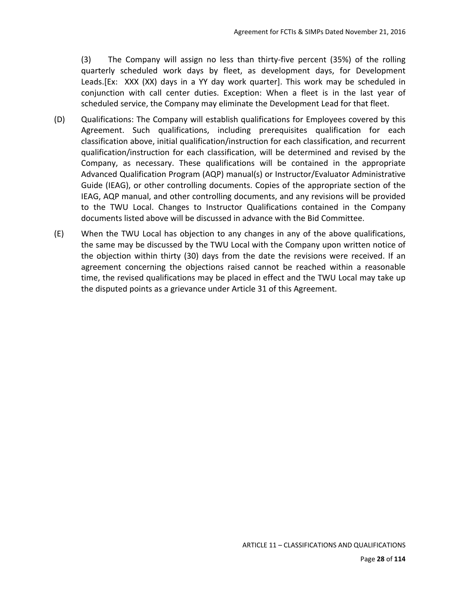(3) The Company will assign no less than thirty‐five percent (35%) of the rolling quarterly scheduled work days by fleet, as development days, for Development Leads.[Ex: XXX (XX) days in a YY day work quarter]. This work may be scheduled in conjunction with call center duties. Exception: When a fleet is in the last year of scheduled service, the Company may eliminate the Development Lead for that fleet.

- (D) Qualifications: The Company will establish qualifications for Employees covered by this Agreement. Such qualifications, including prerequisites qualification for each classification above, initial qualification/instruction for each classification, and recurrent qualification/instruction for each classification, will be determined and revised by the Company, as necessary. These qualifications will be contained in the appropriate Advanced Qualification Program (AQP) manual(s) or Instructor/Evaluator Administrative Guide (IEAG), or other controlling documents. Copies of the appropriate section of the IEAG, AQP manual, and other controlling documents, and any revisions will be provided to the TWU Local. Changes to Instructor Qualifications contained in the Company documents listed above will be discussed in advance with the Bid Committee.
- (E) When the TWU Local has objection to any changes in any of the above qualifications, the same may be discussed by the TWU Local with the Company upon written notice of the objection within thirty (30) days from the date the revisions were received. If an agreement concerning the objections raised cannot be reached within a reasonable time, the revised qualifications may be placed in effect and the TWU Local may take up the disputed points as a grievance under Article 31 of this Agreement.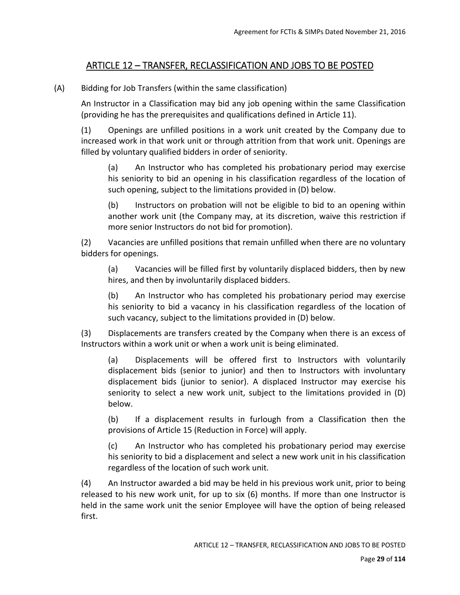# ARTICLE 12 – TRANSFER, RECLASSIFICATION AND JOBS TO BE POSTED

(A) Bidding for Job Transfers (within the same classification)

An Instructor in a Classification may bid any job opening within the same Classification (providing he has the prerequisites and qualifications defined in Article 11).

(1) Openings are unfilled positions in a work unit created by the Company due to increased work in that work unit or through attrition from that work unit. Openings are filled by voluntary qualified bidders in order of seniority.

(a) An Instructor who has completed his probationary period may exercise his seniority to bid an opening in his classification regardless of the location of such opening, subject to the limitations provided in (D) below.

(b) Instructors on probation will not be eligible to bid to an opening within another work unit (the Company may, at its discretion, waive this restriction if more senior Instructors do not bid for promotion).

(2) Vacancies are unfilled positions that remain unfilled when there are no voluntary bidders for openings.

(a) Vacancies will be filled first by voluntarily displaced bidders, then by new hires, and then by involuntarily displaced bidders.

(b) An Instructor who has completed his probationary period may exercise his seniority to bid a vacancy in his classification regardless of the location of such vacancy, subject to the limitations provided in (D) below.

(3) Displacements are transfers created by the Company when there is an excess of Instructors within a work unit or when a work unit is being eliminated.

(a) Displacements will be offered first to Instructors with voluntarily displacement bids (senior to junior) and then to Instructors with involuntary displacement bids (junior to senior). A displaced Instructor may exercise his seniority to select a new work unit, subject to the limitations provided in (D) below.

(b) If a displacement results in furlough from a Classification then the provisions of Article 15 (Reduction in Force) will apply.

(c) An Instructor who has completed his probationary period may exercise his seniority to bid a displacement and select a new work unit in his classification regardless of the location of such work unit.

(4) An Instructor awarded a bid may be held in his previous work unit, prior to being released to his new work unit, for up to six (6) months. If more than one Instructor is held in the same work unit the senior Employee will have the option of being released first.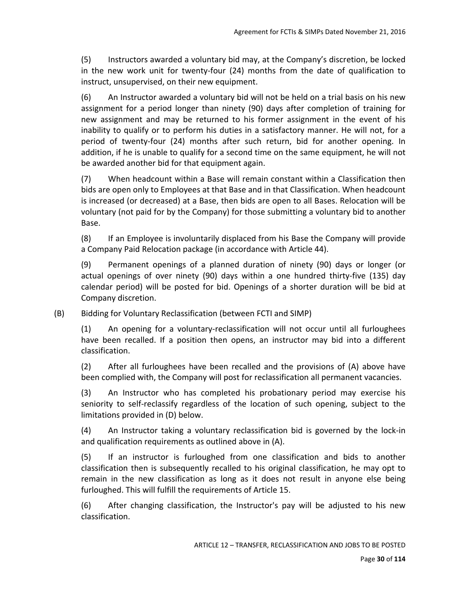(5) Instructors awarded a voluntary bid may, at the Company's discretion, be locked in the new work unit for twenty-four (24) months from the date of qualification to instruct, unsupervised, on their new equipment.

(6) An Instructor awarded a voluntary bid will not be held on a trial basis on his new assignment for a period longer than ninety (90) days after completion of training for new assignment and may be returned to his former assignment in the event of his inability to qualify or to perform his duties in a satisfactory manner. He will not, for a period of twenty-four (24) months after such return, bid for another opening. In addition, if he is unable to qualify for a second time on the same equipment, he will not be awarded another bid for that equipment again.

(7) When headcount within a Base will remain constant within a Classification then bids are open only to Employees at that Base and in that Classification. When headcount is increased (or decreased) at a Base, then bids are open to all Bases. Relocation will be voluntary (not paid for by the Company) for those submitting a voluntary bid to another Base.

(8) If an Employee is involuntarily displaced from his Base the Company will provide a Company Paid Relocation package (in accordance with Article 44).

(9) Permanent openings of a planned duration of ninety (90) days or longer (or actual openings of over ninety (90) days within a one hundred thirty‐five (135) day calendar period) will be posted for bid. Openings of a shorter duration will be bid at Company discretion.

(B) Bidding for Voluntary Reclassification (between FCTI and SIMP)

(1) An opening for a voluntary‐reclassification will not occur until all furloughees have been recalled. If a position then opens, an instructor may bid into a different classification.

(2) After all furloughees have been recalled and the provisions of (A) above have been complied with, the Company will post for reclassification all permanent vacancies.

(3) An Instructor who has completed his probationary period may exercise his seniority to self-reclassify regardless of the location of such opening, subject to the limitations provided in (D) below.

(4) An Instructor taking a voluntary reclassification bid is governed by the lock-in and qualification requirements as outlined above in (A).

(5) If an instructor is furloughed from one classification and bids to another classification then is subsequently recalled to his original classification, he may opt to remain in the new classification as long as it does not result in anyone else being furloughed. This will fulfill the requirements of Article 15.

(6) After changing classification, the Instructor's pay will be adjusted to his new classification.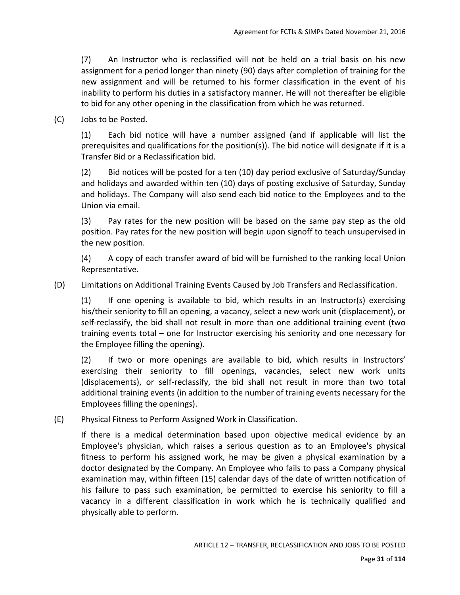(7) An Instructor who is reclassified will not be held on a trial basis on his new assignment for a period longer than ninety (90) days after completion of training for the new assignment and will be returned to his former classification in the event of his inability to perform his duties in a satisfactory manner. He will not thereafter be eligible to bid for any other opening in the classification from which he was returned.

(C) Jobs to be Posted.

(1) Each bid notice will have a number assigned (and if applicable will list the prerequisites and qualifications for the position(s)). The bid notice will designate if it is a Transfer Bid or a Reclassification bid.

(2) Bid notices will be posted for a ten (10) day period exclusive of Saturday/Sunday and holidays and awarded within ten (10) days of posting exclusive of Saturday, Sunday and holidays. The Company will also send each bid notice to the Employees and to the Union via email.

(3) Pay rates for the new position will be based on the same pay step as the old position. Pay rates for the new position will begin upon signoff to teach unsupervised in the new position.

(4) A copy of each transfer award of bid will be furnished to the ranking local Union Representative.

(D) Limitations on Additional Training Events Caused by Job Transfers and Reclassification.

 $(1)$  If one opening is available to bid, which results in an Instructor(s) exercising his/their seniority to fill an opening, a vacancy, select a new work unit (displacement), or self-reclassify, the bid shall not result in more than one additional training event (two training events total – one for Instructor exercising his seniority and one necessary for the Employee filling the opening).

(2) If two or more openings are available to bid, which results in Instructors' exercising their seniority to fill openings, vacancies, select new work units (displacements), or self-reclassify, the bid shall not result in more than two total additional training events (in addition to the number of training events necessary for the Employees filling the openings).

(E) Physical Fitness to Perform Assigned Work in Classification.

If there is a medical determination based upon objective medical evidence by an Employee's physician, which raises a serious question as to an Employee's physical fitness to perform his assigned work, he may be given a physical examination by a doctor designated by the Company. An Employee who fails to pass a Company physical examination may, within fifteen (15) calendar days of the date of written notification of his failure to pass such examination, be permitted to exercise his seniority to fill a vacancy in a different classification in work which he is technically qualified and physically able to perform.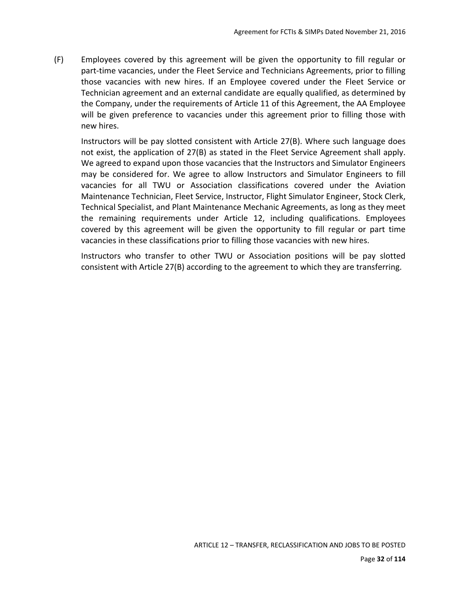(F) Employees covered by this agreement will be given the opportunity to fill regular or part-time vacancies, under the Fleet Service and Technicians Agreements, prior to filling those vacancies with new hires. If an Employee covered under the Fleet Service or Technician agreement and an external candidate are equally qualified, as determined by the Company, under the requirements of Article 11 of this Agreement, the AA Employee will be given preference to vacancies under this agreement prior to filling those with new hires.

Instructors will be pay slotted consistent with Article 27(B). Where such language does not exist, the application of 27(B) as stated in the Fleet Service Agreement shall apply. We agreed to expand upon those vacancies that the Instructors and Simulator Engineers may be considered for. We agree to allow Instructors and Simulator Engineers to fill vacancies for all TWU or Association classifications covered under the Aviation Maintenance Technician, Fleet Service, Instructor, Flight Simulator Engineer, Stock Clerk, Technical Specialist, and Plant Maintenance Mechanic Agreements, as long as they meet the remaining requirements under Article 12, including qualifications. Employees covered by this agreement will be given the opportunity to fill regular or part time vacancies in these classifications prior to filling those vacancies with new hires.

Instructors who transfer to other TWU or Association positions will be pay slotted consistent with Article 27(B) according to the agreement to which they are transferring.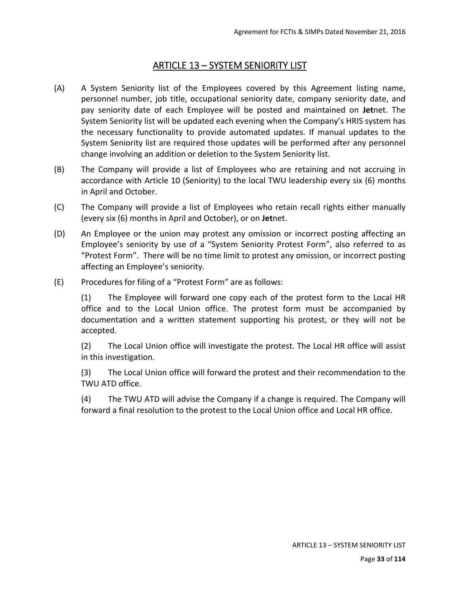# ARTICLE 13 – SYSTEM SENIORITY LIST

- (A) A System Seniority list of the Employees covered by this Agreement listing name, personnel number, job title, occupational seniority date, company seniority date, and pay seniority date of each Employee will be posted and maintained on **Jet**net. The System Seniority list will be updated each evening when the Company's HRIS system has the necessary functionality to provide automated updates. If manual updates to the System Seniority list are required those updates will be performed after any personnel change involving an addition or deletion to the System Seniority list.
- (B) The Company will provide a list of Employees who are retaining and not accruing in accordance with Article 10 (Seniority) to the local TWU leadership every six (6) months in April and October.
- (C) The Company will provide a list of Employees who retain recall rights either manually (every six (6) months in April and October), or on **Jet**net.
- (D) An Employee or the union may protest any omission or incorrect posting affecting an Employee's seniority by use of a "System Seniority Protest Form", also referred to as "Protest Form". There will be no time limit to protest any omission, or incorrect posting affecting an Employee's seniority.
- (E) Procedures for filing of a "Protest Form" are as follows:

(1) The Employee will forward one copy each of the protest form to the Local HR office and to the Local Union office. The protest form must be accompanied by documentation and a written statement supporting his protest, or they will not be accepted.

(2) The Local Union office will investigate the protest. The Local HR office will assist in this investigation.

(3) The Local Union office will forward the protest and their recommendation to the TWU ATD office.

(4) The TWU ATD will advise the Company if a change is required. The Company will forward a final resolution to the protest to the Local Union office and Local HR office.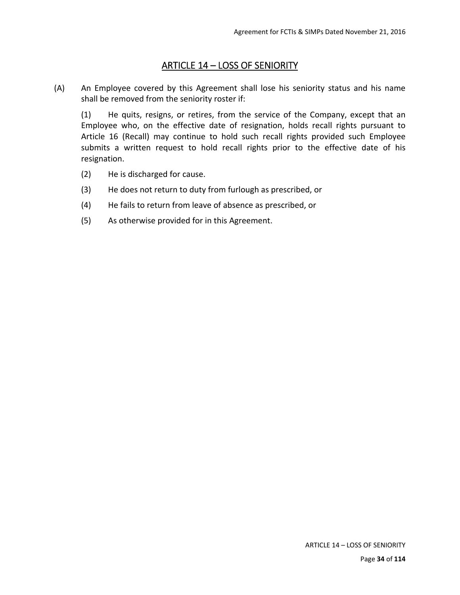## ARTICLE 14 – LOSS OF SENIORITY

(A) An Employee covered by this Agreement shall lose his seniority status and his name shall be removed from the seniority roster if:

(1) He quits, resigns, or retires, from the service of the Company, except that an Employee who, on the effective date of resignation, holds recall rights pursuant to Article 16 (Recall) may continue to hold such recall rights provided such Employee submits a written request to hold recall rights prior to the effective date of his resignation.

- (2) He is discharged for cause.
- (3) He does not return to duty from furlough as prescribed, or
- (4) He fails to return from leave of absence as prescribed, or
- (5) As otherwise provided for in this Agreement.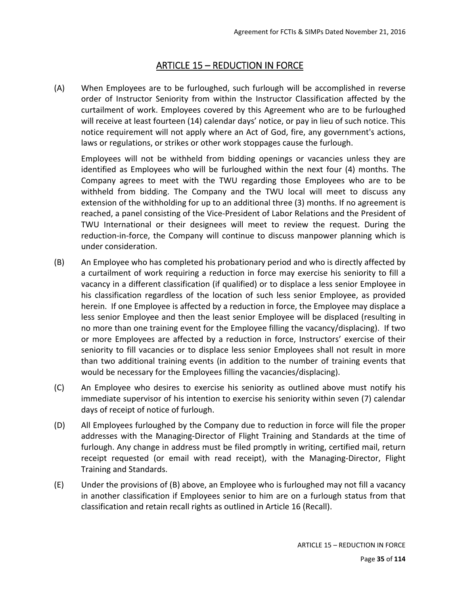## ARTICLE 15 – REDUCTION IN FORCE

(A) When Employees are to be furloughed, such furlough will be accomplished in reverse order of Instructor Seniority from within the Instructor Classification affected by the curtailment of work. Employees covered by this Agreement who are to be furloughed will receive at least fourteen (14) calendar days' notice, or pay in lieu of such notice. This notice requirement will not apply where an Act of God, fire, any government's actions, laws or regulations, or strikes or other work stoppages cause the furlough.

Employees will not be withheld from bidding openings or vacancies unless they are identified as Employees who will be furloughed within the next four (4) months. The Company agrees to meet with the TWU regarding those Employees who are to be withheld from bidding. The Company and the TWU local will meet to discuss any extension of the withholding for up to an additional three (3) months. If no agreement is reached, a panel consisting of the Vice‐President of Labor Relations and the President of TWU International or their designees will meet to review the request. During the reduction-in-force, the Company will continue to discuss manpower planning which is under consideration.

- (B) An Employee who has completed his probationary period and who is directly affected by a curtailment of work requiring a reduction in force may exercise his seniority to fill a vacancy in a different classification (if qualified) or to displace a less senior Employee in his classification regardless of the location of such less senior Employee, as provided herein. If one Employee is affected by a reduction in force, the Employee may displace a less senior Employee and then the least senior Employee will be displaced (resulting in no more than one training event for the Employee filling the vacancy/displacing). If two or more Employees are affected by a reduction in force, Instructors' exercise of their seniority to fill vacancies or to displace less senior Employees shall not result in more than two additional training events (in addition to the number of training events that would be necessary for the Employees filling the vacancies/displacing).
- (C) An Employee who desires to exercise his seniority as outlined above must notify his immediate supervisor of his intention to exercise his seniority within seven (7) calendar days of receipt of notice of furlough.
- (D) All Employees furloughed by the Company due to reduction in force will file the proper addresses with the Managing-Director of Flight Training and Standards at the time of furlough. Any change in address must be filed promptly in writing, certified mail, return receipt requested (or email with read receipt), with the Managing-Director, Flight Training and Standards.
- (E) Under the provisions of (B) above, an Employee who is furloughed may not fill a vacancy in another classification if Employees senior to him are on a furlough status from that classification and retain recall rights as outlined in Article 16 (Recall).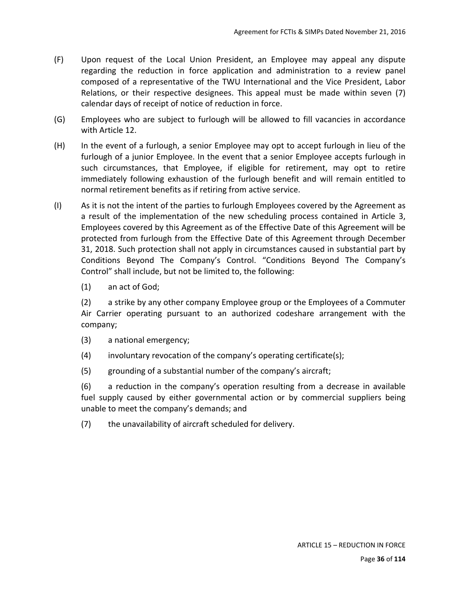- (F) Upon request of the Local Union President, an Employee may appeal any dispute regarding the reduction in force application and administration to a review panel composed of a representative of the TWU International and the Vice President, Labor Relations, or their respective designees. This appeal must be made within seven (7) calendar days of receipt of notice of reduction in force.
- (G) Employees who are subject to furlough will be allowed to fill vacancies in accordance with Article 12.
- (H) In the event of a furlough, a senior Employee may opt to accept furlough in lieu of the furlough of a junior Employee. In the event that a senior Employee accepts furlough in such circumstances, that Employee, if eligible for retirement, may opt to retire immediately following exhaustion of the furlough benefit and will remain entitled to normal retirement benefits as if retiring from active service.
- (I) As it is not the intent of the parties to furlough Employees covered by the Agreement as a result of the implementation of the new scheduling process contained in Article 3, Employees covered by this Agreement as of the Effective Date of this Agreement will be protected from furlough from the Effective Date of this Agreement through December 31, 2018. Such protection shall not apply in circumstances caused in substantial part by Conditions Beyond The Company's Control. "Conditions Beyond The Company's Control" shall include, but not be limited to, the following:
	- (1) an act of God;

(2) a strike by any other company Employee group or the Employees of a Commuter Air Carrier operating pursuant to an authorized codeshare arrangement with the company;

- (3) a national emergency;
- (4) involuntary revocation of the company's operating certificate(s);
- (5) grounding of a substantial number of the company's aircraft;

(6) a reduction in the company's operation resulting from a decrease in available fuel supply caused by either governmental action or by commercial suppliers being unable to meet the company's demands; and

(7) the unavailability of aircraft scheduled for delivery.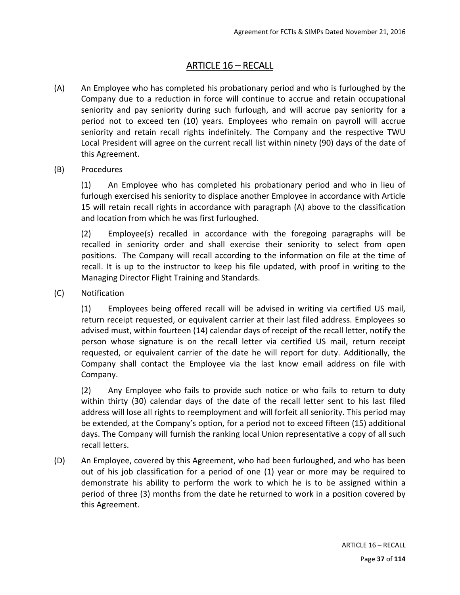# ARTICLE 16 – RECALL

- (A) An Employee who has completed his probationary period and who is furloughed by the Company due to a reduction in force will continue to accrue and retain occupational seniority and pay seniority during such furlough, and will accrue pay seniority for a period not to exceed ten (10) years. Employees who remain on payroll will accrue seniority and retain recall rights indefinitely. The Company and the respective TWU Local President will agree on the current recall list within ninety (90) days of the date of this Agreement.
- (B) Procedures

(1) An Employee who has completed his probationary period and who in lieu of furlough exercised his seniority to displace another Employee in accordance with Article 15 will retain recall rights in accordance with paragraph (A) above to the classification and location from which he was first furloughed.

(2) Employee(s) recalled in accordance with the foregoing paragraphs will be recalled in seniority order and shall exercise their seniority to select from open positions. The Company will recall according to the information on file at the time of recall. It is up to the instructor to keep his file updated, with proof in writing to the Managing Director Flight Training and Standards.

(C) Notification

(1) Employees being offered recall will be advised in writing via certified US mail, return receipt requested, or equivalent carrier at their last filed address. Employees so advised must, within fourteen (14) calendar days of receipt of the recall letter, notify the person whose signature is on the recall letter via certified US mail, return receipt requested, or equivalent carrier of the date he will report for duty. Additionally, the Company shall contact the Employee via the last know email address on file with Company.

(2) Any Employee who fails to provide such notice or who fails to return to duty within thirty (30) calendar days of the date of the recall letter sent to his last filed address will lose all rights to reemployment and will forfeit all seniority. This period may be extended, at the Company's option, for a period not to exceed fifteen (15) additional days. The Company will furnish the ranking local Union representative a copy of all such recall letters.

(D) An Employee, covered by this Agreement, who had been furloughed, and who has been out of his job classification for a period of one (1) year or more may be required to demonstrate his ability to perform the work to which he is to be assigned within a period of three (3) months from the date he returned to work in a position covered by this Agreement.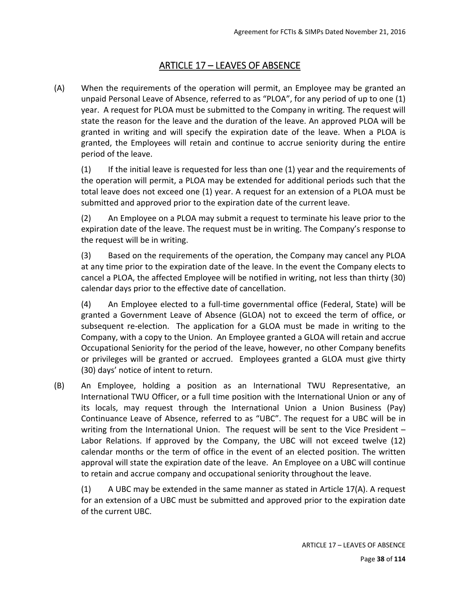## ARTICLE 17 – LEAVES OF ABSENCE

(A) When the requirements of the operation will permit, an Employee may be granted an unpaid Personal Leave of Absence, referred to as "PLOA", for any period of up to one (1) year. A request for PLOA must be submitted to the Company in writing. The request will state the reason for the leave and the duration of the leave. An approved PLOA will be granted in writing and will specify the expiration date of the leave. When a PLOA is granted, the Employees will retain and continue to accrue seniority during the entire period of the leave.

(1) If the initial leave is requested for less than one (1) year and the requirements of the operation will permit, a PLOA may be extended for additional periods such that the total leave does not exceed one (1) year. A request for an extension of a PLOA must be submitted and approved prior to the expiration date of the current leave.

(2) An Employee on a PLOA may submit a request to terminate his leave prior to the expiration date of the leave. The request must be in writing. The Company's response to the request will be in writing.

(3) Based on the requirements of the operation, the Company may cancel any PLOA at any time prior to the expiration date of the leave. In the event the Company elects to cancel a PLOA, the affected Employee will be notified in writing, not less than thirty (30) calendar days prior to the effective date of cancellation.

(4) An Employee elected to a full‐time governmental office (Federal, State) will be granted a Government Leave of Absence (GLOA) not to exceed the term of office, or subsequent re-election. The application for a GLOA must be made in writing to the Company, with a copy to the Union. An Employee granted a GLOA will retain and accrue Occupational Seniority for the period of the leave, however, no other Company benefits or privileges will be granted or accrued. Employees granted a GLOA must give thirty (30) days' notice of intent to return.

(B) An Employee, holding a position as an International TWU Representative, an International TWU Officer, or a full time position with the International Union or any of its locals, may request through the International Union a Union Business (Pay) Continuance Leave of Absence, referred to as "UBC". The request for a UBC will be in writing from the International Union. The request will be sent to the Vice President -Labor Relations. If approved by the Company, the UBC will not exceed twelve (12) calendar months or the term of office in the event of an elected position. The written approval will state the expiration date of the leave. An Employee on a UBC will continue to retain and accrue company and occupational seniority throughout the leave.

 $(1)$  A UBC may be extended in the same manner as stated in Article 17(A). A request for an extension of a UBC must be submitted and approved prior to the expiration date of the current UBC.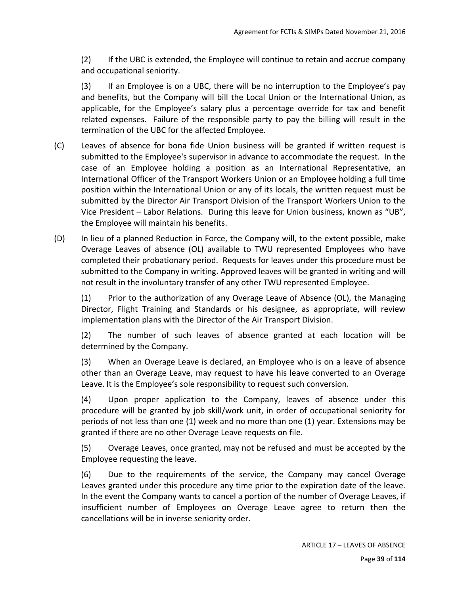(2) If the UBC is extended, the Employee will continue to retain and accrue company and occupational seniority.

(3) If an Employee is on a UBC, there will be no interruption to the Employee's pay and benefits, but the Company will bill the Local Union or the International Union, as applicable, for the Employee's salary plus a percentage override for tax and benefit related expenses. Failure of the responsible party to pay the billing will result in the termination of the UBC for the affected Employee.

- (C) Leaves of absence for bona fide Union business will be granted if written request is submitted to the Employee's supervisor in advance to accommodate the request. In the case of an Employee holding a position as an International Representative, an International Officer of the Transport Workers Union or an Employee holding a full time position within the International Union or any of its locals, the written request must be submitted by the Director Air Transport Division of the Transport Workers Union to the Vice President – Labor Relations. During this leave for Union business, known as "UB", the Employee will maintain his benefits.
- (D) In lieu of a planned Reduction in Force, the Company will, to the extent possible, make Overage Leaves of absence (OL) available to TWU represented Employees who have completed their probationary period. Requests for leaves under this procedure must be submitted to the Company in writing. Approved leaves will be granted in writing and will not result in the involuntary transfer of any other TWU represented Employee.

(1) Prior to the authorization of any Overage Leave of Absence (OL), the Managing Director, Flight Training and Standards or his designee, as appropriate, will review implementation plans with the Director of the Air Transport Division.

(2) The number of such leaves of absence granted at each location will be determined by the Company.

(3) When an Overage Leave is declared, an Employee who is on a leave of absence other than an Overage Leave, may request to have his leave converted to an Overage Leave. It is the Employee's sole responsibility to request such conversion.

(4) Upon proper application to the Company, leaves of absence under this procedure will be granted by job skill/work unit, in order of occupational seniority for periods of not less than one (1) week and no more than one (1) year. Extensions may be granted if there are no other Overage Leave requests on file.

(5) Overage Leaves, once granted, may not be refused and must be accepted by the Employee requesting the leave.

(6) Due to the requirements of the service, the Company may cancel Overage Leaves granted under this procedure any time prior to the expiration date of the leave. In the event the Company wants to cancel a portion of the number of Overage Leaves, if insufficient number of Employees on Overage Leave agree to return then the cancellations will be in inverse seniority order.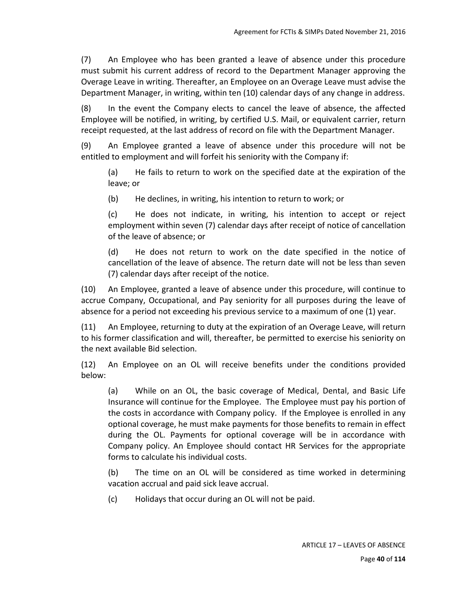(7) An Employee who has been granted a leave of absence under this procedure must submit his current address of record to the Department Manager approving the Overage Leave in writing. Thereafter, an Employee on an Overage Leave must advise the Department Manager, in writing, within ten (10) calendar days of any change in address.

(8) In the event the Company elects to cancel the leave of absence, the affected Employee will be notified, in writing, by certified U.S. Mail, or equivalent carrier, return receipt requested, at the last address of record on file with the Department Manager.

(9) An Employee granted a leave of absence under this procedure will not be entitled to employment and will forfeit his seniority with the Company if:

(a) He fails to return to work on the specified date at the expiration of the leave; or

(b) He declines, in writing, his intention to return to work; or

(c) He does not indicate, in writing, his intention to accept or reject employment within seven (7) calendar days after receipt of notice of cancellation of the leave of absence; or

(d) He does not return to work on the date specified in the notice of cancellation of the leave of absence. The return date will not be less than seven (7) calendar days after receipt of the notice.

(10) An Employee, granted a leave of absence under this procedure, will continue to accrue Company, Occupational, and Pay seniority for all purposes during the leave of absence for a period not exceeding his previous service to a maximum of one (1) year.

(11) An Employee, returning to duty at the expiration of an Overage Leave, will return to his former classification and will, thereafter, be permitted to exercise his seniority on the next available Bid selection.

(12) An Employee on an OL will receive benefits under the conditions provided below:

(a) While on an OL, the basic coverage of Medical, Dental, and Basic Life Insurance will continue for the Employee. The Employee must pay his portion of the costs in accordance with Company policy. If the Employee is enrolled in any optional coverage, he must make payments for those benefits to remain in effect during the OL. Payments for optional coverage will be in accordance with Company policy. An Employee should contact HR Services for the appropriate forms to calculate his individual costs.

(b) The time on an OL will be considered as time worked in determining vacation accrual and paid sick leave accrual.

(c) Holidays that occur during an OL will not be paid.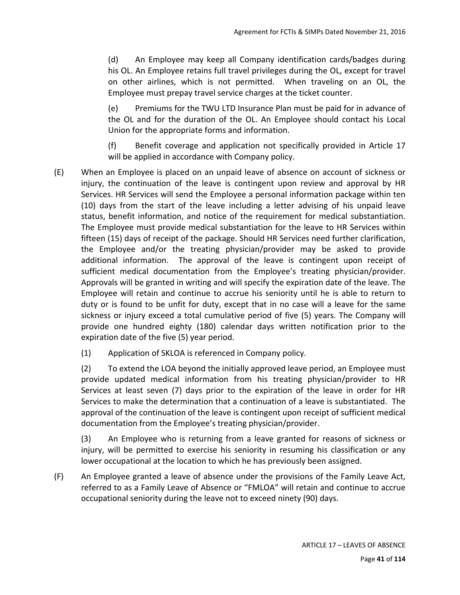(d) An Employee may keep all Company identification cards/badges during his OL. An Employee retains full travel privileges during the OL, except for travel on other airlines, which is not permitted. When traveling on an OL, the Employee must prepay travel service charges at the ticket counter.

(e) Premiums for the TWU LTD Insurance Plan must be paid for in advance of the OL and for the duration of the OL. An Employee should contact his Local Union for the appropriate forms and information.

(f) Benefit coverage and application not specifically provided in Article 17 will be applied in accordance with Company policy.

- (E) When an Employee is placed on an unpaid leave of absence on account of sickness or injury, the continuation of the leave is contingent upon review and approval by HR Services. HR Services will send the Employee a personal information package within ten (10) days from the start of the leave including a letter advising of his unpaid leave status, benefit information, and notice of the requirement for medical substantiation. The Employee must provide medical substantiation for the leave to HR Services within fifteen (15) days of receipt of the package. Should HR Services need further clarification, the Employee and/or the treating physician/provider may be asked to provide additional information. The approval of the leave is contingent upon receipt of sufficient medical documentation from the Employee's treating physician/provider. Approvals will be granted in writing and will specify the expiration date of the leave. The Employee will retain and continue to accrue his seniority until he is able to return to duty or is found to be unfit for duty, except that in no case will a leave for the same sickness or injury exceed a total cumulative period of five (5) years. The Company will provide one hundred eighty (180) calendar days written notification prior to the expiration date of the five (5) year period.
	- (1) Application of SKLOA is referenced in Company policy.

(2) To extend the LOA beyond the initially approved leave period, an Employee must provide updated medical information from his treating physician/provider to HR Services at least seven (7) days prior to the expiration of the leave in order for HR Services to make the determination that a continuation of a leave is substantiated. The approval of the continuation of the leave is contingent upon receipt of sufficient medical documentation from the Employee's treating physician/provider.

(3) An Employee who is returning from a leave granted for reasons of sickness or injury, will be permitted to exercise his seniority in resuming his classification or any lower occupational at the location to which he has previously been assigned.

(F) An Employee granted a leave of absence under the provisions of the Family Leave Act, referred to as a Family Leave of Absence or "FMLOA" will retain and continue to accrue occupational seniority during the leave not to exceed ninety (90) days.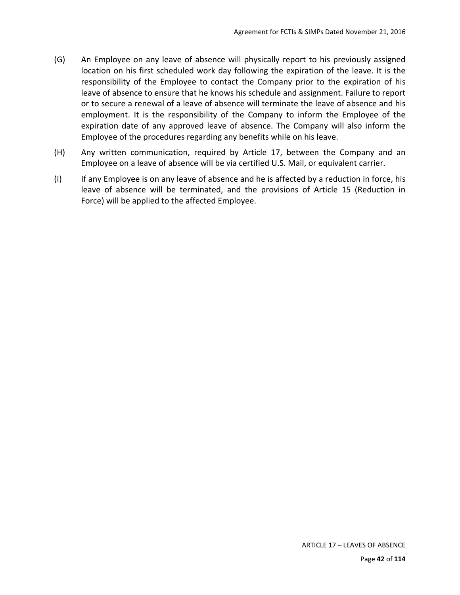- (G) An Employee on any leave of absence will physically report to his previously assigned location on his first scheduled work day following the expiration of the leave. It is the responsibility of the Employee to contact the Company prior to the expiration of his leave of absence to ensure that he knows his schedule and assignment. Failure to report or to secure a renewal of a leave of absence will terminate the leave of absence and his employment. It is the responsibility of the Company to inform the Employee of the expiration date of any approved leave of absence. The Company will also inform the Employee of the procedures regarding any benefits while on his leave.
- (H) Any written communication, required by Article 17, between the Company and an Employee on a leave of absence will be via certified U.S. Mail, or equivalent carrier.
- (I) If any Employee is on any leave of absence and he is affected by a reduction in force, his leave of absence will be terminated, and the provisions of Article 15 (Reduction in Force) will be applied to the affected Employee.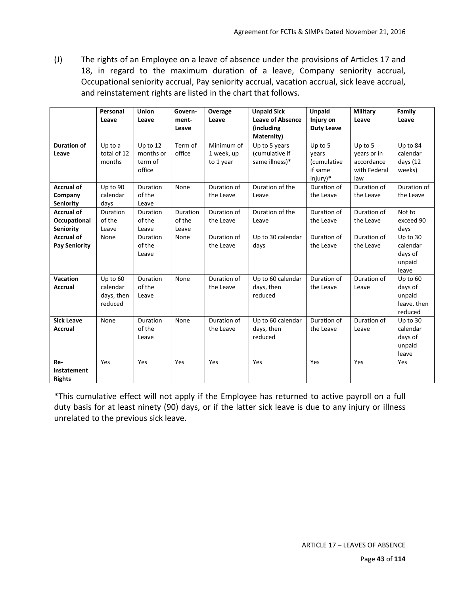(J) The rights of an Employee on a leave of absence under the provisions of Articles 17 and 18, in regard to the maximum duration of a leave, Company seniority accrual, Occupational seniority accrual, Pay seniority accrual, vacation accrual, sick leave accrual, and reinstatement rights are listed in the chart that follows.

|                                                       | Personal<br>Leave                             | <b>Union</b><br>Leave                      | Govern-<br>ment-<br>Leave   | Overage<br>Leave                      | <b>Unpaid Sick</b><br><b>Leave of Absence</b><br>(including<br>Maternity) | <b>Unpaid</b><br>Injury on<br><b>Duty Leave</b>               | <b>Military</b><br>Leave                                    | Family<br>Leave                                         |
|-------------------------------------------------------|-----------------------------------------------|--------------------------------------------|-----------------------------|---------------------------------------|---------------------------------------------------------------------------|---------------------------------------------------------------|-------------------------------------------------------------|---------------------------------------------------------|
| <b>Duration of</b><br>Leave                           | Up to a<br>total of 12<br>months              | Up to 12<br>months or<br>term of<br>office | Term of<br>office           | Minimum of<br>1 week, up<br>to 1 year | Up to 5 years<br>(cumulative if<br>same illness)*                         | Up to 5<br>years<br><i>(cumulative</i><br>if same<br>injury)* | Up to 5<br>years or in<br>accordance<br>with Federal<br>law | Up to 84<br>calendar<br>days (12<br>weeks)              |
| <b>Accrual of</b><br>Company<br><b>Seniority</b>      | Up to 90<br>calendar<br>days                  | Duration<br>of the<br>Leave                | None                        | Duration of<br>the Leave              | Duration of the<br>Leave                                                  | Duration of<br>the Leave                                      | Duration of<br>the Leave                                    | Duration of<br>the Leave                                |
| <b>Accrual of</b><br>Occupational<br><b>Seniority</b> | <b>Duration</b><br>of the<br>Leave            | <b>Duration</b><br>of the<br>Leave         | Duration<br>of the<br>Leave | Duration of<br>the Leave              | Duration of the<br>Leave                                                  | Duration of<br>the Leave                                      | Duration of<br>the Leave                                    | Not to<br>exceed 90<br>days                             |
| <b>Accrual of</b><br><b>Pay Seniority</b>             | None                                          | Duration<br>of the<br>Leave                | None                        | Duration of<br>the Leave              | Up to 30 calendar<br>days                                                 | Duration of<br>the Leave                                      | Duration of<br>the Leave                                    | Up to 30<br>calendar<br>days of<br>unpaid<br>leave      |
| Vacation<br>Accrual                                   | Up to 60<br>calendar<br>days, then<br>reduced | Duration<br>of the<br>Leave                | None                        | Duration of<br>the Leave              | Up to 60 calendar<br>days, then<br>reduced                                | Duration of<br>the Leave                                      | Duration of<br>Leave                                        | Up to 60<br>days of<br>unpaid<br>leave, then<br>reduced |
| <b>Sick Leave</b><br><b>Accrual</b>                   | None                                          | Duration<br>of the<br>Leave                | None                        | Duration of<br>the Leave              | Up to 60 calendar<br>days, then<br>reduced                                | Duration of<br>the Leave                                      | Duration of<br>Leave                                        | Up to 30<br>calendar<br>days of<br>unpaid<br>leave      |
| Re-<br>instatement<br><b>Rights</b>                   | Yes                                           | Yes                                        | Yes                         | Yes                                   | Yes                                                                       | Yes                                                           | Yes                                                         | Yes                                                     |

\*This cumulative effect will not apply if the Employee has returned to active payroll on a full duty basis for at least ninety (90) days, or if the latter sick leave is due to any injury or illness unrelated to the previous sick leave.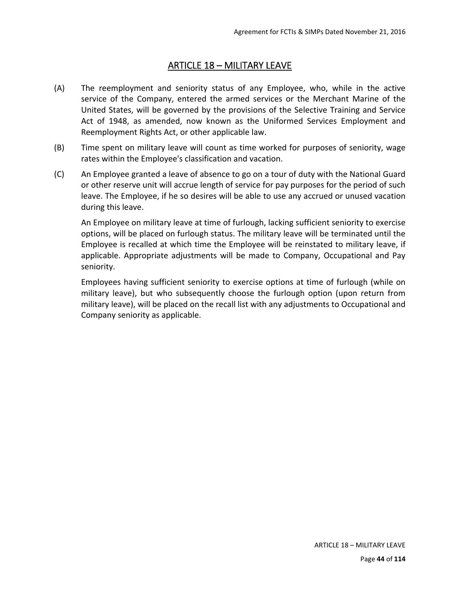### ARTICLE 18 – MILITARY LEAVE

- (A) The reemployment and seniority status of any Employee, who, while in the active service of the Company, entered the armed services or the Merchant Marine of the United States, will be governed by the provisions of the Selective Training and Service Act of 1948, as amended, now known as the Uniformed Services Employment and Reemployment Rights Act, or other applicable law.
- (B) Time spent on military leave will count as time worked for purposes of seniority, wage rates within the Employee's classification and vacation.
- (C) An Employee granted a leave of absence to go on a tour of duty with the National Guard or other reserve unit will accrue length of service for pay purposes for the period of such leave. The Employee, if he so desires will be able to use any accrued or unused vacation during this leave.

An Employee on military leave at time of furlough, lacking sufficient seniority to exercise options, will be placed on furlough status. The military leave will be terminated until the Employee is recalled at which time the Employee will be reinstated to military leave, if applicable. Appropriate adjustments will be made to Company, Occupational and Pay seniority.

Employees having sufficient seniority to exercise options at time of furlough (while on military leave), but who subsequently choose the furlough option (upon return from military leave), will be placed on the recall list with any adjustments to Occupational and Company seniority as applicable.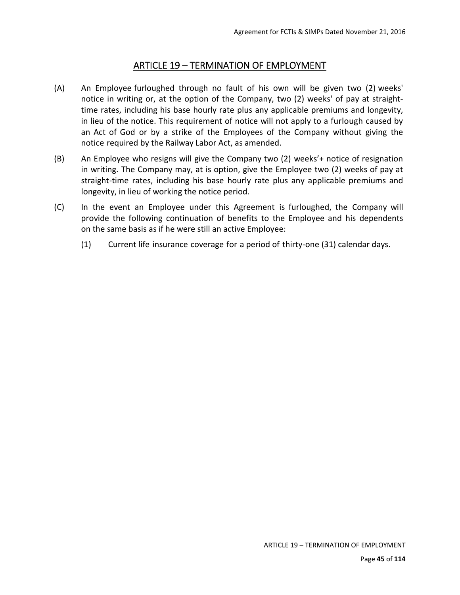### ARTICLE 19 – TERMINATION OF EMPLOYMENT

- (A) An Employee furloughed through no fault of his own will be given two (2) weeks' notice in writing or, at the option of the Company, two (2) weeks' of pay at straighttime rates, including his base hourly rate plus any applicable premiums and longevity, in lieu of the notice. This requirement of notice will not apply to a furlough caused by an Act of God or by a strike of the Employees of the Company without giving the notice required by the Railway Labor Act, as amended.
- (B) An Employee who resigns will give the Company two (2) weeks'+ notice of resignation in writing. The Company may, at is option, give the Employee two (2) weeks of pay at straight-time rates, including his base hourly rate plus any applicable premiums and longevity, in lieu of working the notice period.
- (C) In the event an Employee under this Agreement is furloughed, the Company will provide the following continuation of benefits to the Employee and his dependents on the same basis as if he were still an active Employee:
	- (1) Current life insurance coverage for a period of thirty‐one (31) calendar days.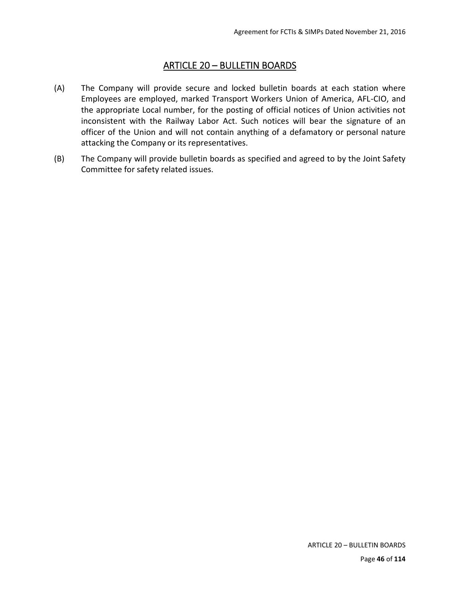# ARTICLE 20 – BULLETIN BOARDS

- (A) The Company will provide secure and locked bulletin boards at each station where Employees are employed, marked Transport Workers Union of America, AFL‐CIO, and the appropriate Local number, for the posting of official notices of Union activities not inconsistent with the Railway Labor Act. Such notices will bear the signature of an officer of the Union and will not contain anything of a defamatory or personal nature attacking the Company or its representatives.
- (B) The Company will provide bulletin boards as specified and agreed to by the Joint Safety Committee for safety related issues.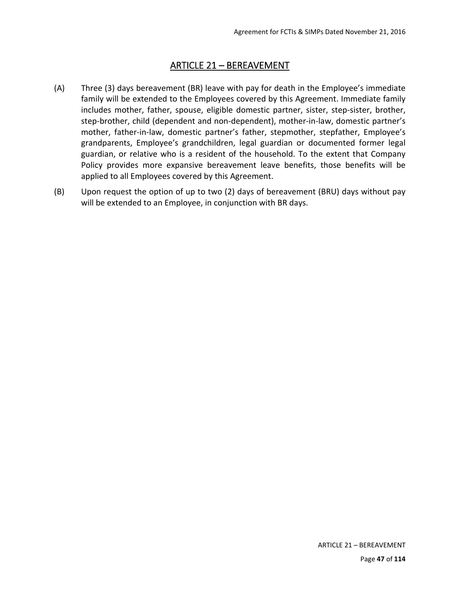### ARTICLE 21 – BEREAVEMENT

- (A) Three (3) days bereavement (BR) leave with pay for death in the Employee's immediate family will be extended to the Employees covered by this Agreement. Immediate family includes mother, father, spouse, eligible domestic partner, sister, step-sister, brother, step-brother, child (dependent and non-dependent), mother-in-law, domestic partner's mother, father-in-law, domestic partner's father, stepmother, stepfather, Employee's grandparents, Employee's grandchildren, legal guardian or documented former legal guardian, or relative who is a resident of the household. To the extent that Company Policy provides more expansive bereavement leave benefits, those benefits will be applied to all Employees covered by this Agreement.
- (B) Upon request the option of up to two (2) days of bereavement (BRU) days without pay will be extended to an Employee, in conjunction with BR days.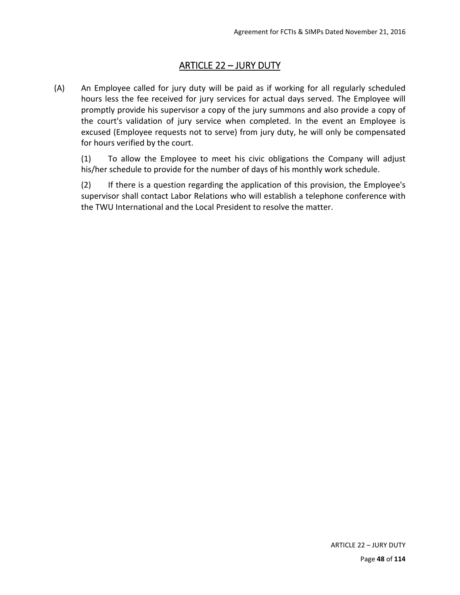# ARTICLE 22 – JURY DUTY

(A) An Employee called for jury duty will be paid as if working for all regularly scheduled hours less the fee received for jury services for actual days served. The Employee will promptly provide his supervisor a copy of the jury summons and also provide a copy of the court's validation of jury service when completed. In the event an Employee is excused (Employee requests not to serve) from jury duty, he will only be compensated for hours verified by the court.

(1) To allow the Employee to meet his civic obligations the Company will adjust his/her schedule to provide for the number of days of his monthly work schedule.

(2) If there is a question regarding the application of this provision, the Employee's supervisor shall contact Labor Relations who will establish a telephone conference with the TWU International and the Local President to resolve the matter.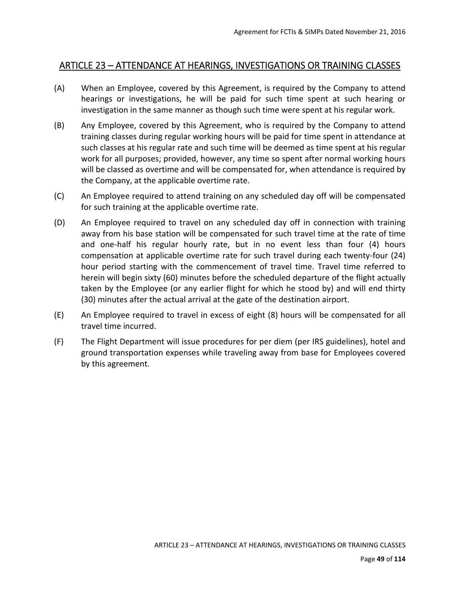### ARTICLE 23 – ATTENDANCE AT HEARINGS, INVESTIGATIONS OR TRAINING CLASSES

- (A) When an Employee, covered by this Agreement, is required by the Company to attend hearings or investigations, he will be paid for such time spent at such hearing or investigation in the same manner as though such time were spent at his regular work.
- (B) Any Employee, covered by this Agreement, who is required by the Company to attend training classes during regular working hours will be paid for time spent in attendance at such classes at his regular rate and such time will be deemed as time spent at his regular work for all purposes; provided, however, any time so spent after normal working hours will be classed as overtime and will be compensated for, when attendance is required by the Company, at the applicable overtime rate.
- (C) An Employee required to attend training on any scheduled day off will be compensated for such training at the applicable overtime rate.
- (D) An Employee required to travel on any scheduled day off in connection with training away from his base station will be compensated for such travel time at the rate of time and one-half his regular hourly rate, but in no event less than four (4) hours compensation at applicable overtime rate for such travel during each twenty-four (24) hour period starting with the commencement of travel time. Travel time referred to herein will begin sixty (60) minutes before the scheduled departure of the flight actually taken by the Employee (or any earlier flight for which he stood by) and will end thirty (30) minutes after the actual arrival at the gate of the destination airport.
- (E) An Employee required to travel in excess of eight (8) hours will be compensated for all travel time incurred.
- (F) The Flight Department will issue procedures for per diem (per IRS guidelines), hotel and ground transportation expenses while traveling away from base for Employees covered by this agreement.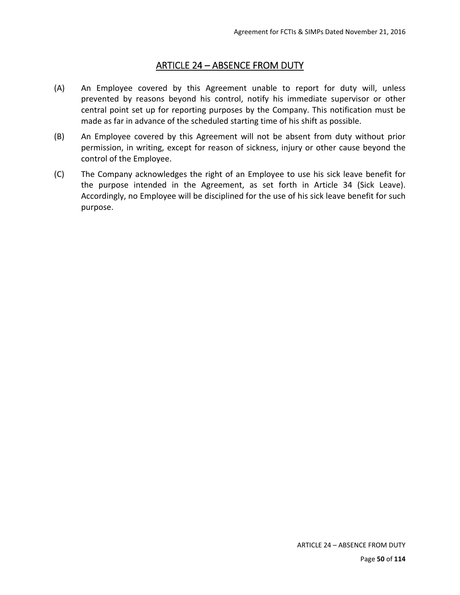### ARTICLE 24 – ABSENCE FROM DUTY

- (A) An Employee covered by this Agreement unable to report for duty will, unless prevented by reasons beyond his control, notify his immediate supervisor or other central point set up for reporting purposes by the Company. This notification must be made as far in advance of the scheduled starting time of his shift as possible.
- (B) An Employee covered by this Agreement will not be absent from duty without prior permission, in writing, except for reason of sickness, injury or other cause beyond the control of the Employee.
- (C) The Company acknowledges the right of an Employee to use his sick leave benefit for the purpose intended in the Agreement, as set forth in Article 34 (Sick Leave). Accordingly, no Employee will be disciplined for the use of his sick leave benefit for such purpose.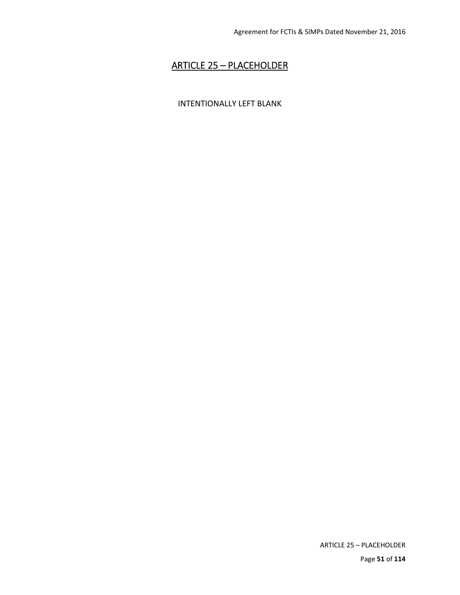## ARTICLE 25 – PLACEHOLDER

#### INTENTIONALLY LEFT BLANK

ARTICLE 25 – PLACEHOLDER Page **51** of **114**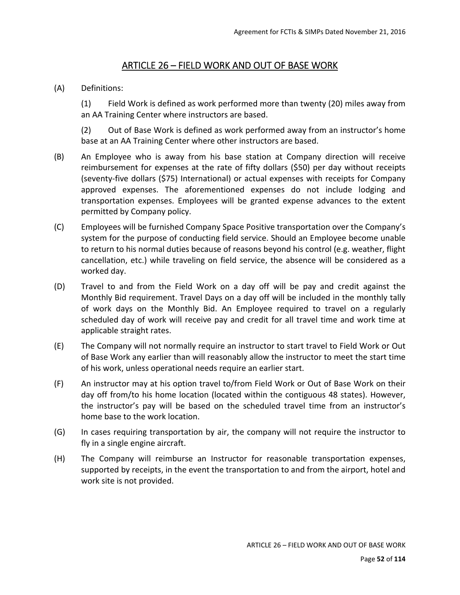### ARTICLE 26 – FIELD WORK AND OUT OF BASE WORK

#### (A) Definitions:

(1) Field Work is defined as work performed more than twenty (20) miles away from an AA Training Center where instructors are based.

(2) Out of Base Work is defined as work performed away from an instructor's home base at an AA Training Center where other instructors are based.

- (B) An Employee who is away from his base station at Company direction will receive reimbursement for expenses at the rate of fifty dollars (\$50) per day without receipts (seventy‐five dollars (\$75) International) or actual expenses with receipts for Company approved expenses. The aforementioned expenses do not include lodging and transportation expenses. Employees will be granted expense advances to the extent permitted by Company policy.
- (C) Employees will be furnished Company Space Positive transportation over the Company's system for the purpose of conducting field service. Should an Employee become unable to return to his normal duties because of reasons beyond his control (e.g. weather, flight cancellation, etc.) while traveling on field service, the absence will be considered as a worked day.
- (D) Travel to and from the Field Work on a day off will be pay and credit against the Monthly Bid requirement. Travel Days on a day off will be included in the monthly tally of work days on the Monthly Bid. An Employee required to travel on a regularly scheduled day of work will receive pay and credit for all travel time and work time at applicable straight rates.
- (E) The Company will not normally require an instructor to start travel to Field Work or Out of Base Work any earlier than will reasonably allow the instructor to meet the start time of his work, unless operational needs require an earlier start.
- (F) An instructor may at his option travel to/from Field Work or Out of Base Work on their day off from/to his home location (located within the contiguous 48 states). However, the instructor's pay will be based on the scheduled travel time from an instructor's home base to the work location.
- (G) In cases requiring transportation by air, the company will not require the instructor to fly in a single engine aircraft.
- (H) The Company will reimburse an Instructor for reasonable transportation expenses, supported by receipts, in the event the transportation to and from the airport, hotel and work site is not provided.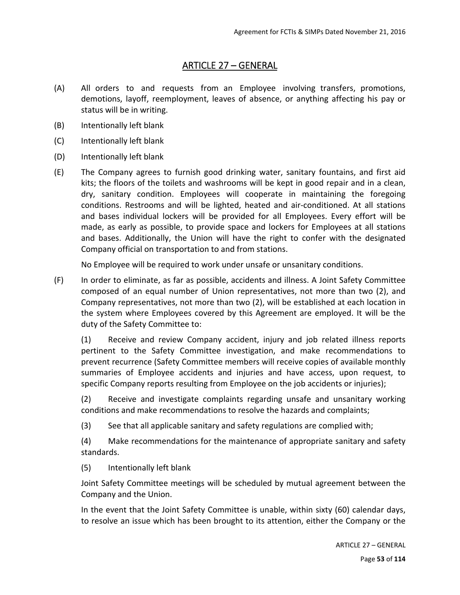## ARTICLE 27 – GENERAL

- (A) All orders to and requests from an Employee involving transfers, promotions, demotions, layoff, reemployment, leaves of absence, or anything affecting his pay or status will be in writing.
- (B) Intentionally left blank
- (C) Intentionally left blank
- (D) Intentionally left blank
- (E) The Company agrees to furnish good drinking water, sanitary fountains, and first aid kits; the floors of the toilets and washrooms will be kept in good repair and in a clean, dry, sanitary condition. Employees will cooperate in maintaining the foregoing conditions. Restrooms and will be lighted, heated and air‐conditioned. At all stations and bases individual lockers will be provided for all Employees. Every effort will be made, as early as possible, to provide space and lockers for Employees at all stations and bases. Additionally, the Union will have the right to confer with the designated Company official on transportation to and from stations.

No Employee will be required to work under unsafe or unsanitary conditions.

(F) In order to eliminate, as far as possible, accidents and illness. A Joint Safety Committee composed of an equal number of Union representatives, not more than two (2), and Company representatives, not more than two (2), will be established at each location in the system where Employees covered by this Agreement are employed. It will be the duty of the Safety Committee to:

(1) Receive and review Company accident, injury and job related illness reports pertinent to the Safety Committee investigation, and make recommendations to prevent recurrence (Safety Committee members will receive copies of available monthly summaries of Employee accidents and injuries and have access, upon request, to specific Company reports resulting from Employee on the job accidents or injuries);

(2) Receive and investigate complaints regarding unsafe and unsanitary working conditions and make recommendations to resolve the hazards and complaints;

(3) See that all applicable sanitary and safety regulations are complied with;

(4) Make recommendations for the maintenance of appropriate sanitary and safety standards.

(5) Intentionally left blank

Joint Safety Committee meetings will be scheduled by mutual agreement between the Company and the Union.

In the event that the Joint Safety Committee is unable, within sixty (60) calendar days, to resolve an issue which has been brought to its attention, either the Company or the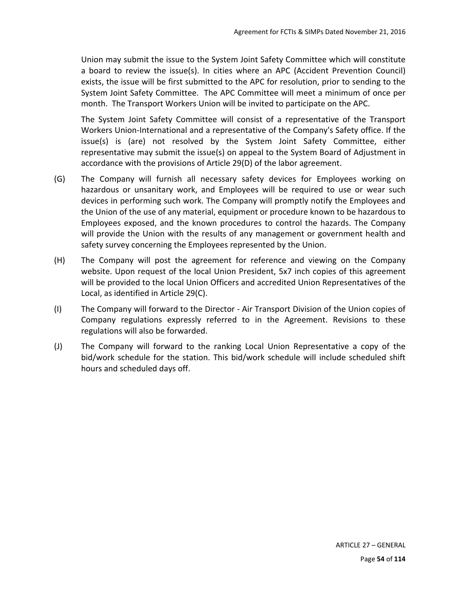Union may submit the issue to the System Joint Safety Committee which will constitute a board to review the issue(s). In cities where an APC (Accident Prevention Council) exists, the issue will be first submitted to the APC for resolution, prior to sending to the System Joint Safety Committee. The APC Committee will meet a minimum of once per month. The Transport Workers Union will be invited to participate on the APC.

The System Joint Safety Committee will consist of a representative of the Transport Workers Union-International and a representative of the Company's Safety office. If the issue(s) is (are) not resolved by the System Joint Safety Committee, either representative may submit the issue(s) on appeal to the System Board of Adjustment in accordance with the provisions of Article 29(D) of the labor agreement.

- (G) The Company will furnish all necessary safety devices for Employees working on hazardous or unsanitary work, and Employees will be required to use or wear such devices in performing such work. The Company will promptly notify the Employees and the Union of the use of any material, equipment or procedure known to be hazardous to Employees exposed, and the known procedures to control the hazards. The Company will provide the Union with the results of any management or government health and safety survey concerning the Employees represented by the Union.
- (H) The Company will post the agreement for reference and viewing on the Company website. Upon request of the local Union President, 5x7 inch copies of this agreement will be provided to the local Union Officers and accredited Union Representatives of the Local, as identified in Article 29(C).
- (I) The Company will forward to the Director ‐ Air Transport Division of the Union copies of Company regulations expressly referred to in the Agreement. Revisions to these regulations will also be forwarded.
- (J) The Company will forward to the ranking Local Union Representative a copy of the bid/work schedule for the station. This bid/work schedule will include scheduled shift hours and scheduled days off.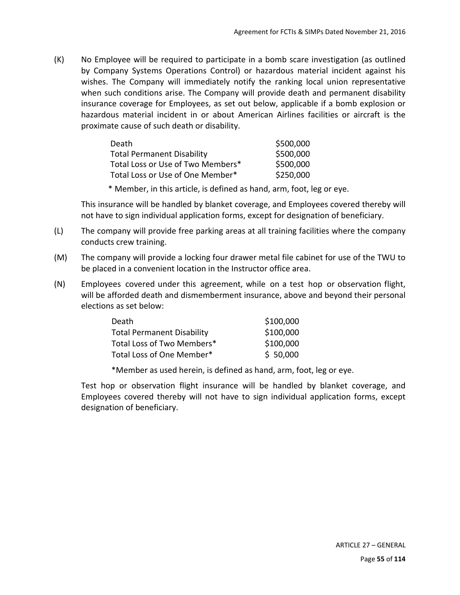(K) No Employee will be required to participate in a bomb scare investigation (as outlined by Company Systems Operations Control) or hazardous material incident against his wishes. The Company will immediately notify the ranking local union representative when such conditions arise. The Company will provide death and permanent disability insurance coverage for Employees, as set out below, applicable if a bomb explosion or hazardous material incident in or about American Airlines facilities or aircraft is the proximate cause of such death or disability.

| Death                             | \$500,000 |
|-----------------------------------|-----------|
| <b>Total Permanent Disability</b> | \$500,000 |
| Total Loss or Use of Two Members* | \$500,000 |
| Total Loss or Use of One Member*  | \$250,000 |

\* Member, in this article, is defined as hand, arm, foot, leg or eye.

This insurance will be handled by blanket coverage, and Employees covered thereby will not have to sign individual application forms, except for designation of beneficiary.

- (L) The company will provide free parking areas at all training facilities where the company conducts crew training.
- (M) The company will provide a locking four drawer metal file cabinet for use of the TWU to be placed in a convenient location in the Instructor office area.
- (N) Employees covered under this agreement, while on a test hop or observation flight, will be afforded death and dismemberment insurance, above and beyond their personal elections as set below:

| Death                             | \$100,000 |
|-----------------------------------|-----------|
| <b>Total Permanent Disability</b> | \$100,000 |
| Total Loss of Two Members*        | \$100,000 |
| Total Loss of One Member*         | \$50,000  |

\*Member as used herein, is defined as hand, arm, foot, leg or eye.

Test hop or observation flight insurance will be handled by blanket coverage, and Employees covered thereby will not have to sign individual application forms, except designation of beneficiary.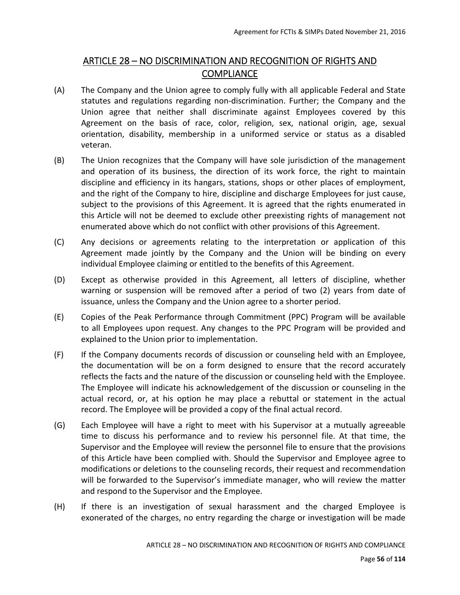## ARTICLE 28 – NO DISCRIMINATION AND RECOGNITION OF RIGHTS AND **COMPLIANCE**

- (A) The Company and the Union agree to comply fully with all applicable Federal and State statutes and regulations regarding non-discrimination. Further; the Company and the Union agree that neither shall discriminate against Employees covered by this Agreement on the basis of race, color, religion, sex, national origin, age, sexual orientation, disability, membership in a uniformed service or status as a disabled veteran.
- (B) The Union recognizes that the Company will have sole jurisdiction of the management and operation of its business, the direction of its work force, the right to maintain discipline and efficiency in its hangars, stations, shops or other places of employment, and the right of the Company to hire, discipline and discharge Employees for just cause, subject to the provisions of this Agreement. It is agreed that the rights enumerated in this Article will not be deemed to exclude other preexisting rights of management not enumerated above which do not conflict with other provisions of this Agreement.
- (C) Any decisions or agreements relating to the interpretation or application of this Agreement made jointly by the Company and the Union will be binding on every individual Employee claiming or entitled to the benefits of this Agreement.
- (D) Except as otherwise provided in this Agreement, all letters of discipline, whether warning or suspension will be removed after a period of two (2) years from date of issuance, unless the Company and the Union agree to a shorter period.
- (E) Copies of the Peak Performance through Commitment (PPC) Program will be available to all Employees upon request. Any changes to the PPC Program will be provided and explained to the Union prior to implementation.
- (F) If the Company documents records of discussion or counseling held with an Employee, the documentation will be on a form designed to ensure that the record accurately reflects the facts and the nature of the discussion or counseling held with the Employee. The Employee will indicate his acknowledgement of the discussion or counseling in the actual record, or, at his option he may place a rebuttal or statement in the actual record. The Employee will be provided a copy of the final actual record.
- (G) Each Employee will have a right to meet with his Supervisor at a mutually agreeable time to discuss his performance and to review his personnel file. At that time, the Supervisor and the Employee will review the personnel file to ensure that the provisions of this Article have been complied with. Should the Supervisor and Employee agree to modifications or deletions to the counseling records, their request and recommendation will be forwarded to the Supervisor's immediate manager, who will review the matter and respond to the Supervisor and the Employee.
- (H) If there is an investigation of sexual harassment and the charged Employee is exonerated of the charges, no entry regarding the charge or investigation will be made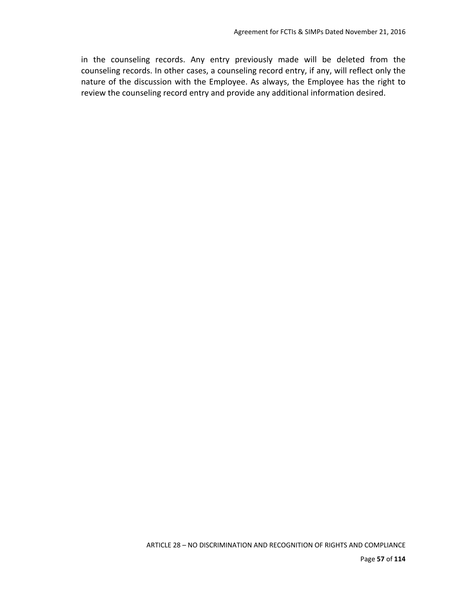in the counseling records. Any entry previously made will be deleted from the counseling records. In other cases, a counseling record entry, if any, will reflect only the nature of the discussion with the Employee. As always, the Employee has the right to review the counseling record entry and provide any additional information desired.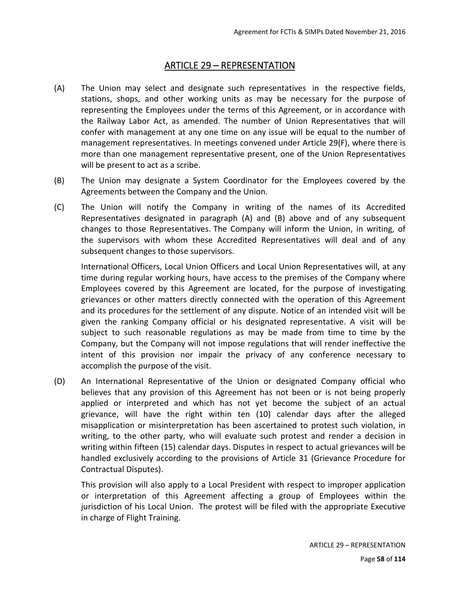### ARTICLE 29 – REPRESENTATION

- (A) The Union may select and designate such representatives in the respective fields, stations, shops, and other working units as may be necessary for the purpose of representing the Employees under the terms of this Agreement, or in accordance with the Railway Labor Act, as amended. The number of Union Representatives that will confer with management at any one time on any issue will be equal to the number of management representatives. In meetings convened under Article 29(F), where there is more than one management representative present, one of the Union Representatives will be present to act as a scribe.
- (B) The Union may designate a System Coordinator for the Employees covered by the Agreements between the Company and the Union.
- (C) The Union will notify the Company in writing of the names of its Accredited Representatives designated in paragraph (A) and (B) above and of any subsequent changes to those Representatives. The Company will inform the Union, in writing, of the supervisors with whom these Accredited Representatives will deal and of any subsequent changes to those supervisors.

International Officers, Local Union Officers and Local Union Representatives will, at any time during regular working hours, have access to the premises of the Company where Employees covered by this Agreement are located, for the purpose of investigating grievances or other matters directly connected with the operation of this Agreement and its procedures for the settlement of any dispute. Notice of an intended visit will be given the ranking Company official or his designated representative. A visit will be subject to such reasonable regulations as may be made from time to time by the Company, but the Company will not impose regulations that will render ineffective the intent of this provision nor impair the privacy of any conference necessary to accomplish the purpose of the visit.

(D) An International Representative of the Union or designated Company official who believes that any provision of this Agreement has not been or is not being properly applied or interpreted and which has not yet become the subject of an actual grievance, will have the right within ten (10) calendar days after the alleged misapplication or misinterpretation has been ascertained to protest such violation, in writing, to the other party, who will evaluate such protest and render a decision in writing within fifteen (15) calendar days. Disputes in respect to actual grievances will be handled exclusively according to the provisions of Article 31 (Grievance Procedure for Contractual Disputes).

This provision will also apply to a Local President with respect to improper application or interpretation of this Agreement affecting a group of Employees within the jurisdiction of his Local Union. The protest will be filed with the appropriate Executive in charge of Flight Training.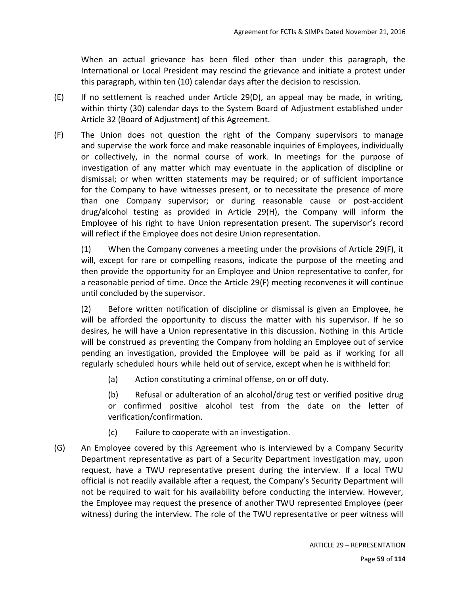When an actual grievance has been filed other than under this paragraph, the International or Local President may rescind the grievance and initiate a protest under this paragraph, within ten (10) calendar days after the decision to rescission.

- $(E)$  If no settlement is reached under Article 29(D), an appeal may be made, in writing, within thirty (30) calendar days to the System Board of Adjustment established under Article 32 (Board of Adjustment) of this Agreement.
- (F) The Union does not question the right of the Company supervisors to manage and supervise the work force and make reasonable inquiries of Employees, individually or collectively, in the normal course of work. In meetings for the purpose of investigation of any matter which may eventuate in the application of discipline or dismissal; or when written statements may be required; or of sufficient importance for the Company to have witnesses present, or to necessitate the presence of more than one Company supervisor; or during reasonable cause or post‐accident drug/alcohol testing as provided in Article 29(H), the Company will inform the Employee of his right to have Union representation present. The supervisor's record will reflect if the Employee does not desire Union representation.

(1) When the Company convenes a meeting under the provisions of Article 29(F), it will, except for rare or compelling reasons, indicate the purpose of the meeting and then provide the opportunity for an Employee and Union representative to confer, for a reasonable period of time. Once the Article 29(F) meeting reconvenes it will continue until concluded by the supervisor.

(2) Before written notification of discipline or dismissal is given an Employee, he will be afforded the opportunity to discuss the matter with his supervisor. If he so desires, he will have a Union representative in this discussion. Nothing in this Article will be construed as preventing the Company from holding an Employee out of service pending an investigation, provided the Employee will be paid as if working for all regularly scheduled hours while held out of service, except when he is withheld for:

(a) Action constituting a criminal offense, on or off duty.

(b) Refusal or adulteration of an alcohol/drug test or verified positive drug or confirmed positive alcohol test from the date on the letter of verification/confirmation.

- (c) Failure to cooperate with an investigation.
- (G) An Employee covered by this Agreement who is interviewed by a Company Security Department representative as part of a Security Department investigation may, upon request, have a TWU representative present during the interview. If a local TWU official is not readily available after a request, the Company's Security Department will not be required to wait for his availability before conducting the interview. However, the Employee may request the presence of another TWU represented Employee (peer witness) during the interview. The role of the TWU representative or peer witness will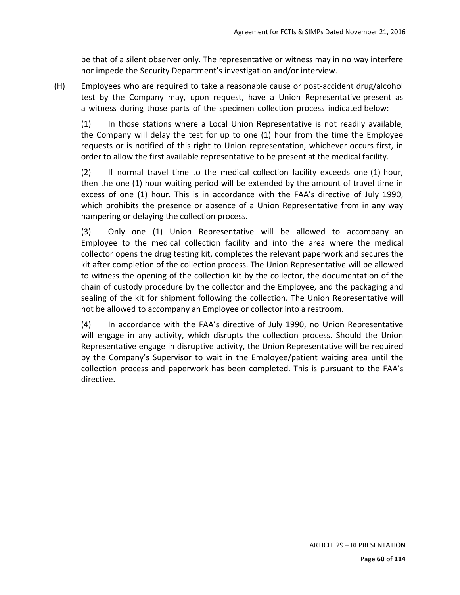be that of a silent observer only. The representative or witness may in no way interfere nor impede the Security Department's investigation and/or interview.

(H) Employees who are required to take a reasonable cause or post‐accident drug/alcohol test by the Company may, upon request, have a Union Representative present as a witness during those parts of the specimen collection process indicated below:

(1) In those stations where a Local Union Representative is not readily available, the Company will delay the test for up to one (1) hour from the time the Employee requests or is notified of this right to Union representation, whichever occurs first, in order to allow the first available representative to be present at the medical facility.

(2) If normal travel time to the medical collection facility exceeds one (1) hour, then the one (1) hour waiting period will be extended by the amount of travel time in excess of one (1) hour. This is in accordance with the FAA's directive of July 1990, which prohibits the presence or absence of a Union Representative from in any way hampering or delaying the collection process.

(3) Only one (1) Union Representative will be allowed to accompany an Employee to the medical collection facility and into the area where the medical collector opens the drug testing kit, completes the relevant paperwork and secures the kit after completion of the collection process. The Union Representative will be allowed to witness the opening of the collection kit by the collector, the documentation of the chain of custody procedure by the collector and the Employee, and the packaging and sealing of the kit for shipment following the collection. The Union Representative will not be allowed to accompany an Employee or collector into a restroom.

(4) In accordance with the FAA's directive of July 1990, no Union Representative will engage in any activity, which disrupts the collection process. Should the Union Representative engage in disruptive activity, the Union Representative will be required by the Company's Supervisor to wait in the Employee/patient waiting area until the collection process and paperwork has been completed. This is pursuant to the FAA's directive.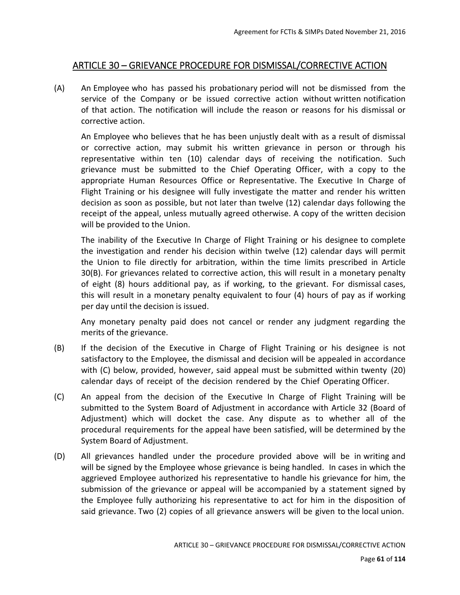### ARTICLE 30 – GRIEVANCE PROCEDURE FOR DISMISSAL/CORRECTIVE ACTION

(A) An Employee who has passed his probationary period will not be dismissed from the service of the Company or be issued corrective action without written notification of that action. The notification will include the reason or reasons for his dismissal or corrective action.

An Employee who believes that he has been unjustly dealt with as a result of dismissal or corrective action, may submit his written grievance in person or through his representative within ten (10) calendar days of receiving the notification. Such grievance must be submitted to the Chief Operating Officer, with a copy to the appropriate Human Resources Office or Representative. The Executive In Charge of Flight Training or his designee will fully investigate the matter and render his written decision as soon as possible, but not later than twelve (12) calendar days following the receipt of the appeal, unless mutually agreed otherwise. A copy of the written decision will be provided to the Union.

The inability of the Executive In Charge of Flight Training or his designee to complete the investigation and render his decision within twelve (12) calendar days will permit the Union to file directly for arbitration, within the time limits prescribed in Article 30(B). For grievances related to corrective action, this will result in a monetary penalty of eight (8) hours additional pay, as if working, to the grievant. For dismissal cases, this will result in a monetary penalty equivalent to four (4) hours of pay as if working per day until the decision is issued.

Any monetary penalty paid does not cancel or render any judgment regarding the merits of the grievance.

- (B) If the decision of the Executive in Charge of Flight Training or his designee is not satisfactory to the Employee, the dismissal and decision will be appealed in accordance with (C) below, provided, however, said appeal must be submitted within twenty (20) calendar days of receipt of the decision rendered by the Chief Operating Officer.
- (C) An appeal from the decision of the Executive In Charge of Flight Training will be submitted to the System Board of Adjustment in accordance with Article 32 (Board of Adjustment) which will docket the case. Any dispute as to whether all of the procedural requirements for the appeal have been satisfied, will be determined by the System Board of Adjustment.
- (D) All grievances handled under the procedure provided above will be in writing and will be signed by the Employee whose grievance is being handled. In cases in which the aggrieved Employee authorized his representative to handle his grievance for him, the submission of the grievance or appeal will be accompanied by a statement signed by the Employee fully authorizing his representative to act for him in the disposition of said grievance. Two (2) copies of all grievance answers will be given to the local union.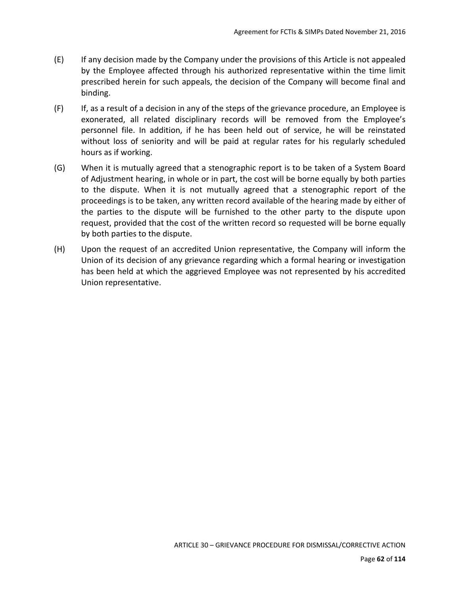- (E) If any decision made by the Company under the provisions of this Article is not appealed by the Employee affected through his authorized representative within the time limit prescribed herein for such appeals, the decision of the Company will become final and binding.
- (F) If, as a result of a decision in any of the steps of the grievance procedure, an Employee is exonerated, all related disciplinary records will be removed from the Employee's personnel file. In addition, if he has been held out of service, he will be reinstated without loss of seniority and will be paid at regular rates for his regularly scheduled hours as if working.
- (G) When it is mutually agreed that a stenographic report is to be taken of a System Board of Adjustment hearing, in whole or in part, the cost will be borne equally by both parties to the dispute. When it is not mutually agreed that a stenographic report of the proceedings is to be taken, any written record available of the hearing made by either of the parties to the dispute will be furnished to the other party to the dispute upon request, provided that the cost of the written record so requested will be borne equally by both parties to the dispute.
- (H) Upon the request of an accredited Union representative, the Company will inform the Union of its decision of any grievance regarding which a formal hearing or investigation has been held at which the aggrieved Employee was not represented by his accredited Union representative.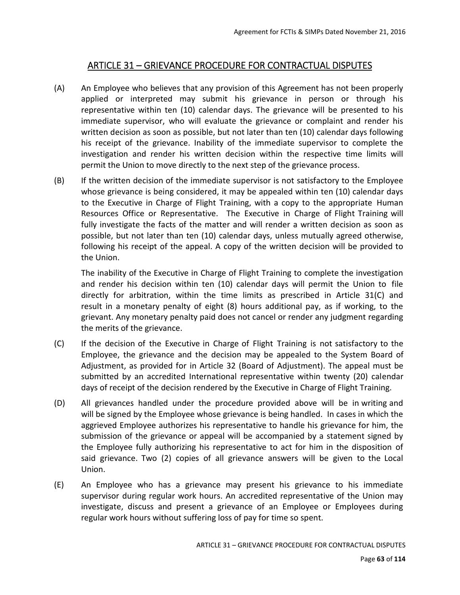## ARTICLE 31 – GRIEVANCE PROCEDURE FOR CONTRACTUAL DISPUTES

- (A) An Employee who believes that any provision of this Agreement has not been properly applied or interpreted may submit his grievance in person or through his representative within ten (10) calendar days. The grievance will be presented to his immediate supervisor, who will evaluate the grievance or complaint and render his written decision as soon as possible, but not later than ten (10) calendar days following his receipt of the grievance. Inability of the immediate supervisor to complete the investigation and render his written decision within the respective time limits will permit the Union to move directly to the next step of the grievance process.
- (B) If the written decision of the immediate supervisor is not satisfactory to the Employee whose grievance is being considered, it may be appealed within ten (10) calendar days to the Executive in Charge of Flight Training, with a copy to the appropriate Human Resources Office or Representative. The Executive in Charge of Flight Training will fully investigate the facts of the matter and will render a written decision as soon as possible, but not later than ten (10) calendar days, unless mutually agreed otherwise, following his receipt of the appeal. A copy of the written decision will be provided to the Union.

The inability of the Executive in Charge of Flight Training to complete the investigation and render his decision within ten (10) calendar days will permit the Union to file directly for arbitration, within the time limits as prescribed in Article 31(C) and result in a monetary penalty of eight (8) hours additional pay, as if working, to the grievant. Any monetary penalty paid does not cancel or render any judgment regarding the merits of the grievance.

- (C) If the decision of the Executive in Charge of Flight Training is not satisfactory to the Employee, the grievance and the decision may be appealed to the System Board of Adjustment, as provided for in Article 32 (Board of Adjustment). The appeal must be submitted by an accredited International representative within twenty (20) calendar days of receipt of the decision rendered by the Executive in Charge of Flight Training.
- (D) All grievances handled under the procedure provided above will be in writing and will be signed by the Employee whose grievance is being handled. In cases in which the aggrieved Employee authorizes his representative to handle his grievance for him, the submission of the grievance or appeal will be accompanied by a statement signed by the Employee fully authorizing his representative to act for him in the disposition of said grievance. Two (2) copies of all grievance answers will be given to the Local Union.
- (E) An Employee who has a grievance may present his grievance to his immediate supervisor during regular work hours. An accredited representative of the Union may investigate, discuss and present a grievance of an Employee or Employees during regular work hours without suffering loss of pay for time so spent.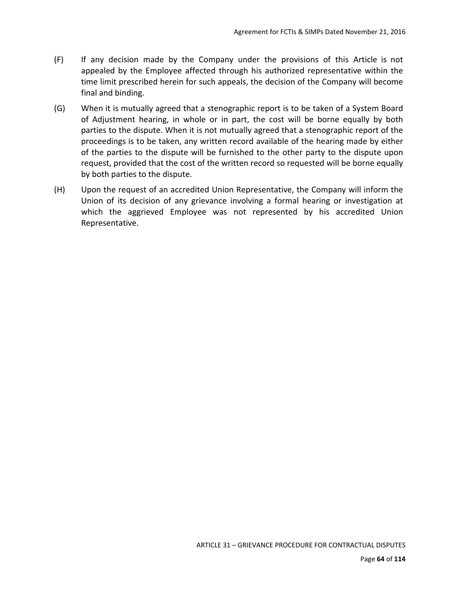- (F) If any decision made by the Company under the provisions of this Article is not appealed by the Employee affected through his authorized representative within the time limit prescribed herein for such appeals, the decision of the Company will become final and binding.
- (G) When it is mutually agreed that a stenographic report is to be taken of a System Board of Adjustment hearing, in whole or in part, the cost will be borne equally by both parties to the dispute. When it is not mutually agreed that a stenographic report of the proceedings is to be taken, any written record available of the hearing made by either of the parties to the dispute will be furnished to the other party to the dispute upon request, provided that the cost of the written record so requested will be borne equally by both parties to the dispute.
- (H) Upon the request of an accredited Union Representative, the Company will inform the Union of its decision of any grievance involving a formal hearing or investigation at which the aggrieved Employee was not represented by his accredited Union Representative.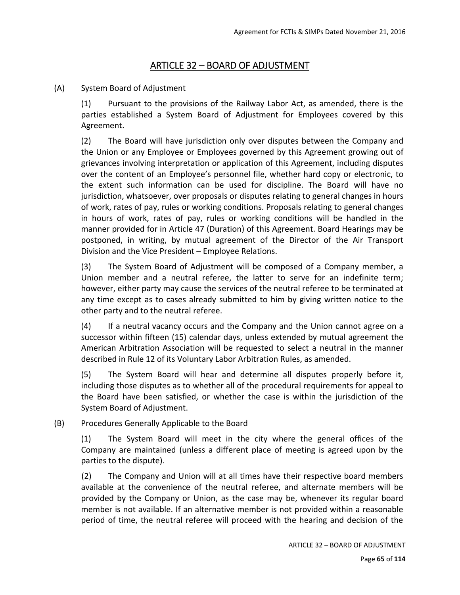## ARTICLE 32 – BOARD OF ADJUSTMENT

(A) System Board of Adjustment

(1) Pursuant to the provisions of the Railway Labor Act, as amended, there is the parties established a System Board of Adjustment for Employees covered by this Agreement.

(2) The Board will have jurisdiction only over disputes between the Company and the Union or any Employee or Employees governed by this Agreement growing out of grievances involving interpretation or application of this Agreement, including disputes over the content of an Employee's personnel file, whether hard copy or electronic, to the extent such information can be used for discipline. The Board will have no jurisdiction, whatsoever, over proposals or disputes relating to general changes in hours of work, rates of pay, rules or working conditions. Proposals relating to general changes in hours of work, rates of pay, rules or working conditions will be handled in the manner provided for in Article 47 (Duration) of this Agreement. Board Hearings may be postponed, in writing, by mutual agreement of the Director of the Air Transport Division and the Vice President – Employee Relations.

(3) The System Board of Adjustment will be composed of a Company member, a Union member and a neutral referee, the latter to serve for an indefinite term; however, either party may cause the services of the neutral referee to be terminated at any time except as to cases already submitted to him by giving written notice to the other party and to the neutral referee.

(4) If a neutral vacancy occurs and the Company and the Union cannot agree on a successor within fifteen (15) calendar days, unless extended by mutual agreement the American Arbitration Association will be requested to select a neutral in the manner described in Rule 12 of its Voluntary Labor Arbitration Rules, as amended.

(5) The System Board will hear and determine all disputes properly before it, including those disputes as to whether all of the procedural requirements for appeal to the Board have been satisfied, or whether the case is within the jurisdiction of the System Board of Adjustment.

(B) Procedures Generally Applicable to the Board

(1) The System Board will meet in the city where the general offices of the Company are maintained (unless a different place of meeting is agreed upon by the parties to the dispute).

(2) The Company and Union will at all times have their respective board members available at the convenience of the neutral referee, and alternate members will be provided by the Company or Union, as the case may be, whenever its regular board member is not available. If an alternative member is not provided within a reasonable period of time, the neutral referee will proceed with the hearing and decision of the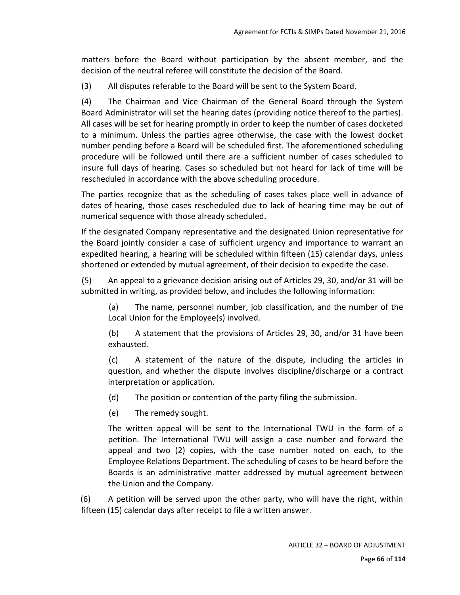matters before the Board without participation by the absent member, and the decision of the neutral referee will constitute the decision of the Board.

(3) All disputes referable to the Board will be sent to the System Board.

(4) The Chairman and Vice Chairman of the General Board through the System Board Administrator will set the hearing dates (providing notice thereof to the parties). All cases will be set for hearing promptly in order to keep the number of cases docketed to a minimum. Unless the parties agree otherwise, the case with the lowest docket number pending before a Board will be scheduled first. The aforementioned scheduling procedure will be followed until there are a sufficient number of cases scheduled to insure full days of hearing. Cases so scheduled but not heard for lack of time will be rescheduled in accordance with the above scheduling procedure.

The parties recognize that as the scheduling of cases takes place well in advance of dates of hearing, those cases rescheduled due to lack of hearing time may be out of numerical sequence with those already scheduled.

If the designated Company representative and the designated Union representative for the Board jointly consider a case of sufficient urgency and importance to warrant an expedited hearing, a hearing will be scheduled within fifteen (15) calendar days, unless shortened or extended by mutual agreement, of their decision to expedite the case.

(5) An appeal to a grievance decision arising out of Articles 29, 30, and/or 31 will be submitted in writing, as provided below, and includes the following information:

(a) The name, personnel number, job classification, and the number of the Local Union for the Employee(s) involved.

(b) A statement that the provisions of Articles 29, 30, and/or 31 have been exhausted.

(c) A statement of the nature of the dispute, including the articles in question, and whether the dispute involves discipline/discharge or a contract interpretation or application.

- (d) The position or contention of the party filing the submission.
- (e) The remedy sought.

The written appeal will be sent to the International TWU in the form of a petition. The International TWU will assign a case number and forward the appeal and two (2) copies, with the case number noted on each, to the Employee Relations Department. The scheduling of cases to be heard before the Boards is an administrative matter addressed by mutual agreement between the Union and the Company.

(6) A petition will be served upon the other party, who will have the right, within fifteen (15) calendar days after receipt to file a written answer.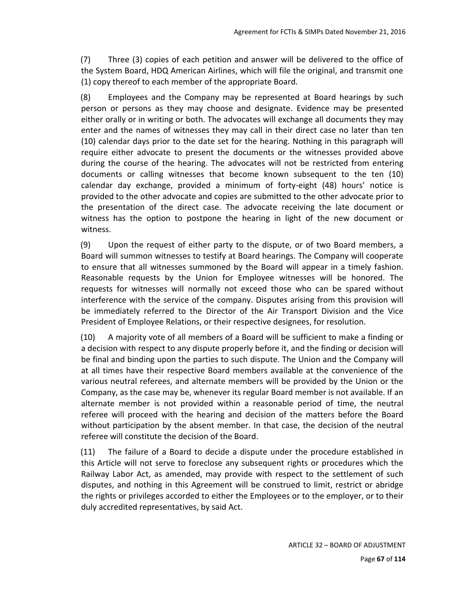(7) Three (3) copies of each petition and answer will be delivered to the office of the System Board, HDQ American Airlines, which will file the original, and transmit one (1) copy thereof to each member of the appropriate Board.

(8) Employees and the Company may be represented at Board hearings by such person or persons as they may choose and designate. Evidence may be presented either orally or in writing or both. The advocates will exchange all documents they may enter and the names of witnesses they may call in their direct case no later than ten (10) calendar days prior to the date set for the hearing. Nothing in this paragraph will require either advocate to present the documents or the witnesses provided above during the course of the hearing. The advocates will not be restricted from entering documents or calling witnesses that become known subsequent to the ten (10) calendar day exchange, provided a minimum of forty-eight (48) hours' notice is provided to the other advocate and copies are submitted to the other advocate prior to the presentation of the direct case. The advocate receiving the late document or witness has the option to postpone the hearing in light of the new document or witness.

(9) Upon the request of either party to the dispute, or of two Board members, a Board will summon witnesses to testify at Board hearings. The Company will cooperate to ensure that all witnesses summoned by the Board will appear in a timely fashion. Reasonable requests by the Union for Employee witnesses will be honored. The requests for witnesses will normally not exceed those who can be spared without interference with the service of the company. Disputes arising from this provision will be immediately referred to the Director of the Air Transport Division and the Vice President of Employee Relations, or their respective designees, for resolution.

(10) A majority vote of all members of a Board will be sufficient to make a finding or a decision with respect to any dispute properly before it, and the finding or decision will be final and binding upon the parties to such dispute. The Union and the Company will at all times have their respective Board members available at the convenience of the various neutral referees, and alternate members will be provided by the Union or the Company, as the case may be, whenever its regular Board member is not available. If an alternate member is not provided within a reasonable period of time, the neutral referee will proceed with the hearing and decision of the matters before the Board without participation by the absent member. In that case, the decision of the neutral referee will constitute the decision of the Board.

(11) The failure of a Board to decide a dispute under the procedure established in this Article will not serve to foreclose any subsequent rights or procedures which the Railway Labor Act, as amended, may provide with respect to the settlement of such disputes, and nothing in this Agreement will be construed to limit, restrict or abridge the rights or privileges accorded to either the Employees or to the employer, or to their duly accredited representatives, by said Act.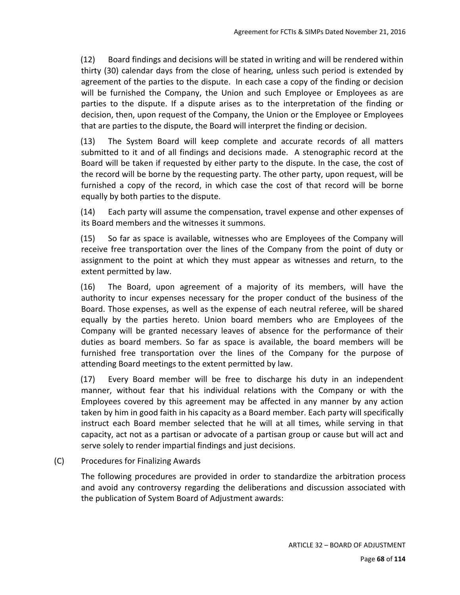(12) Board findings and decisions will be stated in writing and will be rendered within thirty (30) calendar days from the close of hearing, unless such period is extended by agreement of the parties to the dispute. In each case a copy of the finding or decision will be furnished the Company, the Union and such Employee or Employees as are parties to the dispute. If a dispute arises as to the interpretation of the finding or decision, then, upon request of the Company, the Union or the Employee or Employees that are parties to the dispute, the Board will interpret the finding or decision.

(13) The System Board will keep complete and accurate records of all matters submitted to it and of all findings and decisions made. A stenographic record at the Board will be taken if requested by either party to the dispute. In the case, the cost of the record will be borne by the requesting party. The other party, upon request, will be furnished a copy of the record, in which case the cost of that record will be borne equally by both parties to the dispute.

(14) Each party will assume the compensation, travel expense and other expenses of its Board members and the witnesses it summons.

(15) So far as space is available, witnesses who are Employees of the Company will receive free transportation over the lines of the Company from the point of duty or assignment to the point at which they must appear as witnesses and return, to the extent permitted by law.

(16) The Board, upon agreement of a majority of its members, will have the authority to incur expenses necessary for the proper conduct of the business of the Board. Those expenses, as well as the expense of each neutral referee, will be shared equally by the parties hereto. Union board members who are Employees of the Company will be granted necessary leaves of absence for the performance of their duties as board members. So far as space is available, the board members will be furnished free transportation over the lines of the Company for the purpose of attending Board meetings to the extent permitted by law.

(17) Every Board member will be free to discharge his duty in an independent manner, without fear that his individual relations with the Company or with the Employees covered by this agreement may be affected in any manner by any action taken by him in good faith in his capacity as a Board member. Each party will specifically instruct each Board member selected that he will at all times, while serving in that capacity, act not as a partisan or advocate of a partisan group or cause but will act and serve solely to render impartial findings and just decisions.

### (C) Procedures for Finalizing Awards

The following procedures are provided in order to standardize the arbitration process and avoid any controversy regarding the deliberations and discussion associated with the publication of System Board of Adjustment awards: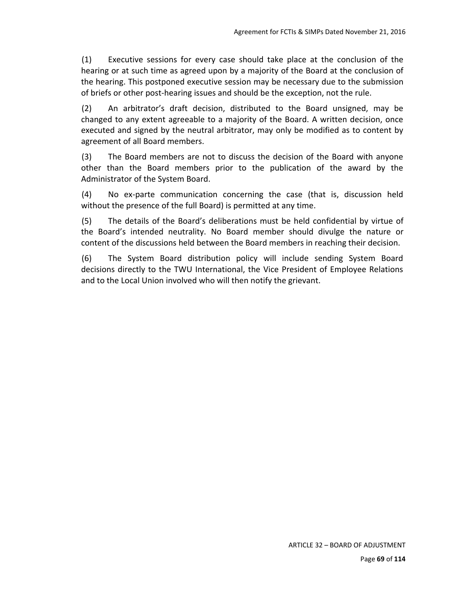(1) Executive sessions for every case should take place at the conclusion of the hearing or at such time as agreed upon by a majority of the Board at the conclusion of the hearing. This postponed executive session may be necessary due to the submission of briefs or other post‐hearing issues and should be the exception, not the rule.

(2) An arbitrator's draft decision, distributed to the Board unsigned, may be changed to any extent agreeable to a majority of the Board. A written decision, once executed and signed by the neutral arbitrator, may only be modified as to content by agreement of all Board members.

(3) The Board members are not to discuss the decision of the Board with anyone other than the Board members prior to the publication of the award by the Administrator of the System Board.

(4) No ex‐parte communication concerning the case (that is, discussion held without the presence of the full Board) is permitted at any time.

(5) The details of the Board's deliberations must be held confidential by virtue of the Board's intended neutrality. No Board member should divulge the nature or content of the discussions held between the Board members in reaching their decision.

(6) The System Board distribution policy will include sending System Board decisions directly to the TWU International, the Vice President of Employee Relations and to the Local Union involved who will then notify the grievant.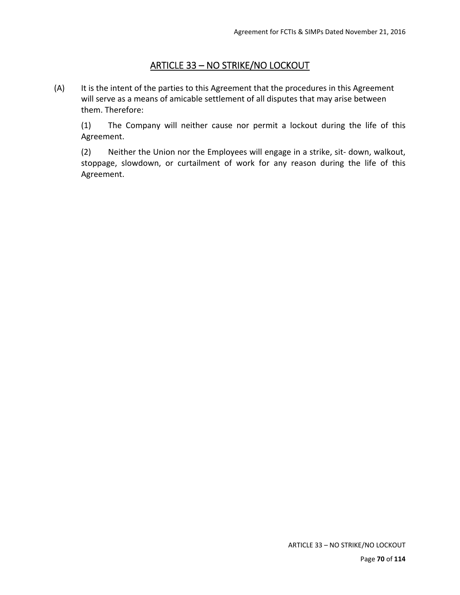# ARTICLE 33 – NO STRIKE/NO LOCKOUT

(A) It is the intent of the parties to this Agreement that the procedures in this Agreement will serve as a means of amicable settlement of all disputes that may arise between them. Therefore:

(1) The Company will neither cause nor permit a lockout during the life of this Agreement.

(2) Neither the Union nor the Employees will engage in a strike, sit‐ down, walkout, stoppage, slowdown, or curtailment of work for any reason during the life of this Agreement.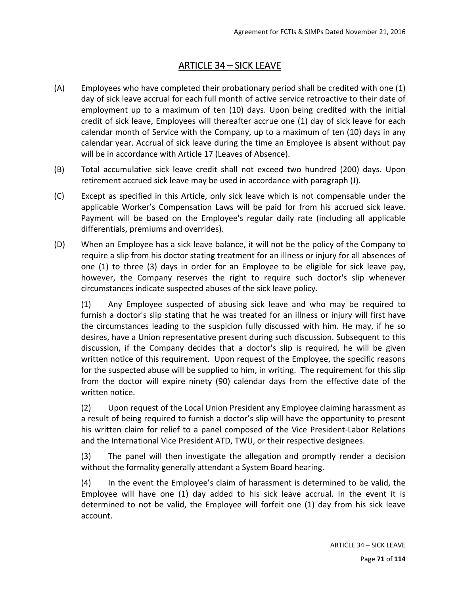# ARTICLE 34 – SICK LEAVE

- (A) Employees who have completed their probationary period shall be credited with one (1) day of sick leave accrual for each full month of active service retroactive to their date of employment up to a maximum of ten (10) days. Upon being credited with the initial credit of sick leave, Employees will thereafter accrue one (1) day of sick leave for each calendar month of Service with the Company, up to a maximum of ten (10) days in any calendar year. Accrual of sick leave during the time an Employee is absent without pay will be in accordance with Article 17 (Leaves of Absence).
- (B) Total accumulative sick leave credit shall not exceed two hundred (200) days. Upon retirement accrued sick leave may be used in accordance with paragraph (J).
- (C) Except as specified in this Article, only sick leave which is not compensable under the applicable Worker's Compensation Laws will be paid for from his accrued sick leave. Payment will be based on the Employee's regular daily rate (including all applicable differentials, premiums and overrides).
- (D) When an Employee has a sick leave balance, it will not be the policy of the Company to require a slip from his doctor stating treatment for an illness or injury for all absences of one (1) to three (3) days in order for an Employee to be eligible for sick leave pay, however, the Company reserves the right to require such doctor's slip whenever circumstances indicate suspected abuses of the sick leave policy.

(1) Any Employee suspected of abusing sick leave and who may be required to furnish a doctor's slip stating that he was treated for an illness or injury will first have the circumstances leading to the suspicion fully discussed with him. He may, if he so desires, have a Union representative present during such discussion. Subsequent to this discussion, if the Company decides that a doctor's slip is required, he will be given written notice of this requirement. Upon request of the Employee, the specific reasons for the suspected abuse will be supplied to him, in writing. The requirement for this slip from the doctor will expire ninety (90) calendar days from the effective date of the written notice.

(2) Upon request of the Local Union President any Employee claiming harassment as a result of being required to furnish a doctor's slip will have the opportunity to present his written claim for relief to a panel composed of the Vice President-Labor Relations and the International Vice President ATD, TWU, or their respective designees.

(3) The panel will then investigate the allegation and promptly render a decision without the formality generally attendant a System Board hearing.

(4) In the event the Employee's claim of harassment is determined to be valid, the Employee will have one (1) day added to his sick leave accrual. In the event it is determined to not be valid, the Employee will forfeit one (1) day from his sick leave account.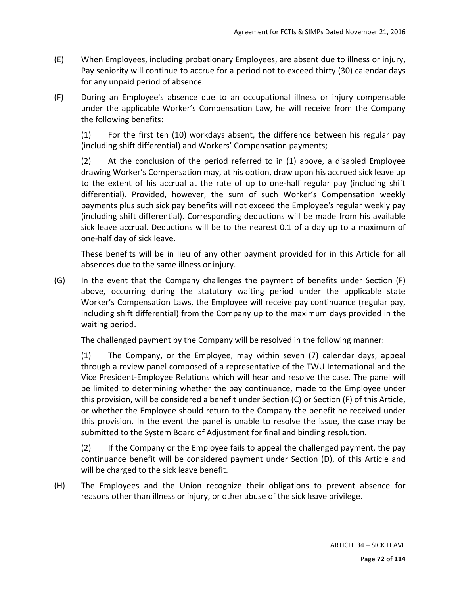- (E) When Employees, including probationary Employees, are absent due to illness or injury, Pay seniority will continue to accrue for a period not to exceed thirty (30) calendar days for any unpaid period of absence.
- (F) During an Employee's absence due to an occupational illness or injury compensable under the applicable Worker's Compensation Law, he will receive from the Company the following benefits:

(1) For the first ten (10) workdays absent, the difference between his regular pay (including shift differential) and Workers' Compensation payments;

(2) At the conclusion of the period referred to in (1) above, a disabled Employee drawing Worker's Compensation may, at his option, draw upon his accrued sick leave up to the extent of his accrual at the rate of up to one-half regular pay (including shift differential). Provided, however, the sum of such Worker's Compensation weekly payments plus such sick pay benefits will not exceed the Employee's regular weekly pay (including shift differential). Corresponding deductions will be made from his available sick leave accrual. Deductions will be to the nearest 0.1 of a day up to a maximum of one‐half day of sick leave.

These benefits will be in lieu of any other payment provided for in this Article for all absences due to the same illness or injury.

(G) In the event that the Company challenges the payment of benefits under Section (F) above, occurring during the statutory waiting period under the applicable state Worker's Compensation Laws, the Employee will receive pay continuance (regular pay, including shift differential) from the Company up to the maximum days provided in the waiting period.

The challenged payment by the Company will be resolved in the following manner:

(1) The Company, or the Employee, may within seven (7) calendar days, appeal through a review panel composed of a representative of the TWU International and the Vice President‐Employee Relations which will hear and resolve the case. The panel will be limited to determining whether the pay continuance, made to the Employee under this provision, will be considered a benefit under Section (C) or Section (F) of this Article, or whether the Employee should return to the Company the benefit he received under this provision. In the event the panel is unable to resolve the issue, the case may be submitted to the System Board of Adjustment for final and binding resolution.

(2) If the Company or the Employee fails to appeal the challenged payment, the pay continuance benefit will be considered payment under Section (D), of this Article and will be charged to the sick leave benefit.

(H) The Employees and the Union recognize their obligations to prevent absence for reasons other than illness or injury, or other abuse of the sick leave privilege.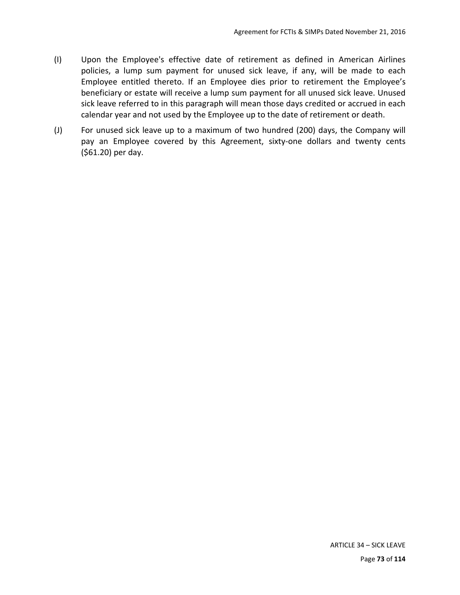- (I) Upon the Employee's effective date of retirement as defined in American Airlines policies, a lump sum payment for unused sick leave, if any, will be made to each Employee entitled thereto. If an Employee dies prior to retirement the Employee's beneficiary or estate will receive a lump sum payment for all unused sick leave. Unused sick leave referred to in this paragraph will mean those days credited or accrued in each calendar year and not used by the Employee up to the date of retirement or death.
- (J) For unused sick leave up to a maximum of two hundred (200) days, the Company will pay an Employee covered by this Agreement, sixty-one dollars and twenty cents (\$61.20) per day.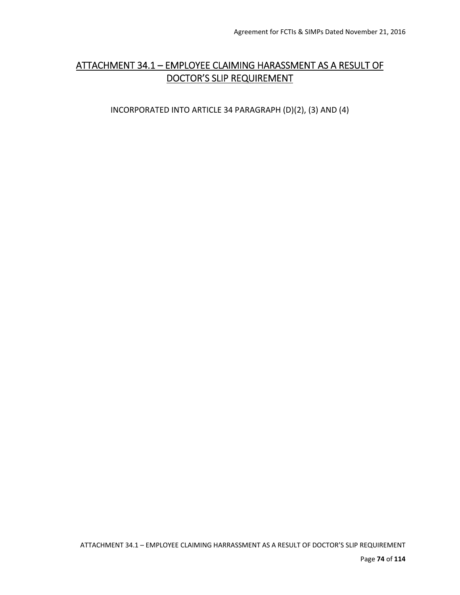## ATTACHMENT 34.1 – EMPLOYEE CLAIMING HARASSMENT AS A RESULT OF DOCTOR'S SLIP REQUIREMENT

INCORPORATED INTO ARTICLE 34 PARAGRAPH (D)(2), (3) AND (4)

ATTACHMENT 34.1 – EMPLOYEE CLAIMING HARRASSMENT AS A RESULT OF DOCTOR'S SLIP REQUIREMENT

Page **74** of **114**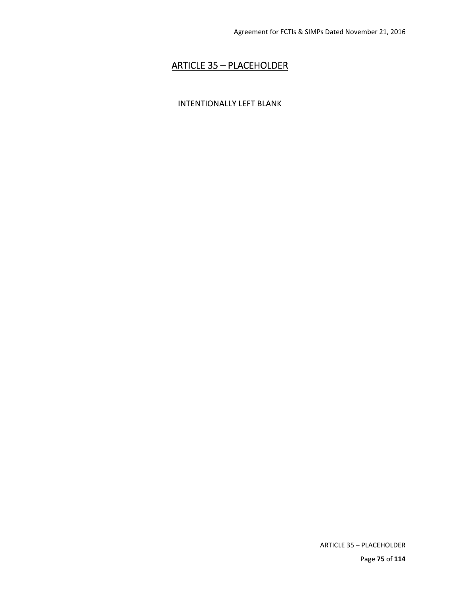## ARTICLE 35 – PLACEHOLDER

#### INTENTIONALLY LEFT BLANK

ARTICLE 35 – PLACEHOLDER Page **75** of **114**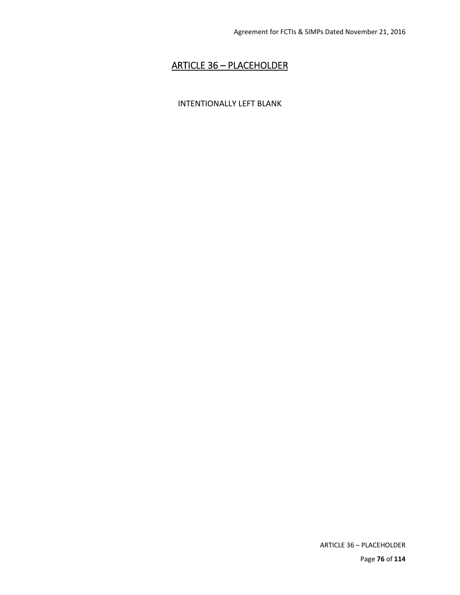# ARTICLE 36 – PLACEHOLDER

#### INTENTIONALLY LEFT BLANK

ARTICLE 36 – PLACEHOLDER

Page **76** of **114**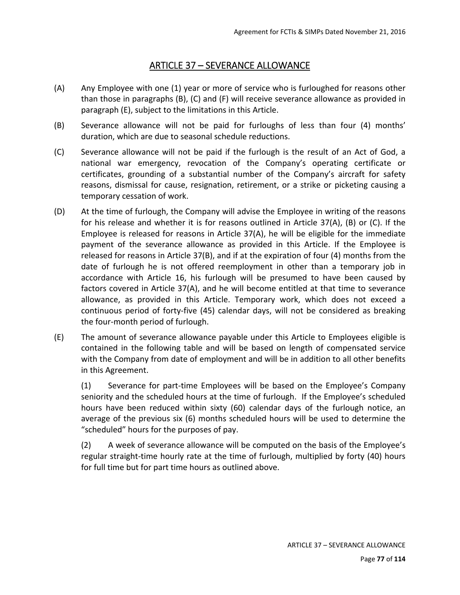## ARTICLE 37 – SEVERANCE ALLOWANCE

- (A) Any Employee with one (1) year or more of service who is furloughed for reasons other than those in paragraphs (B), (C) and (F) will receive severance allowance as provided in paragraph (E), subject to the limitations in this Article.
- (B) Severance allowance will not be paid for furloughs of less than four (4) months' duration, which are due to seasonal schedule reductions.
- (C) Severance allowance will not be paid if the furlough is the result of an Act of God, a national war emergency, revocation of the Company's operating certificate or certificates, grounding of a substantial number of the Company's aircraft for safety reasons, dismissal for cause, resignation, retirement, or a strike or picketing causing a temporary cessation of work.
- (D) At the time of furlough, the Company will advise the Employee in writing of the reasons for his release and whether it is for reasons outlined in Article 37(A), (B) or (C). If the Employee is released for reasons in Article 37(A), he will be eligible for the immediate payment of the severance allowance as provided in this Article. If the Employee is released for reasons in Article 37(B), and if at the expiration of four (4) months from the date of furlough he is not offered reemployment in other than a temporary job in accordance with Article 16, his furlough will be presumed to have been caused by factors covered in Article 37(A), and he will become entitled at that time to severance allowance, as provided in this Article. Temporary work, which does not exceed a continuous period of forty‐five (45) calendar days, will not be considered as breaking the four‐month period of furlough.
- (E) The amount of severance allowance payable under this Article to Employees eligible is contained in the following table and will be based on length of compensated service with the Company from date of employment and will be in addition to all other benefits in this Agreement.

(1) Severance for part‐time Employees will be based on the Employee's Company seniority and the scheduled hours at the time of furlough. If the Employee's scheduled hours have been reduced within sixty (60) calendar days of the furlough notice, an average of the previous six (6) months scheduled hours will be used to determine the "scheduled" hours for the purposes of pay.

(2) A week of severance allowance will be computed on the basis of the Employee's regular straight‐time hourly rate at the time of furlough, multiplied by forty (40) hours for full time but for part time hours as outlined above.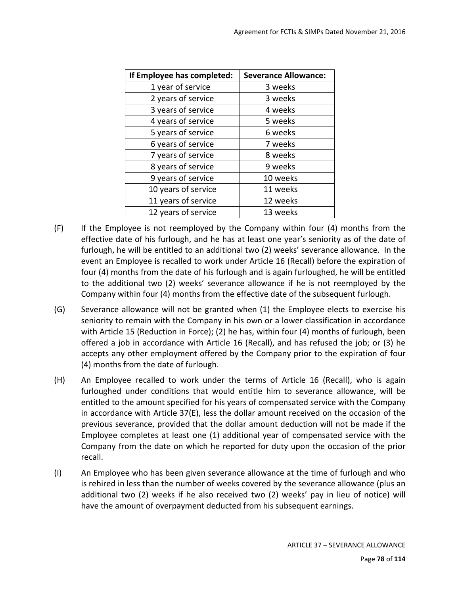| If Employee has completed: | <b>Severance Allowance:</b> |
|----------------------------|-----------------------------|
| 1 year of service          | 3 weeks                     |
| 2 years of service         | 3 weeks                     |
| 3 years of service         | 4 weeks                     |
| 4 years of service         | 5 weeks                     |
| 5 years of service         | 6 weeks                     |
| 6 years of service         | 7 weeks                     |
| 7 years of service         | 8 weeks                     |
| 8 years of service         | 9 weeks                     |
| 9 years of service         | 10 weeks                    |
| 10 years of service        | 11 weeks                    |
| 11 years of service        | 12 weeks                    |
| 12 years of service        | 13 weeks                    |

- (F) If the Employee is not reemployed by the Company within four (4) months from the effective date of his furlough, and he has at least one year's seniority as of the date of furlough, he will be entitled to an additional two (2) weeks' severance allowance. In the event an Employee is recalled to work under Article 16 (Recall) before the expiration of four (4) months from the date of his furlough and is again furloughed, he will be entitled to the additional two (2) weeks' severance allowance if he is not reemployed by the Company within four (4) months from the effective date of the subsequent furlough.
- (G) Severance allowance will not be granted when (1) the Employee elects to exercise his seniority to remain with the Company in his own or a lower classification in accordance with Article 15 (Reduction in Force); (2) he has, within four (4) months of furlough, been offered a job in accordance with Article 16 (Recall), and has refused the job; or (3) he accepts any other employment offered by the Company prior to the expiration of four (4) months from the date of furlough.
- (H) An Employee recalled to work under the terms of Article 16 (Recall), who is again furloughed under conditions that would entitle him to severance allowance, will be entitled to the amount specified for his years of compensated service with the Company in accordance with Article 37(E), less the dollar amount received on the occasion of the previous severance, provided that the dollar amount deduction will not be made if the Employee completes at least one (1) additional year of compensated service with the Company from the date on which he reported for duty upon the occasion of the prior recall.
- (I) An Employee who has been given severance allowance at the time of furlough and who is rehired in less than the number of weeks covered by the severance allowance (plus an additional two (2) weeks if he also received two (2) weeks' pay in lieu of notice) will have the amount of overpayment deducted from his subsequent earnings.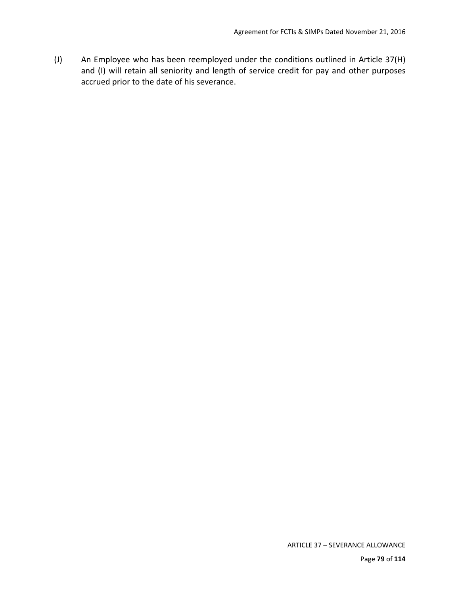(J) An Employee who has been reemployed under the conditions outlined in Article 37(H) and (I) will retain all seniority and length of service credit for pay and other purposes accrued prior to the date of his severance.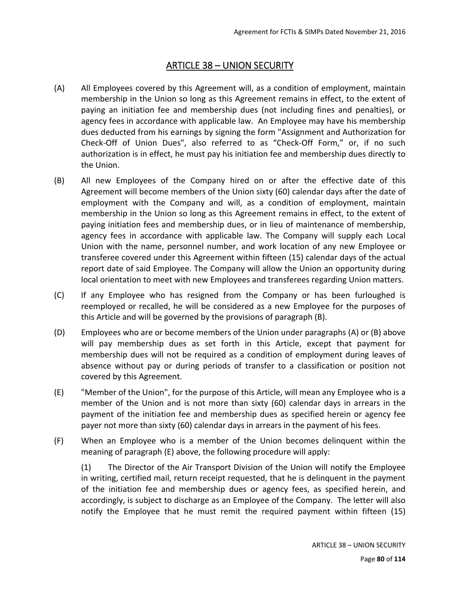## ARTICLE 38 – UNION SECURITY

- (A) All Employees covered by this Agreement will, as a condition of employment, maintain membership in the Union so long as this Agreement remains in effect, to the extent of paying an initiation fee and membership dues (not including fines and penalties), or agency fees in accordance with applicable law. An Employee may have his membership dues deducted from his earnings by signing the form "Assignment and Authorization for Check‐Off of Union Dues", also referred to as "Check‐Off Form," or, if no such authorization is in effect, he must pay his initiation fee and membership dues directly to the Union.
- (B) All new Employees of the Company hired on or after the effective date of this Agreement will become members of the Union sixty (60) calendar days after the date of employment with the Company and will, as a condition of employment, maintain membership in the Union so long as this Agreement remains in effect, to the extent of paying initiation fees and membership dues, or in lieu of maintenance of membership, agency fees in accordance with applicable law. The Company will supply each Local Union with the name, personnel number, and work location of any new Employee or transferee covered under this Agreement within fifteen (15) calendar days of the actual report date of said Employee. The Company will allow the Union an opportunity during local orientation to meet with new Employees and transferees regarding Union matters.
- (C) If any Employee who has resigned from the Company or has been furloughed is reemployed or recalled, he will be considered as a new Employee for the purposes of this Article and will be governed by the provisions of paragraph (B).
- (D) Employees who are or become members of the Union under paragraphs (A) or (B) above will pay membership dues as set forth in this Article, except that payment for membership dues will not be required as a condition of employment during leaves of absence without pay or during periods of transfer to a classification or position not covered by this Agreement.
- (E) "Member of the Union", for the purpose of this Article, will mean any Employee who is a member of the Union and is not more than sixty (60) calendar days in arrears in the payment of the initiation fee and membership dues as specified herein or agency fee payer not more than sixty (60) calendar days in arrears in the payment of his fees.
- (F) When an Employee who is a member of the Union becomes delinquent within the meaning of paragraph (E) above, the following procedure will apply:

(1) The Director of the Air Transport Division of the Union will notify the Employee in writing, certified mail, return receipt requested, that he is delinquent in the payment of the initiation fee and membership dues or agency fees, as specified herein, and accordingly, is subject to discharge as an Employee of the Company. The letter will also notify the Employee that he must remit the required payment within fifteen (15)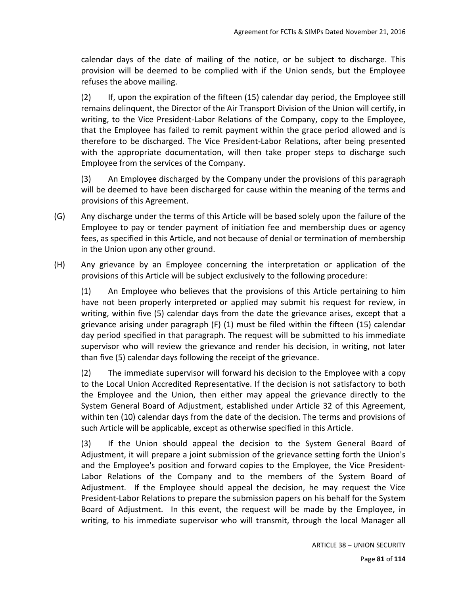calendar days of the date of mailing of the notice, or be subject to discharge. This provision will be deemed to be complied with if the Union sends, but the Employee refuses the above mailing.

(2) If, upon the expiration of the fifteen (15) calendar day period, the Employee still remains delinquent, the Director of the Air Transport Division of the Union will certify, in writing, to the Vice President-Labor Relations of the Company, copy to the Employee, that the Employee has failed to remit payment within the grace period allowed and is therefore to be discharged. The Vice President‐Labor Relations, after being presented with the appropriate documentation, will then take proper steps to discharge such Employee from the services of the Company.

(3) An Employee discharged by the Company under the provisions of this paragraph will be deemed to have been discharged for cause within the meaning of the terms and provisions of this Agreement.

- (G) Any discharge under the terms of this Article will be based solely upon the failure of the Employee to pay or tender payment of initiation fee and membership dues or agency fees, as specified in this Article, and not because of denial or termination of membership in the Union upon any other ground.
- (H) Any grievance by an Employee concerning the interpretation or application of the provisions of this Article will be subject exclusively to the following procedure:

(1) An Employee who believes that the provisions of this Article pertaining to him have not been properly interpreted or applied may submit his request for review, in writing, within five (5) calendar days from the date the grievance arises, except that a grievance arising under paragraph (F) (1) must be filed within the fifteen (15) calendar day period specified in that paragraph. The request will be submitted to his immediate supervisor who will review the grievance and render his decision, in writing, not later than five (5) calendar days following the receipt of the grievance.

(2) The immediate supervisor will forward his decision to the Employee with a copy to the Local Union Accredited Representative. If the decision is not satisfactory to both the Employee and the Union, then either may appeal the grievance directly to the System General Board of Adjustment, established under Article 32 of this Agreement, within ten (10) calendar days from the date of the decision. The terms and provisions of such Article will be applicable, except as otherwise specified in this Article.

(3) If the Union should appeal the decision to the System General Board of Adjustment, it will prepare a joint submission of the grievance setting forth the Union's and the Employee's position and forward copies to the Employee, the Vice President‐ Labor Relations of the Company and to the members of the System Board of Adjustment. If the Employee should appeal the decision, he may request the Vice President‐Labor Relations to prepare the submission papers on his behalf for the System Board of Adjustment. In this event, the request will be made by the Employee, in writing, to his immediate supervisor who will transmit, through the local Manager all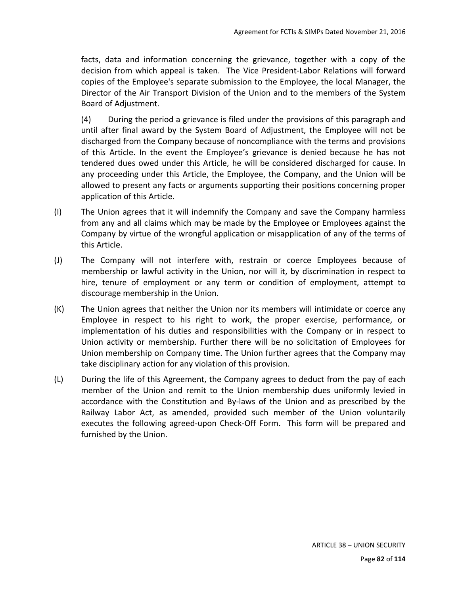facts, data and information concerning the grievance, together with a copy of the decision from which appeal is taken. The Vice President‐Labor Relations will forward copies of the Employee's separate submission to the Employee, the local Manager, the Director of the Air Transport Division of the Union and to the members of the System Board of Adjustment.

(4) During the period a grievance is filed under the provisions of this paragraph and until after final award by the System Board of Adjustment, the Employee will not be discharged from the Company because of noncompliance with the terms and provisions of this Article. In the event the Employee's grievance is denied because he has not tendered dues owed under this Article, he will be considered discharged for cause. In any proceeding under this Article, the Employee, the Company, and the Union will be allowed to present any facts or arguments supporting their positions concerning proper application of this Article.

- (I) The Union agrees that it will indemnify the Company and save the Company harmless from any and all claims which may be made by the Employee or Employees against the Company by virtue of the wrongful application or misapplication of any of the terms of this Article.
- (J) The Company will not interfere with, restrain or coerce Employees because of membership or lawful activity in the Union, nor will it, by discrimination in respect to hire, tenure of employment or any term or condition of employment, attempt to discourage membership in the Union.
- (K) The Union agrees that neither the Union nor its members will intimidate or coerce any Employee in respect to his right to work, the proper exercise, performance, or implementation of his duties and responsibilities with the Company or in respect to Union activity or membership. Further there will be no solicitation of Employees for Union membership on Company time. The Union further agrees that the Company may take disciplinary action for any violation of this provision.
- (L) During the life of this Agreement, the Company agrees to deduct from the pay of each member of the Union and remit to the Union membership dues uniformly levied in accordance with the Constitution and By-laws of the Union and as prescribed by the Railway Labor Act, as amended, provided such member of the Union voluntarily executes the following agreed-upon Check-Off Form. This form will be prepared and furnished by the Union.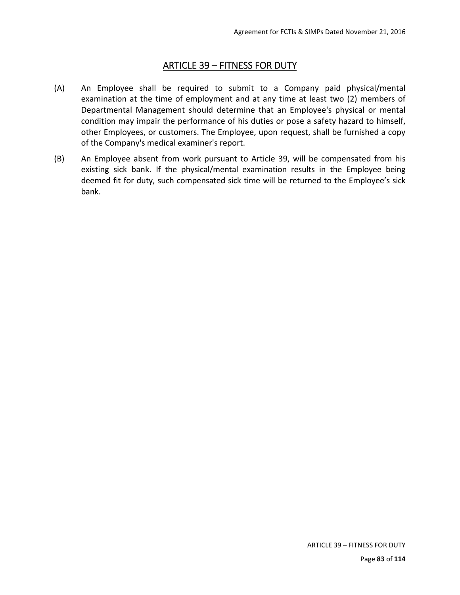## ARTICLE 39 – FITNESS FOR DUTY

- (A) An Employee shall be required to submit to a Company paid physical/mental examination at the time of employment and at any time at least two (2) members of Departmental Management should determine that an Employee's physical or mental condition may impair the performance of his duties or pose a safety hazard to himself, other Employees, or customers. The Employee, upon request, shall be furnished a copy of the Company's medical examiner's report.
- (B) An Employee absent from work pursuant to Article 39, will be compensated from his existing sick bank. If the physical/mental examination results in the Employee being deemed fit for duty, such compensated sick time will be returned to the Employee's sick bank.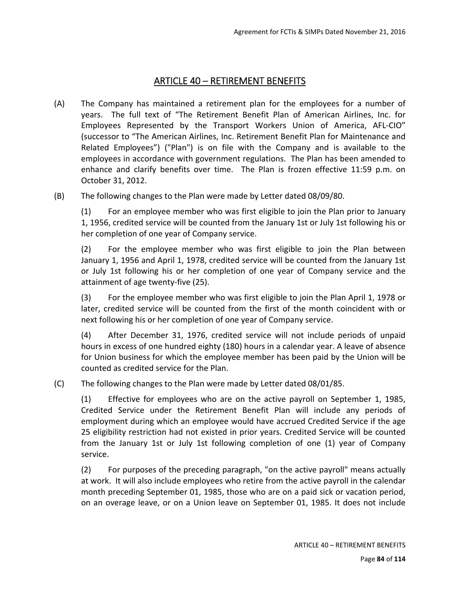### ARTICLE 40 – RETIREMENT BENEFITS

- (A) The Company has maintained a retirement plan for the employees for a number of years. The full text of "The Retirement Benefit Plan of American Airlines, Inc. for Employees Represented by the Transport Workers Union of America, AFL‐CIO" (successor to "The American Airlines, Inc. Retirement Benefit Plan for Maintenance and Related Employees") ("Plan") is on file with the Company and is available to the employees in accordance with government regulations. The Plan has been amended to enhance and clarify benefits over time. The Plan is frozen effective 11:59 p.m. on October 31, 2012.
- (B) The following changes to the Plan were made by Letter dated 08/09/80.

(1) For an employee member who was first eligible to join the Plan prior to January 1, 1956, credited service will be counted from the January 1st or July 1st following his or her completion of one year of Company service.

(2) For the employee member who was first eligible to join the Plan between January 1, 1956 and April 1, 1978, credited service will be counted from the January 1st or July 1st following his or her completion of one year of Company service and the attainment of age twenty‐five (25).

(3) For the employee member who was first eligible to join the Plan April 1, 1978 or later, credited service will be counted from the first of the month coincident with or next following his or her completion of one year of Company service.

(4) After December 31, 1976, credited service will not include periods of unpaid hours in excess of one hundred eighty (180) hours in a calendar year. A leave of absence for Union business for which the employee member has been paid by the Union will be counted as credited service for the Plan.

(C) The following changes to the Plan were made by Letter dated 08/01/85.

(1) Effective for employees who are on the active payroll on September 1, 1985, Credited Service under the Retirement Benefit Plan will include any periods of employment during which an employee would have accrued Credited Service if the age 25 eligibility restriction had not existed in prior years. Credited Service will be counted from the January 1st or July 1st following completion of one (1) year of Company service.

(2) For purposes of the preceding paragraph, "on the active payroll" means actually at work. It will also include employees who retire from the active payroll in the calendar month preceding September 01, 1985, those who are on a paid sick or vacation period, on an overage leave, or on a Union leave on September 01, 1985. It does not include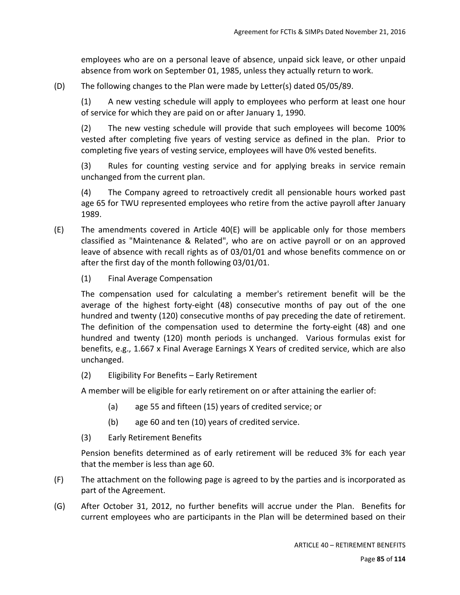employees who are on a personal leave of absence, unpaid sick leave, or other unpaid absence from work on September 01, 1985, unless they actually return to work.

(D) The following changes to the Plan were made by Letter(s) dated 05/05/89.

(1) A new vesting schedule will apply to employees who perform at least one hour of service for which they are paid on or after January 1, 1990.

(2) The new vesting schedule will provide that such employees will become 100% vested after completing five years of vesting service as defined in the plan. Prior to completing five years of vesting service, employees will have 0% vested benefits.

(3) Rules for counting vesting service and for applying breaks in service remain unchanged from the current plan.

(4) The Company agreed to retroactively credit all pensionable hours worked past age 65 for TWU represented employees who retire from the active payroll after January 1989.

- (E) The amendments covered in Article 40(E) will be applicable only for those members classified as "Maintenance & Related", who are on active payroll or on an approved leave of absence with recall rights as of 03/01/01 and whose benefits commence on or after the first day of the month following 03/01/01.
	- (1) Final Average Compensation

The compensation used for calculating a member's retirement benefit will be the average of the highest forty-eight (48) consecutive months of pay out of the one hundred and twenty (120) consecutive months of pay preceding the date of retirement. The definition of the compensation used to determine the forty-eight (48) and one hundred and twenty (120) month periods is unchanged. Various formulas exist for benefits, e.g., 1.667 x Final Average Earnings X Years of credited service, which are also unchanged.

(2) Eligibility For Benefits – Early Retirement

A member will be eligible for early retirement on or after attaining the earlier of:

- (a) age 55 and fifteen (15) years of credited service; or
- (b) age 60 and ten (10) years of credited service.
- (3) Early Retirement Benefits

Pension benefits determined as of early retirement will be reduced 3% for each year that the member is less than age 60.

- (F) The attachment on the following page is agreed to by the parties and is incorporated as part of the Agreement.
- (G) After October 31, 2012, no further benefits will accrue under the Plan. Benefits for current employees who are participants in the Plan will be determined based on their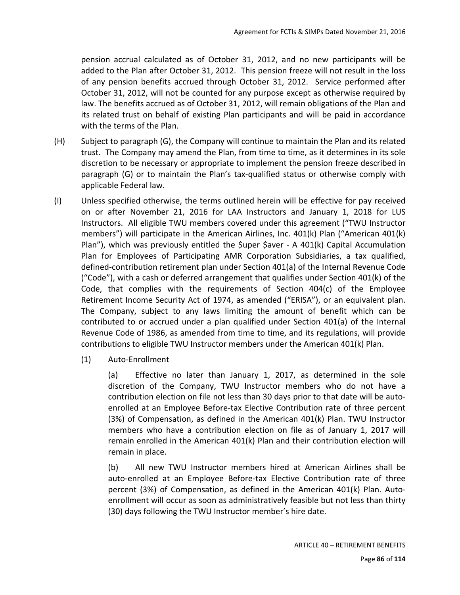pension accrual calculated as of October 31, 2012, and no new participants will be added to the Plan after October 31, 2012. This pension freeze will not result in the loss of any pension benefits accrued through October 31, 2012. Service performed after October 31, 2012, will not be counted for any purpose except as otherwise required by law. The benefits accrued as of October 31, 2012, will remain obligations of the Plan and its related trust on behalf of existing Plan participants and will be paid in accordance with the terms of the Plan.

- (H) Subject to paragraph (G), the Company will continue to maintain the Plan and its related trust. The Company may amend the Plan, from time to time, as it determines in its sole discretion to be necessary or appropriate to implement the pension freeze described in paragraph (G) or to maintain the Plan's tax-qualified status or otherwise comply with applicable Federal law.
- (I) Unless specified otherwise, the terms outlined herein will be effective for pay received on or after November 21, 2016 for LAA Instructors and January 1, 2018 for LUS Instructors. All eligible TWU members covered under this agreement ("TWU Instructor members") will participate in the American Airlines, Inc. 401(k) Plan ("American 401(k) Plan"), which was previously entitled the  $\zeta$ uper  $\zeta$ aver - A 401(k) Capital Accumulation Plan for Employees of Participating AMR Corporation Subsidiaries, a tax qualified, defined‐contribution retirement plan under Section 401(a) of the Internal Revenue Code ("Code"), with a cash or deferred arrangement that qualifies under Section 401(k) of the Code, that complies with the requirements of Section 404(c) of the Employee Retirement Income Security Act of 1974, as amended ("ERISA"), or an equivalent plan. The Company, subject to any laws limiting the amount of benefit which can be contributed to or accrued under a plan qualified under Section 401(a) of the Internal Revenue Code of 1986, as amended from time to time, and its regulations, will provide contributions to eligible TWU Instructor members under the American 401(k) Plan.
	- (1) Auto‐Enrollment

(a) Effective no later than January 1, 2017, as determined in the sole discretion of the Company, TWU Instructor members who do not have a contribution election on file not less than 30 days prior to that date will be auto‐ enrolled at an Employee Before-tax Elective Contribution rate of three percent (3%) of Compensation, as defined in the American 401(k) Plan. TWU Instructor members who have a contribution election on file as of January 1, 2017 will remain enrolled in the American 401(k) Plan and their contribution election will remain in place.

(b) All new TWU Instructor members hired at American Airlines shall be auto‐enrolled at an Employee Before‐tax Elective Contribution rate of three percent (3%) of Compensation, as defined in the American 401(k) Plan. Auto‐ enrollment will occur as soon as administratively feasible but not less than thirty (30) days following the TWU Instructor member's hire date.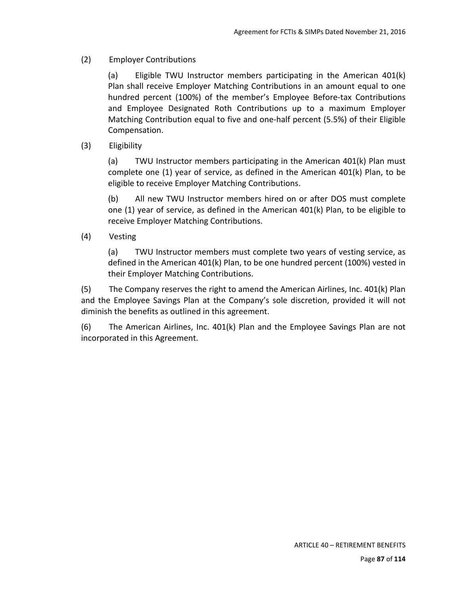#### (2) Employer Contributions

(a) Eligible TWU Instructor members participating in the American 401(k) Plan shall receive Employer Matching Contributions in an amount equal to one hundred percent (100%) of the member's Employee Before-tax Contributions and Employee Designated Roth Contributions up to a maximum Employer Matching Contribution equal to five and one‐half percent (5.5%) of their Eligible Compensation.

#### (3) Eligibility

(a) TWU Instructor members participating in the American 401(k) Plan must complete one  $(1)$  year of service, as defined in the American 401 $(k)$  Plan, to be eligible to receive Employer Matching Contributions.

(b) All new TWU Instructor members hired on or after DOS must complete one (1) year of service, as defined in the American 401(k) Plan, to be eligible to receive Employer Matching Contributions.

#### (4) Vesting

(a) TWU Instructor members must complete two years of vesting service, as defined in the American 401(k) Plan, to be one hundred percent (100%) vested in their Employer Matching Contributions.

(5) The Company reserves the right to amend the American Airlines, Inc. 401(k) Plan and the Employee Savings Plan at the Company's sole discretion, provided it will not diminish the benefits as outlined in this agreement.

(6) The American Airlines, Inc. 401(k) Plan and the Employee Savings Plan are not incorporated in this Agreement.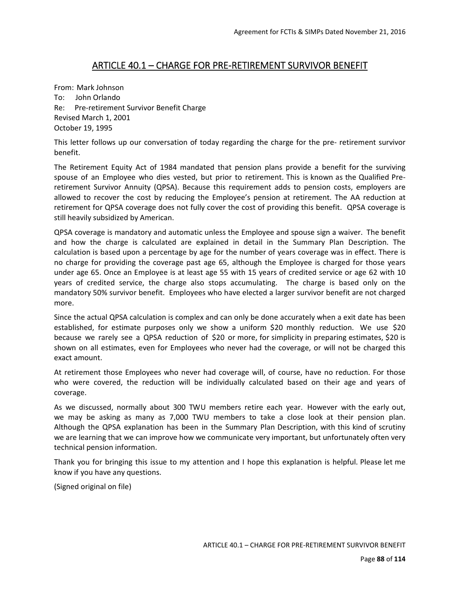#### ARTICLE 40.1 – CHARGE FOR PRE‐RETIREMENT SURVIVOR BENEFIT

From: Mark Johnson To: John Orlando Re: Pre-retirement Survivor Benefit Charge Revised March 1, 2001 October 19, 1995

This letter follows up our conversation of today regarding the charge for the pre‐ retirement survivor benefit.

The Retirement Equity Act of 1984 mandated that pension plans provide a benefit for the surviving spouse of an Employee who dies vested, but prior to retirement. This is known as the Qualified Preretirement Survivor Annuity (QPSA). Because this requirement adds to pension costs, employers are allowed to recover the cost by reducing the Employee's pension at retirement. The AA reduction at retirement for QPSA coverage does not fully cover the cost of providing this benefit. QPSA coverage is still heavily subsidized by American.

QPSA coverage is mandatory and automatic unless the Employee and spouse sign a waiver. The benefit and how the charge is calculated are explained in detail in the Summary Plan Description. The calculation is based upon a percentage by age for the number of years coverage was in effect. There is no charge for providing the coverage past age 65, although the Employee is charged for those years under age 65. Once an Employee is at least age 55 with 15 years of credited service or age 62 with 10 years of credited service, the charge also stops accumulating. The charge is based only on the mandatory 50% survivor benefit. Employees who have elected a larger survivor benefit are not charged more.

Since the actual QPSA calculation is complex and can only be done accurately when a exit date has been established, for estimate purposes only we show a uniform \$20 monthly reduction. We use \$20 because we rarely see a QPSA reduction of \$20 or more, for simplicity in preparing estimates, \$20 is shown on all estimates, even for Employees who never had the coverage, or will not be charged this exact amount.

At retirement those Employees who never had coverage will, of course, have no reduction. For those who were covered, the reduction will be individually calculated based on their age and years of coverage.

As we discussed, normally about 300 TWU members retire each year. However with the early out, we may be asking as many as 7,000 TWU members to take a close look at their pension plan. Although the QPSA explanation has been in the Summary Plan Description, with this kind of scrutiny we are learning that we can improve how we communicate very important, but unfortunately often very technical pension information.

Thank you for bringing this issue to my attention and I hope this explanation is helpful. Please let me know if you have any questions.

(Signed original on file)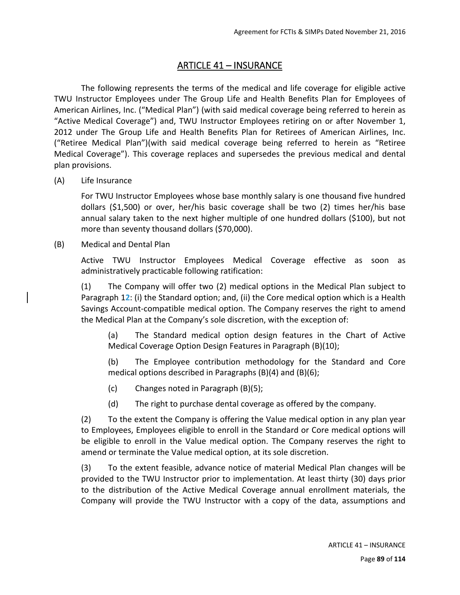## ARTICLE 41 – INSURANCE

The following represents the terms of the medical and life coverage for eligible active TWU Instructor Employees under The Group Life and Health Benefits Plan for Employees of American Airlines, Inc. ("Medical Plan") (with said medical coverage being referred to herein as "Active Medical Coverage") and, TWU Instructor Employees retiring on or after November 1, 2012 under The Group Life and Health Benefits Plan for Retirees of American Airlines, Inc. ("Retiree Medical Plan")(with said medical coverage being referred to herein as "Retiree Medical Coverage"). This coverage replaces and supersedes the previous medical and dental plan provisions.

(A) Life Insurance

For TWU Instructor Employees whose base monthly salary is one thousand five hundred dollars (\$1,500) or over, her/his basic coverage shall be two (2) times her/his base annual salary taken to the next higher multiple of one hundred dollars (\$100), but not more than seventy thousand dollars (\$70,000).

(B) Medical and Dental Plan

Active TWU Instructor Employees Medical Coverage effective as soon as administratively practicable following ratification:

(1) The Company will offer two (2) medical options in the Medical Plan subject to Paragraph 1**2**: (i) the Standard option; and, (ii) the Core medical option which is a Health Savings Account‐compatible medical option. The Company reserves the right to amend the Medical Plan at the Company's sole discretion, with the exception of:

(a) The Standard medical option design features in the Chart of Active Medical Coverage Option Design Features in Paragraph (B)(10);

(b) The Employee contribution methodology for the Standard and Core medical options described in Paragraphs (B)(4) and (B)(6);

- (c) Changes noted in Paragraph (B)(5);
- (d) The right to purchase dental coverage as offered by the company.

(2) To the extent the Company is offering the Value medical option in any plan year to Employees, Employees eligible to enroll in the Standard or Core medical options will be eligible to enroll in the Value medical option. The Company reserves the right to amend or terminate the Value medical option, at its sole discretion.

(3) To the extent feasible, advance notice of material Medical Plan changes will be provided to the TWU Instructor prior to implementation. At least thirty (30) days prior to the distribution of the Active Medical Coverage annual enrollment materials, the Company will provide the TWU Instructor with a copy of the data, assumptions and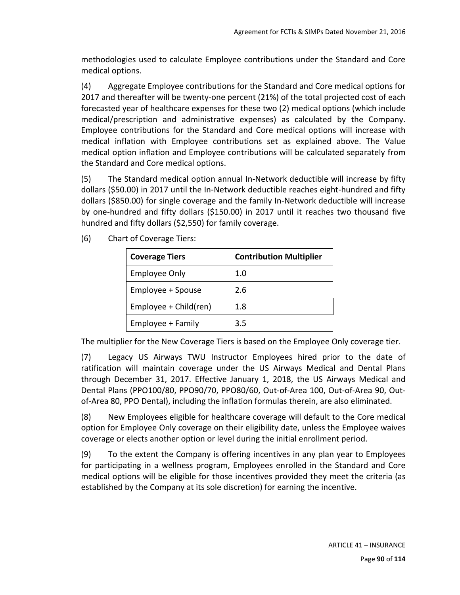methodologies used to calculate Employee contributions under the Standard and Core medical options.

(4) Aggregate Employee contributions for the Standard and Core medical options for 2017 and thereafter will be twenty‐one percent (21%) of the total projected cost of each forecasted year of healthcare expenses for these two (2) medical options (which include medical/prescription and administrative expenses) as calculated by the Company. Employee contributions for the Standard and Core medical options will increase with medical inflation with Employee contributions set as explained above. The Value medical option inflation and Employee contributions will be calculated separately from the Standard and Core medical options.

(5) The Standard medical option annual In‐Network deductible will increase by fifty dollars (\$50.00) in 2017 until the In‐Network deductible reaches eight‐hundred and fifty dollars (\$850.00) for single coverage and the family In‐Network deductible will increase by one‐hundred and fifty dollars (\$150.00) in 2017 until it reaches two thousand five hundred and fifty dollars (\$2,550) for family coverage.

| <b>Coverage Tiers</b> | <b>Contribution Multiplier</b> |
|-----------------------|--------------------------------|
| <b>Employee Only</b>  | 1.0                            |
| Employee + Spouse     | 2.6                            |
| Employee + Child(ren) | 1.8                            |
| Employee + Family     | 3.5                            |

(6) Chart of Coverage Tiers:

The multiplier for the New Coverage Tiers is based on the Employee Only coverage tier.

(7) Legacy US Airways TWU Instructor Employees hired prior to the date of ratification will maintain coverage under the US Airways Medical and Dental Plans through December 31, 2017. Effective January 1, 2018, the US Airways Medical and Dental Plans (PPO100/80, PPO90/70, PPO80/60, Out‐of‐Area 100, Out‐of‐Area 90, Out‐ of-Area 80, PPO Dental), including the inflation formulas therein, are also eliminated.

(8) New Employees eligible for healthcare coverage will default to the Core medical option for Employee Only coverage on their eligibility date, unless the Employee waives coverage or elects another option or level during the initial enrollment period.

(9) To the extent the Company is offering incentives in any plan year to Employees for participating in a wellness program, Employees enrolled in the Standard and Core medical options will be eligible for those incentives provided they meet the criteria (as established by the Company at its sole discretion) for earning the incentive.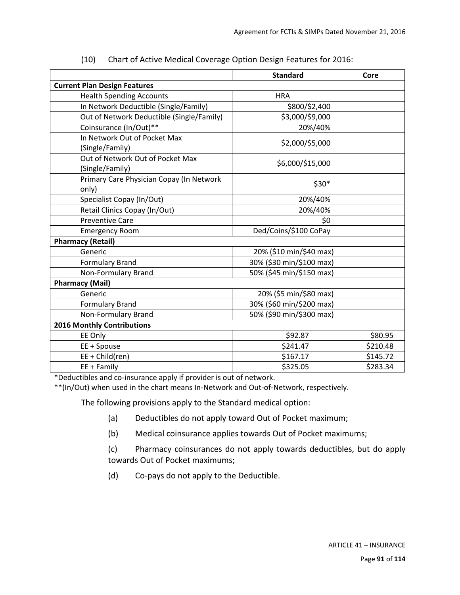|                                                     | <b>Standard</b>          | Core     |
|-----------------------------------------------------|--------------------------|----------|
| <b>Current Plan Design Features</b>                 |                          |          |
| <b>Health Spending Accounts</b>                     | <b>HRA</b>               |          |
| In Network Deductible (Single/Family)               | \$800/\$2,400            |          |
| Out of Network Deductible (Single/Family)           | \$3,000/\$9,000          |          |
| Coinsurance (In/Out)**                              | 20%/40%                  |          |
| In Network Out of Pocket Max<br>(Single/Family)     | \$2,000/\$5,000          |          |
| Out of Network Out of Pocket Max<br>(Single/Family) | \$6,000/\$15,000         |          |
| Primary Care Physician Copay (In Network<br>only)   | $$30*$                   |          |
| Specialist Copay (In/Out)                           | 20%/40%                  |          |
| Retail Clinics Copay (In/Out)                       | 20%/40%                  |          |
| <b>Preventive Care</b>                              | \$0                      |          |
| <b>Emergency Room</b>                               | Ded/Coins/\$100 CoPay    |          |
| <b>Pharmacy (Retail)</b>                            |                          |          |
| Generic                                             | 20% (\$10 min/\$40 max)  |          |
| <b>Formulary Brand</b>                              | 30% (\$30 min/\$100 max) |          |
| Non-Formulary Brand                                 | 50% (\$45 min/\$150 max) |          |
| <b>Pharmacy (Mail)</b>                              |                          |          |
| Generic                                             | 20% (\$5 min/\$80 max)   |          |
| <b>Formulary Brand</b>                              | 30% (\$60 min/\$200 max) |          |
| Non-Formulary Brand                                 | 50% (\$90 min/\$300 max) |          |
| <b>2016 Monthly Contributions</b>                   |                          |          |
| EE Only                                             | \$92.87                  | \$80.95  |
| EE + Spouse                                         | \$241.47                 | \$210.48 |
| $EE + Child (ren)$                                  | \$167.17                 | \$145.72 |
| $EE + Family$                                       | \$325.05                 | \$283.34 |

(10) Chart of Active Medical Coverage Option Design Features for 2016:

\*Deductibles and co‐insurance apply if provider is out of network.

\*\*(In/Out) when used in the chart means In‐Network and Out‐of‐Network, respectively.

The following provisions apply to the Standard medical option:

- (a) Deductibles do not apply toward Out of Pocket maximum;
- (b) Medical coinsurance applies towards Out of Pocket maximums;

(c) Pharmacy coinsurances do not apply towards deductibles, but do apply towards Out of Pocket maximums;

(d) Co‐pays do not apply to the Deductible.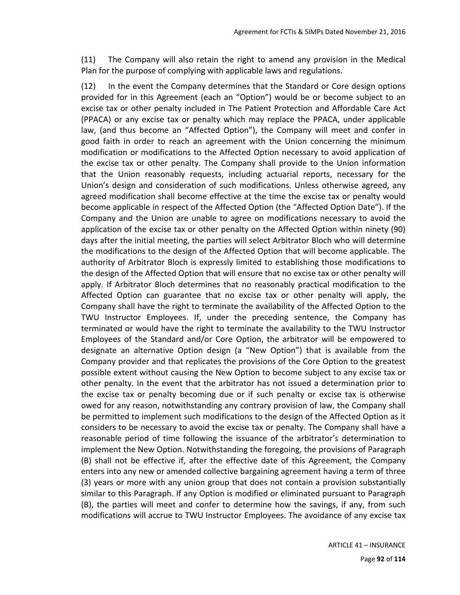(11) The Company will also retain the right to amend any provision in the Medical Plan for the purpose of complying with applicable laws and regulations.

(12) In the event the Company determines that the Standard or Core design options provided for in this Agreement (each an "Option") would be or become subject to an excise tax or other penalty included in The Patient Protection and Affordable Care Act (PPACA) or any excise tax or penalty which may replace the PPACA, under applicable law, (and thus become an "Affected Option"), the Company will meet and confer in good faith in order to reach an agreement with the Union concerning the minimum modification or modifications to the Affected Option necessary to avoid application of the excise tax or other penalty. The Company shall provide to the Union information that the Union reasonably requests, including actuarial reports, necessary for the Union's design and consideration of such modifications. Unless otherwise agreed, any agreed modification shall become effective at the time the excise tax or penalty would become applicable in respect of the Affected Option (the "Affected Option Date"). If the Company and the Union are unable to agree on modifications necessary to avoid the application of the excise tax or other penalty on the Affected Option within ninety (90) days after the initial meeting, the parties will select Arbitrator Bloch who will determine the modifications to the design of the Affected Option that will become applicable. The authority of Arbitrator Bloch is expressly limited to establishing those modifications to the design of the Affected Option that will ensure that no excise tax or other penalty will apply. If Arbitrator Bloch determines that no reasonably practical modification to the Affected Option can guarantee that no excise tax or other penalty will apply, the Company shall have the right to terminate the availability of the Affected Option to the TWU Instructor Employees. If, under the preceding sentence, the Company has terminated or would have the right to terminate the availability to the TWU Instructor Employees of the Standard and/or Core Option, the arbitrator will be empowered to designate an alternative Option design (a "New Option") that is available from the Company provider and that replicates the provisions of the Core Option to the greatest possible extent without causing the New Option to become subject to any excise tax or other penalty. In the event that the arbitrator has not issued a determination prior to the excise tax or penalty becoming due or if such penalty or excise tax is otherwise owed for any reason, notwithstanding any contrary provision of law, the Company shall be permitted to implement such modifications to the design of the Affected Option as it considers to be necessary to avoid the excise tax or penalty. The Company shall have a reasonable period of time following the issuance of the arbitrator's determination to implement the New Option. Notwithstanding the foregoing, the provisions of Paragraph (B) shall not be effective if, after the effective date of this Agreement, the Company enters into any new or amended collective bargaining agreement having a term of three (3) years or more with any union group that does not contain a provision substantially similar to this Paragraph. If any Option is modified or eliminated pursuant to Paragraph (B), the parties will meet and confer to determine how the savings, if any, from such modifications will accrue to TWU Instructor Employees. The avoidance of any excise tax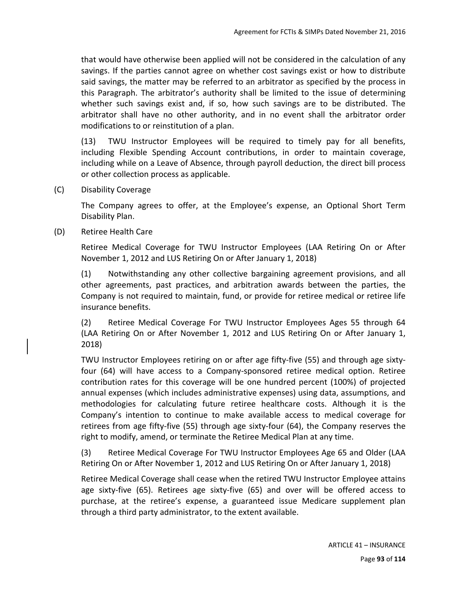that would have otherwise been applied will not be considered in the calculation of any savings. If the parties cannot agree on whether cost savings exist or how to distribute said savings, the matter may be referred to an arbitrator as specified by the process in this Paragraph. The arbitrator's authority shall be limited to the issue of determining whether such savings exist and, if so, how such savings are to be distributed. The arbitrator shall have no other authority, and in no event shall the arbitrator order modifications to or reinstitution of a plan.

(13) TWU Instructor Employees will be required to timely pay for all benefits, including Flexible Spending Account contributions, in order to maintain coverage, including while on a Leave of Absence, through payroll deduction, the direct bill process or other collection process as applicable.

(C) Disability Coverage

The Company agrees to offer, at the Employee's expense, an Optional Short Term Disability Plan.

(D) Retiree Health Care

Retiree Medical Coverage for TWU Instructor Employees (LAA Retiring On or After November 1, 2012 and LUS Retiring On or After January 1, 2018)

(1) Notwithstanding any other collective bargaining agreement provisions, and all other agreements, past practices, and arbitration awards between the parties, the Company is not required to maintain, fund, or provide for retiree medical or retiree life insurance benefits.

(2) Retiree Medical Coverage For TWU Instructor Employees Ages 55 through 64 (LAA Retiring On or After November 1, 2012 and LUS Retiring On or After January 1, 2018)

TWU Instructor Employees retiring on or after age fifty‐five (55) and through age sixty‐ four (64) will have access to a Company-sponsored retiree medical option. Retiree contribution rates for this coverage will be one hundred percent (100%) of projected annual expenses (which includes administrative expenses) using data, assumptions, and methodologies for calculating future retiree healthcare costs. Although it is the Company's intention to continue to make available access to medical coverage for retirees from age fifty-five (55) through age sixty-four (64), the Company reserves the right to modify, amend, or terminate the Retiree Medical Plan at any time.

(3) Retiree Medical Coverage For TWU Instructor Employees Age 65 and Older (LAA Retiring On or After November 1, 2012 and LUS Retiring On or After January 1, 2018)

Retiree Medical Coverage shall cease when the retired TWU Instructor Employee attains age sixty‐five (65). Retirees age sixty‐five (65) and over will be offered access to purchase, at the retiree's expense, a guaranteed issue Medicare supplement plan through a third party administrator, to the extent available.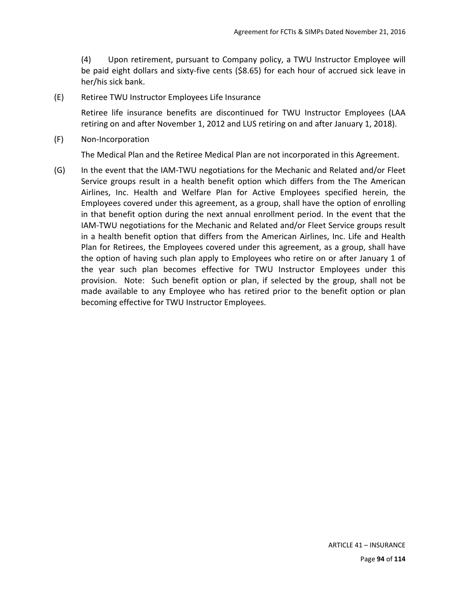(4) Upon retirement, pursuant to Company policy, a TWU Instructor Employee will be paid eight dollars and sixty-five cents (\$8.65) for each hour of accrued sick leave in her/his sick bank.

(E) Retiree TWU Instructor Employees Life Insurance

Retiree life insurance benefits are discontinued for TWU Instructor Employees (LAA retiring on and after November 1, 2012 and LUS retiring on and after January 1, 2018).

(F) Non‐Incorporation

The Medical Plan and the Retiree Medical Plan are not incorporated in this Agreement.

(G) In the event that the IAM‐TWU negotiations for the Mechanic and Related and/or Fleet Service groups result in a health benefit option which differs from the The American Airlines, Inc. Health and Welfare Plan for Active Employees specified herein, the Employees covered under this agreement, as a group, shall have the option of enrolling in that benefit option during the next annual enrollment period. In the event that the IAM‐TWU negotiations for the Mechanic and Related and/or Fleet Service groups result in a health benefit option that differs from the American Airlines, Inc. Life and Health Plan for Retirees, the Employees covered under this agreement, as a group, shall have the option of having such plan apply to Employees who retire on or after January 1 of the year such plan becomes effective for TWU Instructor Employees under this provision. Note: Such benefit option or plan, if selected by the group, shall not be made available to any Employee who has retired prior to the benefit option or plan becoming effective for TWU Instructor Employees.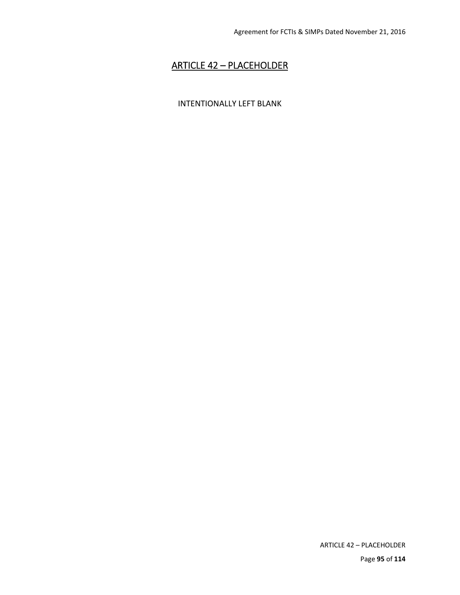## ARTICLE 42 – PLACEHOLDER

#### INTENTIONALLY LEFT BLANK

ARTICLE 42 – PLACEHOLDER

Page **95** of **114**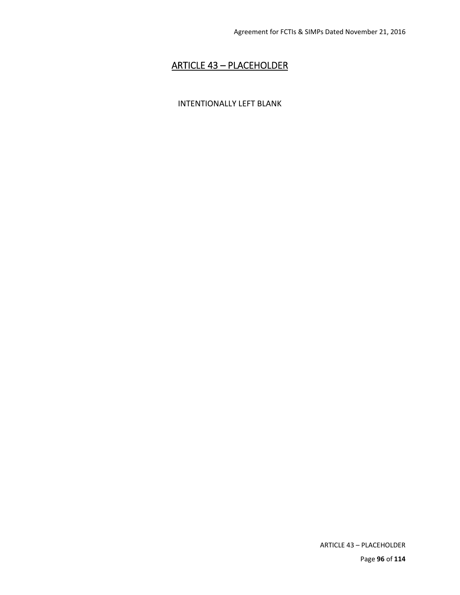## ARTICLE 43 – PLACEHOLDER

#### INTENTIONALLY LEFT BLANK

ARTICLE 43 – PLACEHOLDER

Page **96** of **114**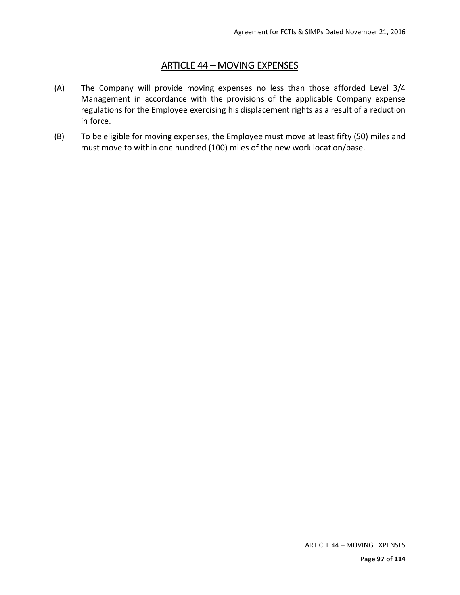#### ARTICLE 44 – MOVING EXPENSES

- (A) The Company will provide moving expenses no less than those afforded Level 3/4 Management in accordance with the provisions of the applicable Company expense regulations for the Employee exercising his displacement rights as a result of a reduction in force.
- (B) To be eligible for moving expenses, the Employee must move at least fifty (50) miles and must move to within one hundred (100) miles of the new work location/base.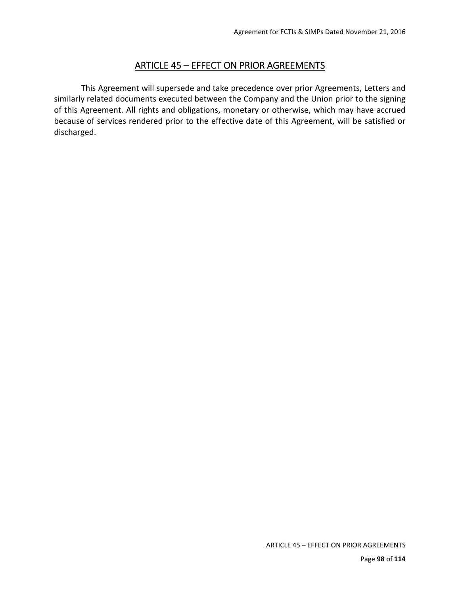### ARTICLE 45 – EFFECT ON PRIOR AGREEMENTS

 This Agreement will supersede and take precedence over prior Agreements, Letters and similarly related documents executed between the Company and the Union prior to the signing of this Agreement. All rights and obligations, monetary or otherwise, which may have accrued because of services rendered prior to the effective date of this Agreement, will be satisfied or discharged.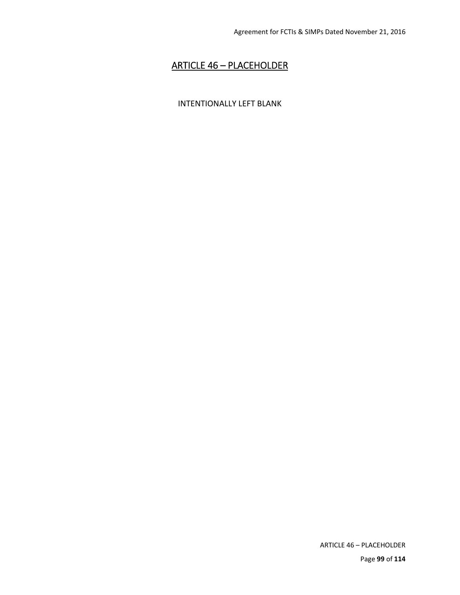## ARTICLE 46 – PLACEHOLDER

#### INTENTIONALLY LEFT BLANK

ARTICLE 46 – PLACEHOLDER

Page **99** of **114**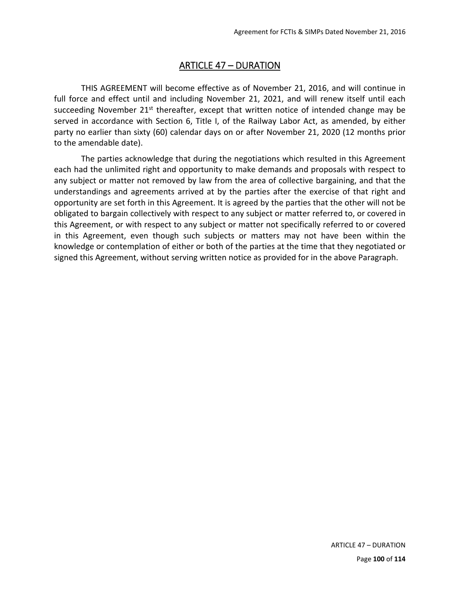### ARTICLE 47 – DURATION

THIS AGREEMENT will become effective as of November 21, 2016, and will continue in full force and effect until and including November 21, 2021, and will renew itself until each succeeding November  $21<sup>st</sup>$  thereafter, except that written notice of intended change may be served in accordance with Section 6, Title I, of the Railway Labor Act, as amended, by either party no earlier than sixty (60) calendar days on or after November 21, 2020 (12 months prior to the amendable date).

The parties acknowledge that during the negotiations which resulted in this Agreement each had the unlimited right and opportunity to make demands and proposals with respect to any subject or matter not removed by law from the area of collective bargaining, and that the understandings and agreements arrived at by the parties after the exercise of that right and opportunity are set forth in this Agreement. It is agreed by the parties that the other will not be obligated to bargain collectively with respect to any subject or matter referred to, or covered in this Agreement, or with respect to any subject or matter not specifically referred to or covered in this Agreement, even though such subjects or matters may not have been within the knowledge or contemplation of either or both of the parties at the time that they negotiated or signed this Agreement, without serving written notice as provided for in the above Paragraph.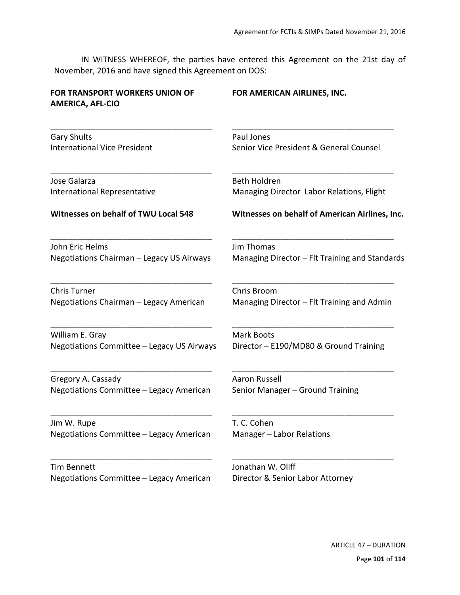IN WITNESS WHEREOF, the parties have entered this Agreement on the 21st day of November, 2016 and have signed this Agreement on DOS:

| <b>FOR TRANSPORT WORKERS UNION OF</b><br><b>AMERICA, AFL-CIO</b> | FOR AMERICAN AIRLINES, INC.                    |
|------------------------------------------------------------------|------------------------------------------------|
| <b>Gary Shults</b>                                               | Paul Jones                                     |
| <b>International Vice President</b>                              | Senior Vice President & General Counsel        |
| Jose Galarza                                                     | <b>Beth Holdren</b>                            |
| <b>International Representative</b>                              | Managing Director Labor Relations, Flight      |
| Witnesses on behalf of TWU Local 548                             | Witnesses on behalf of American Airlines, Inc. |
| John Eric Helms                                                  | <b>Jim Thomas</b>                              |
| Negotiations Chairman - Legacy US Airways                        | Managing Director - Flt Training and Standards |
| <b>Chris Turner</b>                                              | Chris Broom                                    |
| Negotiations Chairman - Legacy American                          | Managing Director - Flt Training and Admin     |
| William E. Gray                                                  | <b>Mark Boots</b>                              |
| Negotiations Committee - Legacy US Airways                       | Director - E190/MD80 & Ground Training         |
| Gregory A. Cassady                                               | Aaron Russell                                  |
| Negotiations Committee - Legacy American                         | Senior Manager - Ground Training               |
| Jim W. Rupe                                                      | T. C. Cohen                                    |
| Negotiations Committee - Legacy American                         | Manager - Labor Relations                      |
| <b>Tim Bennett</b>                                               | Jonathan W. Oliff                              |
| Negotiations Committee - Legacy American                         | Director & Senior Labor Attorney               |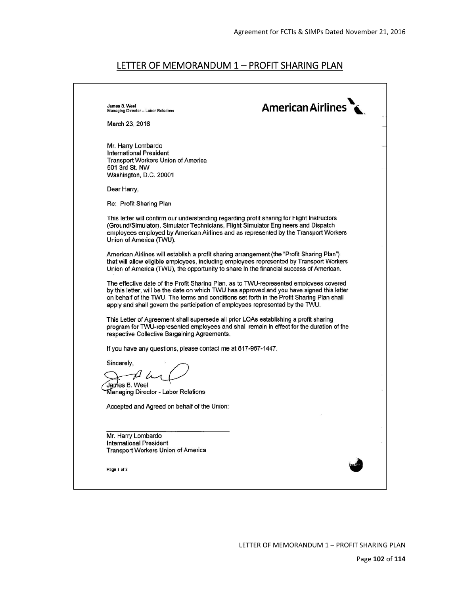### LETTER OF MEMORANDUM 1 - PROFIT SHARING PLAN

| James B. Weel<br>Managing Director - Labor Relations                                                                                                                                                                                                                                               | <b>American Airlines</b>                                                                   |
|----------------------------------------------------------------------------------------------------------------------------------------------------------------------------------------------------------------------------------------------------------------------------------------------------|--------------------------------------------------------------------------------------------|
| March 23, 2016                                                                                                                                                                                                                                                                                     |                                                                                            |
| Mr. Harry Lombardo<br><b>International President</b><br><b>Transport Workers Union of America</b><br>501 3rd St. NW<br>Washington, D.C. 20001                                                                                                                                                      |                                                                                            |
| Dear Harry,                                                                                                                                                                                                                                                                                        |                                                                                            |
| Re: Profit Sharing Plan                                                                                                                                                                                                                                                                            |                                                                                            |
| This letter will confirm our understanding regarding profit sharing for Flight Instructors<br>(Ground/Simulator), Simulator Technicians, Flight Simulator Engineers and Dispatch<br>employees employed by American Airlines and as represented by the Transport Workers<br>Union of America (TWU). |                                                                                            |
| American Airlines will establish a profit sharing arrangement (the "Profit Sharing Plan")<br>that will allow eligible employees, including employees represented by Transport Workers<br>Union of America (TWU), the opportunity to share in the financial success of American.                    |                                                                                            |
| The effective date of the Profit Sharing Plan, as to TWU-represented employees covered<br>on behalf of the TWU. The terms and conditions set forth in the Profit Sharing Plan shall<br>apply and shall govern the participation of employees represented by the TWU.                               | by this letter, will be the date on which TWU has approved and you have signed this letter |
| This Letter of Agreement shall supersede all prior LOAs establishing a profit sharing<br>respective Collective Bargaining Agreements.                                                                                                                                                              | program for TWU-represented employees and shall remain in effect for the duration of the   |
| If you have any questions, please contact me at 817-967-1447.                                                                                                                                                                                                                                      |                                                                                            |
| Sincerely,<br>James B. Weel<br>Managing Director - Labor Relations                                                                                                                                                                                                                                 |                                                                                            |
| Accepted and Agreed on behalf of the Union:                                                                                                                                                                                                                                                        |                                                                                            |
|                                                                                                                                                                                                                                                                                                    |                                                                                            |
| Mr. Harry Lombardo<br><b>International President</b><br><b>Transport Workers Union of America</b>                                                                                                                                                                                                  |                                                                                            |
| Page 1 of 2                                                                                                                                                                                                                                                                                        |                                                                                            |
|                                                                                                                                                                                                                                                                                                    |                                                                                            |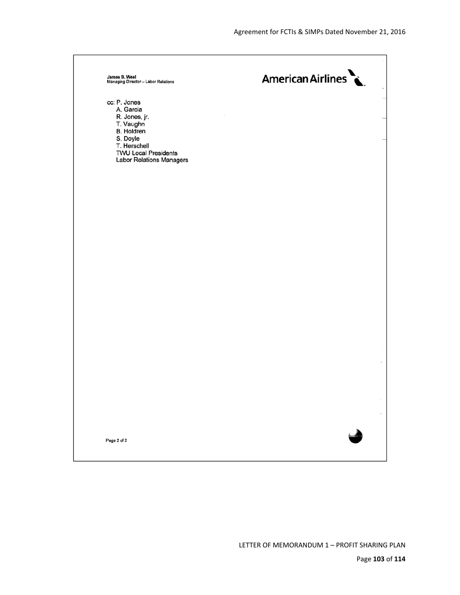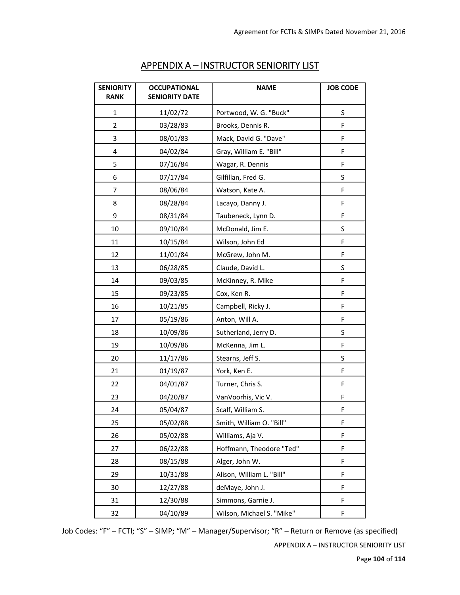| <b>SENIORITY</b><br><b>RANK</b> | <b>OCCUPATIONAL</b><br><b>SENIORITY DATE</b> | <b>NAME</b>               | <b>JOB CODE</b> |
|---------------------------------|----------------------------------------------|---------------------------|-----------------|
| 1                               | 11/02/72                                     | Portwood, W. G. "Buck"    | S               |
| $\overline{2}$                  | 03/28/83                                     | Brooks, Dennis R.         | F               |
| 3                               | 08/01/83                                     | Mack, David G. "Dave"     | F               |
| 4                               | 04/02/84                                     | Gray, William E. "Bill"   | F               |
| 5                               | 07/16/84                                     | Wagar, R. Dennis          | F               |
| 6                               | 07/17/84                                     | Gilfillan, Fred G.        | S               |
| 7                               | 08/06/84                                     | Watson, Kate A.           | F               |
| 8                               | 08/28/84                                     | Lacayo, Danny J.          | F               |
| 9                               | 08/31/84                                     | Taubeneck, Lynn D.        | F               |
| $10\,$                          | 09/10/84                                     | McDonald, Jim E.          | S               |
| 11                              | 10/15/84                                     | Wilson, John Ed           | F               |
| 12                              | 11/01/84                                     | McGrew, John M.           | F               |
| 13                              | 06/28/85                                     | Claude, David L.          | S               |
| 14                              | 09/03/85                                     | McKinney, R. Mike         | F               |
| 15                              | 09/23/85                                     | Cox, Ken R.               | F               |
| 16                              | 10/21/85                                     | Campbell, Ricky J.        | F               |
| 17                              | 05/19/86                                     | Anton, Will A.            | F               |
| 18                              | 10/09/86                                     | Sutherland, Jerry D.      | S               |
| 19                              | 10/09/86                                     | McKenna, Jim L.           | F               |
| 20                              | 11/17/86                                     | Stearns, Jeff S.          | S               |
| 21                              | 01/19/87                                     | York, Ken E.              | F               |
| 22                              | 04/01/87                                     | Turner, Chris S.          | F               |
| 23                              | 04/20/87                                     | VanVoorhis, Vic V.        | F               |
| 24                              | 05/04/87                                     | Scalf, William S.         | F               |
| 25                              | 05/02/88                                     | Smith, William O. "Bill"  | F               |
| 26                              | 05/02/88                                     | Williams, Aja V.          | F               |
| 27                              | 06/22/88                                     | Hoffmann, Theodore "Ted"  | F               |
| 28                              | 08/15/88                                     | Alger, John W.            | F               |
| 29                              | 10/31/88                                     | Alison, William L. "Bill" | F               |
| 30                              | 12/27/88                                     | deMaye, John J.           | F               |
| 31                              | 12/30/88                                     | Simmons, Garnie J.        | F               |
| 32                              | 04/10/89                                     | Wilson, Michael S. "Mike" | F               |

### APPENDIX A – INSTRUCTOR SENIORITY LIST

Job Codes: "F" – FCTI; "S" – SIMP; "M" – Manager/Supervisor; "R" – Return or Remove (as specified)

APPENDIX A – INSTRUCTOR SENIORITY LIST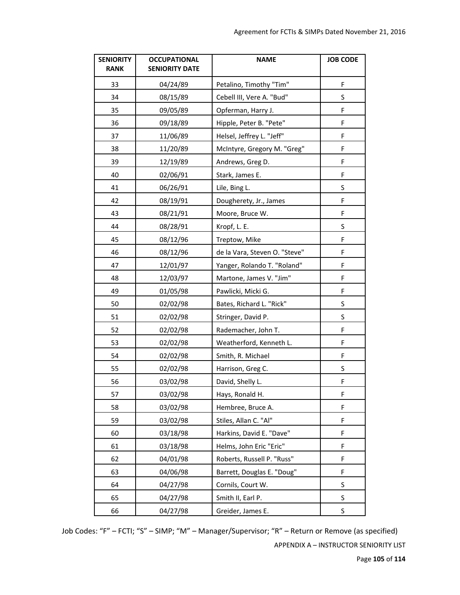| <b>SENIORITY</b><br><b>RANK</b> | <b>OCCUPATIONAL</b><br><b>SENIORITY DATE</b> | <b>NAME</b>                   | <b>JOB CODE</b> |
|---------------------------------|----------------------------------------------|-------------------------------|-----------------|
| 33                              | 04/24/89                                     | Petalino, Timothy "Tim"       | F               |
| 34                              | 08/15/89                                     | Cebell III, Vere A. "Bud"     | S               |
| 35                              | 09/05/89                                     | Opferman, Harry J.            | F               |
| 36                              | 09/18/89                                     | Hipple, Peter B. "Pete"       | F               |
| 37                              | 11/06/89                                     | Helsel, Jeffrey L. "Jeff"     | F               |
| 38                              | 11/20/89                                     | McIntyre, Gregory M. "Greg"   | F               |
| 39                              | 12/19/89                                     | Andrews, Greg D.              | F               |
| 40                              | 02/06/91                                     | Stark, James E.               | F               |
| 41                              | 06/26/91                                     | Lile, Bing L.                 | $\sf S$         |
| 42                              | 08/19/91                                     | Dougherety, Jr., James        | F               |
| 43                              | 08/21/91                                     | Moore, Bruce W.               | F               |
| 44                              | 08/28/91                                     | Kropf, L. E.                  | S               |
| 45                              | 08/12/96                                     | Treptow, Mike                 | F               |
| 46                              | 08/12/96                                     | de la Vara, Steven O. "Steve" | F               |
| 47                              | 12/01/97                                     | Yanger, Rolando T. "Roland"   | F               |
| 48                              | 12/03/97                                     | Martone, James V. "Jim"       | F               |
| 49                              | 01/05/98                                     | Pawlicki, Micki G.            | F               |
| 50                              | 02/02/98                                     | Bates, Richard L. "Rick"      | $\sf S$         |
| 51                              | 02/02/98                                     | Stringer, David P.            | S               |
| 52                              | 02/02/98                                     | Rademacher, John T.           | F               |
| 53                              | 02/02/98                                     | Weatherford, Kenneth L.       | F               |
| 54                              | 02/02/98                                     | Smith, R. Michael             | F               |
| 55                              | 02/02/98                                     | Harrison, Greg C.             | $\sf S$         |
| 56                              | 03/02/98                                     | David, Shelly L.              | F               |
| 57                              | 03/02/98                                     | Hays, Ronald H.               | $\mathsf F$     |
| 58                              | 03/02/98                                     | Hembree, Bruce A.             | F               |
| 59                              | 03/02/98                                     | Stiles, Allan C. "Al"         | F               |
| 60                              | 03/18/98                                     | Harkins, David E. "Dave"      | F               |
| 61                              | 03/18/98                                     | Helms, John Eric "Eric"       | F               |
| 62                              | 04/01/98                                     | Roberts, Russell P. "Russ"    | F               |
| 63                              | 04/06/98                                     | Barrett, Douglas E. "Doug"    | F               |
| 64                              | 04/27/98                                     | Cornils, Court W.             | S               |
| 65                              | 04/27/98                                     | Smith II, Earl P.             | S               |
| 66                              | 04/27/98                                     | Greider, James E.             | $\sf S$         |

Job Codes: "F" – FCTI; "S" – SIMP; "M" – Manager/Supervisor; "R" – Return or Remove (as specified)

APPENDIX A – INSTRUCTOR SENIORITY LIST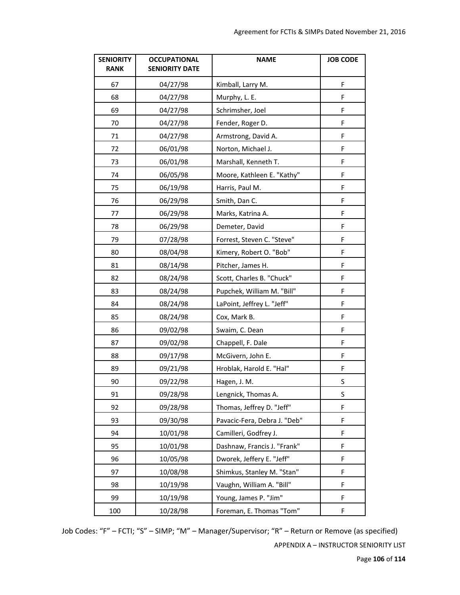| <b>SENIORITY</b><br><b>RANK</b> | <b>OCCUPATIONAL</b><br><b>SENIORITY DATE</b> | <b>NAME</b>                  | <b>JOB CODE</b> |
|---------------------------------|----------------------------------------------|------------------------------|-----------------|
| 67                              | 04/27/98                                     | Kimball, Larry M.            | F               |
| 68                              | 04/27/98                                     | Murphy, L. E.                | F               |
| 69                              | 04/27/98                                     | Schrimsher, Joel             | F               |
| 70                              | 04/27/98                                     | Fender, Roger D.             | F               |
| 71                              | 04/27/98                                     | Armstrong, David A.          | F               |
| 72                              | 06/01/98                                     | Norton, Michael J.           | F               |
| 73                              | 06/01/98                                     | Marshall, Kenneth T.         | F               |
| 74                              | 06/05/98                                     | Moore, Kathleen E. "Kathy"   | $\mathsf F$     |
| 75                              | 06/19/98                                     | Harris, Paul M.              | F               |
| 76                              | 06/29/98                                     | Smith, Dan C.                | F               |
| 77                              | 06/29/98                                     | Marks, Katrina A.            | F               |
| 78                              | 06/29/98                                     | Demeter, David               | F               |
| 79                              | 07/28/98                                     | Forrest, Steven C. "Steve"   | F               |
| 80                              | 08/04/98                                     | Kimery, Robert O. "Bob"      | F               |
| 81                              | 08/14/98                                     | Pitcher, James H.            | F               |
| 82                              | 08/24/98                                     | Scott, Charles B. "Chuck"    | F               |
| 83                              | 08/24/98                                     | Pupchek, William M. "Bill"   | F               |
| 84                              | 08/24/98                                     | LaPoint, Jeffrey L. "Jeff"   | F               |
| 85                              | 08/24/98                                     | Cox, Mark B.                 | F               |
| 86                              | 09/02/98                                     | Swaim, C. Dean               | F               |
| 87                              | 09/02/98                                     | Chappell, F. Dale            | F               |
| 88                              | 09/17/98                                     | McGivern, John E.            | F               |
| 89                              | 09/21/98                                     | Hroblak, Harold E. "Hal"     | $\mathsf F$     |
| 90                              | 09/22/98                                     | Hagen, J. M.                 | S               |
| 91                              | 09/28/98                                     | Lengnick, Thomas A.          | S               |
| 92                              | 09/28/98                                     | Thomas, Jeffrey D. "Jeff"    | F               |
| 93                              | 09/30/98                                     | Pavacic-Fera, Debra J. "Deb" | F               |
| 94                              | 10/01/98                                     | Camilleri, Godfrey J.        | F               |
| 95                              | 10/01/98                                     | Dashnaw, Francis J. "Frank"  | F               |
| 96                              | 10/05/98                                     | Dworek, Jeffery E. "Jeff"    | F               |
| 97                              | 10/08/98                                     | Shimkus, Stanley M. "Stan"   | F               |
| 98                              | 10/19/98                                     | Vaughn, William A. "Bill"    | F               |
| 99                              | 10/19/98                                     | Young, James P. "Jim"        | F               |
| 100                             | 10/28/98                                     | Foreman, E. Thomas "Tom"     | F               |

Job Codes: "F" – FCTI; "S" – SIMP; "M" – Manager/Supervisor; "R" – Return or Remove (as specified) APPENDIX A – INSTRUCTOR SENIORITY LIST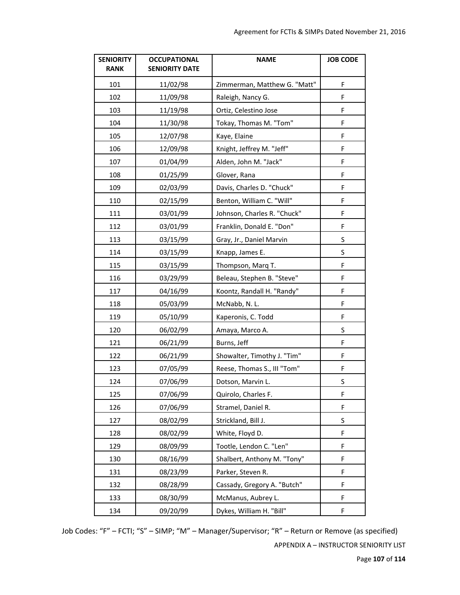| <b>SENIORITY</b><br><b>RANK</b> | <b>OCCUPATIONAL</b><br><b>SENIORITY DATE</b> | <b>NAME</b>                  | <b>JOB CODE</b> |
|---------------------------------|----------------------------------------------|------------------------------|-----------------|
| 101                             | 11/02/98                                     | Zimmerman, Matthew G. "Matt" | F               |
| 102                             | 11/09/98                                     | Raleigh, Nancy G.            | F               |
| 103                             | 11/19/98                                     | Ortiz, Celestino Jose        | F               |
| 104                             | 11/30/98                                     | Tokay, Thomas M. "Tom"       | F               |
| 105                             | 12/07/98                                     | Kaye, Elaine                 | F               |
| 106                             | 12/09/98                                     | Knight, Jeffrey M. "Jeff"    | F               |
| 107                             | 01/04/99                                     | Alden, John M. "Jack"        | F               |
| 108                             | 01/25/99                                     | Glover, Rana                 | F               |
| 109                             | 02/03/99                                     | Davis, Charles D. "Chuck"    | F               |
| 110                             | 02/15/99                                     | Benton, William C. "Will"    | F               |
| 111                             | 03/01/99                                     | Johnson, Charles R. "Chuck"  | F               |
| 112                             | 03/01/99                                     | Franklin, Donald E. "Don"    | F               |
| 113                             | 03/15/99                                     | Gray, Jr., Daniel Marvin     | S               |
| 114                             | 03/15/99                                     | Knapp, James E.              | S               |
| 115                             | 03/15/99                                     | Thompson, Marq T.            | F               |
| 116                             | 03/29/99                                     | Beleau, Stephen B. "Steve"   | F               |
| 117                             | 04/16/99                                     | Koontz, Randall H. "Randy"   | F               |
| 118                             | 05/03/99                                     | McNabb, N.L.                 | F               |
| 119                             | 05/10/99                                     | Kaperonis, C. Todd           | F               |
| 120                             | 06/02/99                                     | Amaya, Marco A.              | S               |
| 121                             | 06/21/99                                     | Burns, Jeff                  | F               |
| 122                             | 06/21/99                                     | Showalter, Timothy J. "Tim"  | F               |
| 123                             | 07/05/99                                     | Reese, Thomas S., III "Tom"  | F               |
| 124                             | 07/06/99                                     | Dotson, Marvin L.            | $\sf S$         |
| 125                             | 07/06/99                                     | Quirolo, Charles F.          | F               |
| 126                             | 07/06/99                                     | Stramel, Daniel R.           | F               |
| 127                             | 08/02/99                                     | Strickland, Bill J.          | $\sf S$         |
| 128                             | 08/02/99                                     | White, Floyd D.              | F               |
| 129                             | 08/09/99                                     | Tootle, Lendon C. "Len"      | F               |
| 130                             | 08/16/99                                     | Shalbert, Anthony M. "Tony"  | F               |
| 131                             | 08/23/99                                     | Parker, Steven R.            | F               |
| 132                             | 08/28/99                                     | Cassady, Gregory A. "Butch"  | F               |
| 133                             | 08/30/99                                     | McManus, Aubrey L.           | F               |
| 134                             | 09/20/99                                     | Dykes, William H. "Bill"     | F               |

Job Codes: "F" – FCTI; "S" – SIMP; "M" – Manager/Supervisor; "R" – Return or Remove (as specified) APPENDIX A – INSTRUCTOR SENIORITY LIST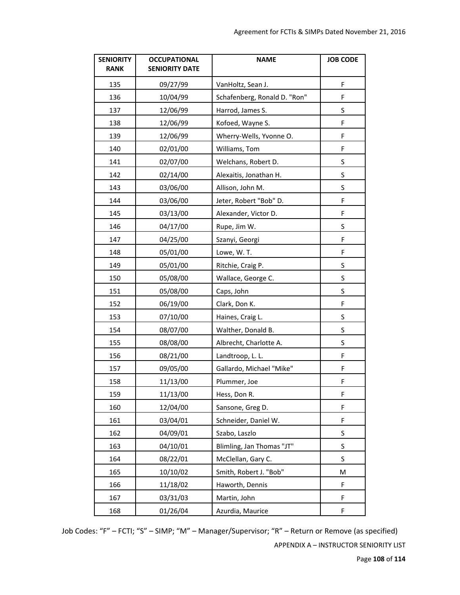| <b>SENIORITY</b><br><b>RANK</b> | <b>OCCUPATIONAL</b><br><b>SENIORITY DATE</b> | <b>NAME</b>                  | <b>JOB CODE</b> |
|---------------------------------|----------------------------------------------|------------------------------|-----------------|
| 135                             | 09/27/99                                     | VanHoltz, Sean J.            | F               |
| 136                             | 10/04/99                                     | Schafenberg, Ronald D. "Ron" | F               |
| 137                             | 12/06/99                                     | Harrod, James S.             | S               |
| 138                             | 12/06/99                                     | Kofoed, Wayne S.             | F               |
| 139                             | 12/06/99                                     | Wherry-Wells, Yvonne O.      | F               |
| 140                             | 02/01/00                                     | Williams, Tom                | F               |
| 141                             | 02/07/00                                     | Welchans, Robert D.          | S               |
| 142                             | 02/14/00                                     | Alexaitis, Jonathan H.       | $\sf S$         |
| 143                             | 03/06/00                                     | Allison, John M.             | S               |
| 144                             | 03/06/00                                     | Jeter, Robert "Bob" D.       | F               |
| 145                             | 03/13/00                                     | Alexander, Victor D.         | F               |
| 146                             | 04/17/00                                     | Rupe, Jim W.                 | S               |
| 147                             | 04/25/00                                     | Szanyi, Georgi               | F               |
| 148                             | 05/01/00                                     | Lowe, W.T.                   | F               |
| 149                             | 05/01/00                                     | Ritchie, Craig P.            | $\sf S$         |
| 150                             | 05/08/00                                     | Wallace, George C.           | $\sf S$         |
| 151                             | 05/08/00                                     | Caps, John                   | S               |
| 152                             | 06/19/00                                     | Clark, Don K.                | F               |
| 153                             | 07/10/00                                     | Haines, Craig L.             | S               |
| 154                             | 08/07/00                                     | Walther, Donald B.           | S               |
| 155                             | 08/08/00                                     | Albrecht, Charlotte A.       | S               |
| 156                             | 08/21/00                                     | Landtroop, L. L.             | F               |
| 157                             | 09/05/00                                     | Gallardo, Michael "Mike"     | F               |
| 158                             | 11/13/00                                     | Plummer, Joe                 | F               |
| 159                             | 11/13/00                                     | Hess, Don R.                 | F               |
| 160                             | 12/04/00                                     | Sansone, Greg D.             | F               |
| 161                             | 03/04/01                                     | Schneider, Daniel W.         | F               |
| 162                             | 04/09/01                                     | Szabo, Laszlo                | S               |
| 163                             | 04/10/01                                     | Blimling, Jan Thomas "JT"    | S               |
| 164                             | 08/22/01                                     | McClellan, Gary C.           | $\sf S$         |
| 165                             | 10/10/02                                     | Smith, Robert J. "Bob"       | M               |
| 166                             | 11/18/02                                     | Haworth, Dennis              | F               |
| 167                             | 03/31/03                                     | Martin, John                 | F               |
| 168                             | 01/26/04                                     | Azurdia, Maurice             | F               |

Job Codes: "F" – FCTI; "S" – SIMP; "M" – Manager/Supervisor; "R" – Return or Remove (as specified)

APPENDIX A – INSTRUCTOR SENIORITY LIST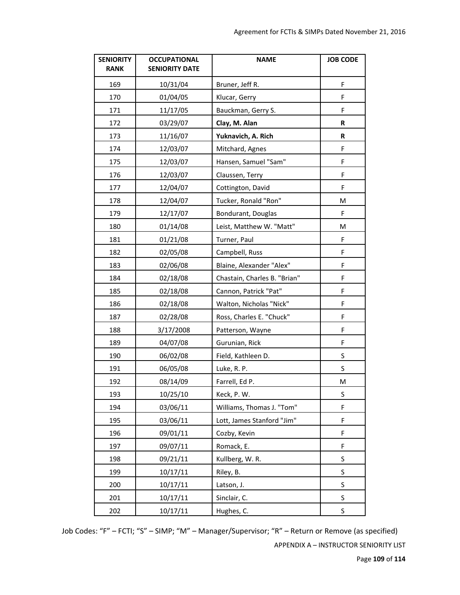| <b>SENIORITY</b><br><b>RANK</b> | <b>OCCUPATIONAL</b><br><b>SENIORITY DATE</b> | <b>NAME</b>                  | <b>JOB CODE</b> |
|---------------------------------|----------------------------------------------|------------------------------|-----------------|
| 169                             | 10/31/04                                     | Bruner, Jeff R.              | F               |
| 170                             | 01/04/05                                     | Klucar, Gerry                | F               |
| 171                             | 11/17/05                                     | Bauckman, Gerry S.           | F               |
| 172                             | 03/29/07                                     | Clay, M. Alan                | R               |
| 173                             | 11/16/07                                     | Yuknavich, A. Rich           | R               |
| 174                             | 12/03/07                                     | Mitchard, Agnes              | F               |
| 175                             | 12/03/07                                     | Hansen, Samuel "Sam"         | F               |
| 176                             | 12/03/07                                     | Claussen, Terry              | F               |
| 177                             | 12/04/07                                     | Cottington, David            | F               |
| 178                             | 12/04/07                                     | Tucker, Ronald "Ron"         | M               |
| 179                             | 12/17/07                                     | Bondurant, Douglas           | F               |
| 180                             | 01/14/08                                     | Leist, Matthew W. "Matt"     | M               |
| 181                             | 01/21/08                                     | Turner, Paul                 | F               |
| 182                             | 02/05/08                                     | Campbell, Russ               | F               |
| 183                             | 02/06/08                                     | Blaine, Alexander "Alex"     | F               |
| 184                             | 02/18/08                                     | Chastain, Charles B. "Brian" | F               |
| 185                             | 02/18/08                                     | Cannon, Patrick "Pat"        | F               |
| 186                             | 02/18/08                                     | Walton, Nicholas "Nick"      | F               |
| 187                             | 02/28/08                                     | Ross, Charles E. "Chuck"     | F               |
| 188                             | 3/17/2008                                    | Patterson, Wayne             | F               |
| 189                             | 04/07/08                                     | Gurunian, Rick               | F               |
| 190                             | 06/02/08                                     | Field, Kathleen D.           | S               |
| 191                             | 06/05/08                                     | Luke, R. P.                  | S               |
| 192                             | 08/14/09                                     | Farrell, Ed P.               | M               |
| 193                             | 10/25/10                                     | Keck, P. W.                  | S               |
| 194                             | 03/06/11                                     | Williams, Thomas J. "Tom"    | F               |
| 195                             | 03/06/11                                     | Lott, James Stanford "Jim"   | F               |
| 196                             | 09/01/11                                     | Cozby, Kevin                 | F               |
| 197                             | 09/07/11                                     | Romack, E.                   | F               |
| 198                             | 09/21/11                                     | Kullberg, W.R.               | S               |
| 199                             | 10/17/11                                     | Riley, B.                    | S               |
| 200                             | 10/17/11                                     | Latson, J.                   | S               |
| 201                             | 10/17/11                                     | Sinclair, C.                 | S               |
| 202                             | 10/17/11                                     | Hughes, C.                   | S               |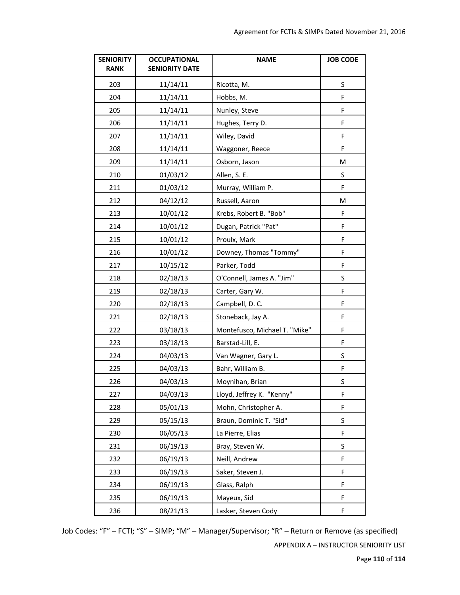| <b>SENIORITY</b><br><b>RANK</b> | <b>OCCUPATIONAL</b><br><b>SENIORITY DATE</b> | <b>NAME</b>                   | <b>JOB CODE</b> |
|---------------------------------|----------------------------------------------|-------------------------------|-----------------|
| 203                             | 11/14/11                                     | Ricotta, M.                   | $\sf S$         |
| 204                             | 11/14/11                                     | Hobbs, M.                     | F               |
| 205                             | 11/14/11                                     | Nunley, Steve                 | F               |
| 206                             | 11/14/11                                     | Hughes, Terry D.              | F               |
| 207                             | 11/14/11                                     | Wiley, David                  | F               |
| 208                             | 11/14/11                                     | Waggoner, Reece               | F               |
| 209                             | 11/14/11                                     | Osborn, Jason                 | M               |
| 210                             | 01/03/12                                     | Allen, S. E.                  | S               |
| 211                             | 01/03/12                                     | Murray, William P.            | F               |
| 212                             | 04/12/12                                     | Russell, Aaron                | M               |
| 213                             | 10/01/12                                     | Krebs, Robert B. "Bob"        | F               |
| 214                             | 10/01/12                                     | Dugan, Patrick "Pat"          | F               |
| 215                             | 10/01/12                                     | Proulx, Mark                  | F               |
| 216                             | 10/01/12                                     | Downey, Thomas "Tommy"        | F               |
| 217                             | 10/15/12                                     | Parker, Todd                  | F               |
| 218                             | 02/18/13                                     | O'Connell, James A. "Jim"     | S               |
| 219                             | 02/18/13                                     | Carter, Gary W.               | F               |
| 220                             | 02/18/13                                     | Campbell, D. C.               | F               |
| 221                             | 02/18/13                                     | Stoneback, Jay A.             | F               |
| 222                             | 03/18/13                                     | Montefusco, Michael T. "Mike" | F               |
| 223                             | 03/18/13                                     | Barstad-Lill, E.              | F               |
| 224                             | 04/03/13                                     | Van Wagner, Gary L.           | S               |
| 225                             | 04/03/13                                     | Bahr, William B.              | F               |
| 226                             | 04/03/13                                     | Moynihan, Brian               | $\sf S$         |
| 227                             | 04/03/13                                     | Lloyd, Jeffrey K. "Kenny"     | F               |
| 228                             | 05/01/13                                     | Mohn, Christopher A.          | F               |
| 229                             | 05/15/13                                     | Braun, Dominic T. "Sid"       | S               |
| 230                             | 06/05/13                                     | La Pierre, Elias              | F               |
| 231                             | 06/19/13                                     | Bray, Steven W.               | S               |
| 232                             | 06/19/13                                     | Neill, Andrew                 | F               |
| 233                             | 06/19/13                                     | Saker, Steven J.              | F               |
| 234                             | 06/19/13                                     | Glass, Ralph                  | F               |
| 235                             | 06/19/13                                     | Mayeux, Sid                   | F               |
| 236                             | 08/21/13                                     | Lasker, Steven Cody           | F               |

Page **110** of **114**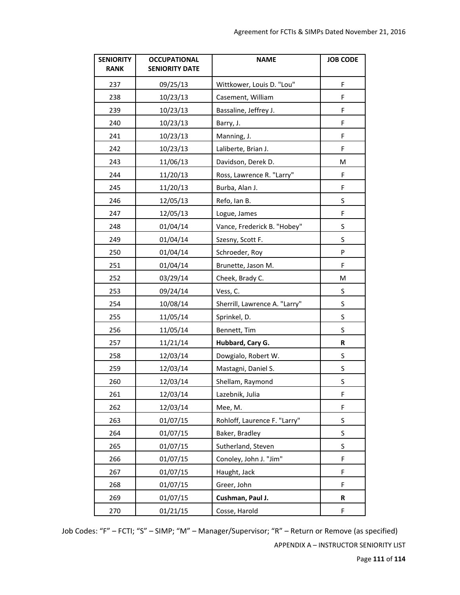| <b>SENIORITY</b><br><b>RANK</b> | <b>OCCUPATIONAL</b><br><b>SENIORITY DATE</b> | <b>NAME</b>                   | <b>JOB CODE</b> |
|---------------------------------|----------------------------------------------|-------------------------------|-----------------|
| 237                             | 09/25/13                                     | Wittkower, Louis D. "Lou"     | F               |
| 238                             | 10/23/13                                     | Casement, William             | F               |
| 239                             | 10/23/13                                     | Bassaline, Jeffrey J.         | F               |
| 240                             | 10/23/13                                     | Barry, J.                     | F               |
| 241                             | 10/23/13                                     | Manning, J.                   | F               |
| 242                             | 10/23/13                                     | Laliberte, Brian J.           | F               |
| 243                             | 11/06/13                                     | Davidson, Derek D.            | M               |
| 244                             | 11/20/13                                     | Ross, Lawrence R. "Larry"     | F               |
| 245                             | 11/20/13                                     | Burba, Alan J.                | F               |
| 246                             | 12/05/13                                     | Refo, Ian B.                  | S               |
| 247                             | 12/05/13                                     | Logue, James                  | F               |
| 248                             | 01/04/14                                     | Vance, Frederick B. "Hobey"   | S               |
| 249                             | 01/04/14                                     | Szesny, Scott F.              | S               |
| 250                             | 01/04/14                                     | Schroeder, Roy                | P               |
| 251                             | 01/04/14                                     | Brunette, Jason M.            | F               |
| 252                             | 03/29/14                                     | Cheek, Brady C.               | M               |
| 253                             | 09/24/14                                     | Vess, C.                      | S               |
| 254                             | 10/08/14                                     | Sherrill, Lawrence A. "Larry" | $\sf S$         |
| 255                             | 11/05/14                                     | Sprinkel, D.                  | S               |
| 256                             | 11/05/14                                     | Bennett, Tim                  | S               |
| 257                             | 11/21/14                                     | Hubbard, Cary G.              | R               |
| 258                             | 12/03/14                                     | Dowgialo, Robert W.           | S               |
| 259                             | 12/03/14                                     | Mastagni, Daniel S.           | S               |
| 260                             | 12/03/14                                     | Shellam, Raymond              | $\sf S$         |
| 261                             | 12/03/14                                     | Lazebnik, Julia               | F               |
| 262                             | 12/03/14                                     | Mee, M.                       | F               |
| 263                             | 01/07/15                                     | Rohloff, Laurence F. "Larry"  | S               |
| 264                             | 01/07/15                                     | Baker, Bradley                | S               |
| 265                             | 01/07/15                                     | Sutherland, Steven            | S               |
| 266                             | 01/07/15                                     | Conoley, John J. "Jim"        | F               |
| 267                             | 01/07/15                                     | Haught, Jack                  | F               |
| 268                             | 01/07/15                                     | Greer, John                   | F               |
| 269                             | 01/07/15                                     | Cushman, Paul J.              | R               |
| 270                             | 01/21/15                                     | Cosse, Harold                 | F               |

Page **111** of **114**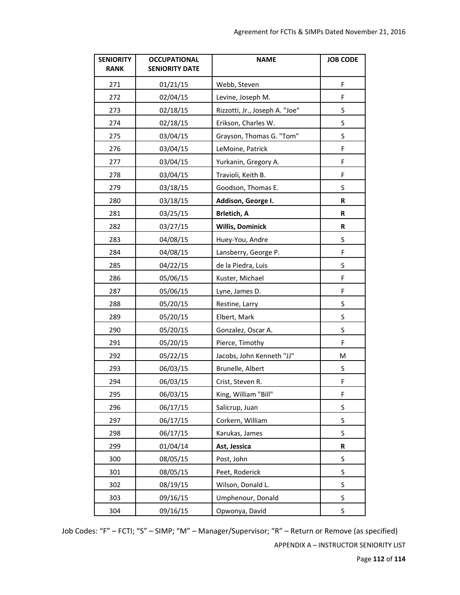| <b>SENIORITY</b><br><b>RANK</b> | <b>OCCUPATIONAL</b><br><b>SENIORITY DATE</b> | <b>NAME</b>                    | <b>JOB CODE</b> |
|---------------------------------|----------------------------------------------|--------------------------------|-----------------|
| 271                             | 01/21/15                                     | Webb, Steven                   | F               |
| 272                             | 02/04/15                                     | Levine, Joseph M.              | F               |
| 273                             | 02/18/15                                     | Rizzotti, Jr., Joseph A. "Joe" | S               |
| 274                             | 02/18/15                                     | Erikson, Charles W.            | S               |
| 275                             | 03/04/15                                     | Grayson, Thomas G. "Tom"       | S               |
| 276                             | 03/04/15                                     | LeMoine, Patrick               | F               |
| 277                             | 03/04/15                                     | Yurkanin, Gregory A.           | F               |
| 278                             | 03/04/15                                     | Travioli, Keith B.             | F               |
| 279                             | 03/18/15                                     | Goodson, Thomas E.             | S               |
| 280                             | 03/18/15                                     | Addison, George I.             | R               |
| 281                             | 03/25/15                                     | <b>Brletich, A</b>             | R               |
| 282                             | 03/27/15                                     | <b>Willis, Dominick</b>        | R               |
| 283                             | 04/08/15                                     | Huey-You, Andre                | S               |
| 284                             | 04/08/15                                     | Lansberry, George P.           | F               |
| 285                             | 04/22/15                                     | de la Piedra, Luis             | $\sf S$         |
| 286                             | 05/06/15                                     | Kuster, Michael                | F               |
| 287                             | 05/06/15                                     | Lyne, James D.                 | F               |
| 288                             | 05/20/15                                     | Restine, Larry                 | S               |
| 289                             | 05/20/15                                     | Elbert, Mark                   | S               |
| 290                             | 05/20/15                                     | Gonzalez, Oscar A.             | S               |
| 291                             | 05/20/15                                     | Pierce, Timothy                | F               |
| 292                             | 05/22/15                                     | Jacobs, John Kenneth "JJ"      | М               |
| 293                             | 06/03/15                                     | Brunelle, Albert               | S               |
| 294                             | 06/03/15                                     | Crist, Steven R.               | F               |
| 295                             | 06/03/15                                     | King, William "Bill"           | F               |
| 296                             | 06/17/15                                     | Salicrup, Juan                 | S               |
| 297                             | 06/17/15                                     | Corkern, William               | S               |
| 298                             | 06/17/15                                     | Karukas, James                 | S               |
| 299                             | 01/04/14                                     | Ast, Jessica                   | R               |
| 300                             | 08/05/15                                     | Post, John                     | $\sf S$         |
| 301                             | 08/05/15                                     | Peet, Roderick                 | $\sf S$         |
| 302                             | 08/19/15                                     | Wilson, Donald L.              | $\sf S$         |
| 303                             | 09/16/15                                     | Umphenour, Donald              | S               |
| 304                             | 09/16/15                                     | Opwonya, David                 | $\sf S$         |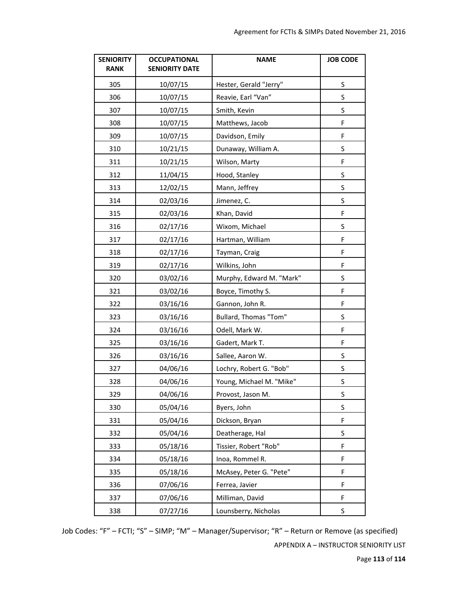| <b>SENIORITY</b><br><b>RANK</b> | <b>OCCUPATIONAL</b><br><b>SENIORITY DATE</b> | <b>NAME</b>              | <b>JOB CODE</b> |
|---------------------------------|----------------------------------------------|--------------------------|-----------------|
| 305                             | 10/07/15                                     | Hester, Gerald "Jerry"   | $\sf S$         |
| 306                             | 10/07/15                                     | Reavie, Earl "Van"       | S               |
| 307                             | 10/07/15                                     | Smith, Kevin             | $\sf S$         |
| 308                             | 10/07/15                                     | Matthews, Jacob          | F               |
| 309                             | 10/07/15                                     | Davidson, Emily          | F               |
| 310                             | 10/21/15                                     | Dunaway, William A.      | S               |
| 311                             | 10/21/15                                     | Wilson, Marty            | F               |
| 312                             | 11/04/15                                     | Hood, Stanley            | $\sf S$         |
| 313                             | 12/02/15                                     | Mann, Jeffrey            | S               |
| 314                             | 02/03/16                                     | Jimenez, C.              | S               |
| 315                             | 02/03/16                                     | Khan, David              | F               |
| 316                             | 02/17/16                                     | Wixom, Michael           | S               |
| 317                             | 02/17/16                                     | Hartman, William         | F               |
| 318                             | 02/17/16                                     | Tayman, Craig            | F               |
| 319                             | 02/17/16                                     | Wilkins, John            | F               |
| 320                             | 03/02/16                                     | Murphy, Edward M. "Mark" | $\sf S$         |
| 321                             | 03/02/16                                     | Boyce, Timothy S.        | F               |
| 322                             | 03/16/16                                     | Gannon, John R.          | F               |
| 323                             | 03/16/16                                     | Bullard, Thomas "Tom"    | $\sf S$         |
| 324                             | 03/16/16                                     | Odell, Mark W.           | F               |
| 325                             | 03/16/16                                     | Gadert, Mark T.          | F               |
| 326                             | 03/16/16                                     | Sallee, Aaron W.         | S               |
| 327                             | 04/06/16                                     | Lochry, Robert G. "Bob"  | $\sf S$         |
| 328                             | 04/06/16                                     | Young, Michael M. "Mike" | $\sf S$         |
| 329                             | 04/06/16                                     | Provost, Jason M.        | $\sf S$         |
| 330                             | 05/04/16                                     | Byers, John              | S               |
| 331                             | 05/04/16                                     | Dickson, Bryan           | F               |
| 332                             | 05/04/16                                     | Deatherage, Hal          | $\sf S$         |
| 333                             | 05/18/16                                     | Tissier, Robert "Rob"    | F               |
| 334                             | 05/18/16                                     | Inoa, Rommel R.          | F               |
| 335                             | 05/18/16                                     | McAsey, Peter G. "Pete"  | F               |
| 336                             | 07/06/16                                     | Ferrea, Javier           | F               |
| 337                             | 07/06/16                                     | Milliman, David          | F               |
| 338                             | 07/27/16                                     | Lounsberry, Nicholas     | $\sf S$         |